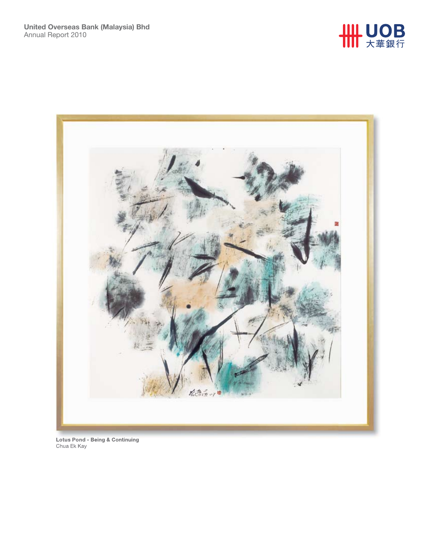



**Lotus Pond - Being & Continuing** Chua Ek Kay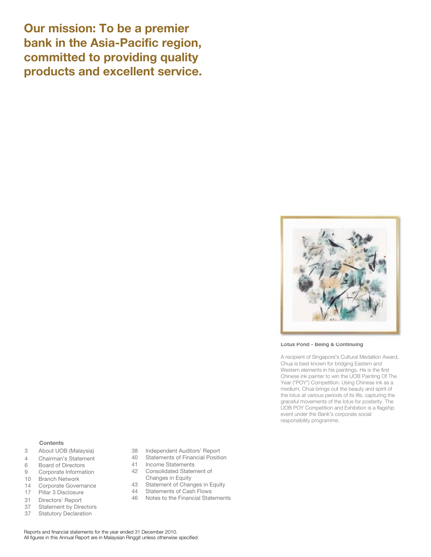**Our mission: To be a premier bank in the Asia-Pacific region, committed to providing quality products and excellent service.**



**Lotus Pond - Being & Continuing**

A recipient of Singapore's Cultural Medallion Award, Chua is best known for bridging Eastern and Western elements in his paintings. He is the first Chinese ink painter to win the UOB Painting Of The Year ("POY") Competition. Using Chinese ink as a medium, Chua brings out the beauty and spirit of the lotus at various periods of its life, capturing the graceful movements of the lotus for posterity. The UOB POY Competition and Exhibition is a flagship event under the Bank's corporate social responsibility programme.

### **Contents**

- 3 About UOB (Malaysia)
- 4 Chairman's Statement
- 6 Board of Directors<br>9 Corporate Informati
- Corporate Information
- 10 Branch Network
- 14 Corporate Governance 17 Pillar 3 Disclosure
- 31 Directors' Report
- 37 Statement by Directors
- 37 Statutory Declaration
- 38 Independent Auditors' Report
- 40 Statements of Financial Position
- 41 Income Statements
- 42 Consolidated Statement of
- Changes in Equity 43 Statement of Changes in Equity
- 44 Statements of Cash Flows
- 46 Notes to the Financial Statements

Reports and financial statements for the year ended 31 December 2010. All figures in this Annual Report are in Malaysian Ringgit unless otherwise specified.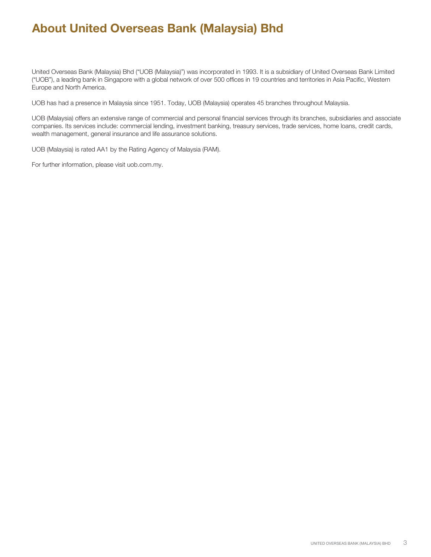# **About United Overseas Bank (Malaysia) Bhd**

United Overseas Bank (Malaysia) Bhd ("UOB (Malaysia)") was incorporated in 1993. It is a subsidiary of United Overseas Bank Limited ("UOB"), a leading bank in Singapore with a global network of over 500 offices in 19 countries and territories in Asia Pacific, Western Europe and North America.

UOB has had a presence in Malaysia since 1951. Today, UOB (Malaysia) operates 45 branches throughout Malaysia.

UOB (Malaysia) offers an extensive range of commercial and personal financial services through its branches, subsidiaries and associate companies. Its services include: commercial lending, investment banking, treasury services, trade services, home loans, credit cards, wealth management, general insurance and life assurance solutions.

UOB (Malaysia) is rated AA1 by the Rating Agency of Malaysia (RAM).

For further information, please visit uob.com.my.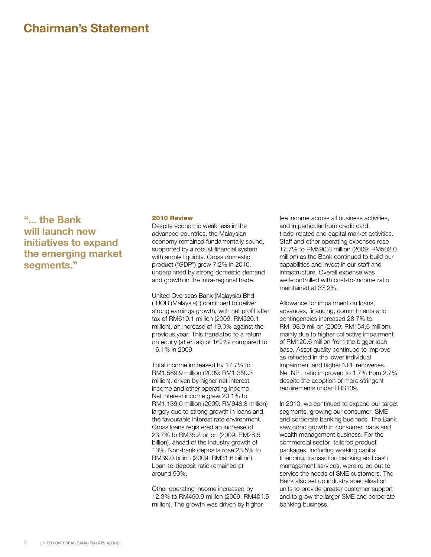## **Chairman's Statement**

**"... the Bank will launch new initiatives to expand the emerging market segments."**

### 2010 Review

Despite economic weakness in the advanced countries, the Malaysian economy remained fundamentally sound, supported by a robust financial system with ample liquidity. Gross domestic product ("GDP") grew 7.2% in 2010, underpinned by strong domestic demand and growth in the intra-regional trade.

United Overseas Bank (Malaysia) Bhd ("UOB (Malaysia)") continued to deliver strong earnings growth, with net profit after tax of RM619.1 million (2009: RM520.1 million), an increase of 19.0% against the previous year. This translated to a return on equity (after tax) of 16.3% compared to 16.1% in 2009.

Total income increased by 17.7% to RM1,589.9 million (2009: RM1,350.3 million), driven by higher net interest income and other operating income. Net interest income grew 20.1% to RM1,139.0 million (2009: RM948.8 million) largely due to strong growth in loans and the favourable interest rate environment. Gross loans registered an increase of 23.7% to RM35.2 billion (2009: RM28.5 billion), ahead of the industry growth of 13%. Non-bank deposits rose 23.5% to RM39.0 billion (2009: RM31.6 billion). Loan-to-deposit ratio remained at around 90%.

Other operating income increased by 12.3% to RM450.9 million (2009: RM401.5 million). The growth was driven by higher

fee income across all business activities, and in particular from credit card, trade-related and capital market activities. Staff and other operating expenses rose 17.7% to RM590.8 million (2009: RM502.0 million) as the Bank continued to build our capabilities and invest in our staff and infrastructure. Overall expense was well-controlled with cost-to-income ratio maintained at 37.2%.

Allowance for impairment on loans, advances, financing, commitments and contingencies increased 28.7% to RM198.9 million (2009: RM154.6 million), mainly due to higher collective impairment of RM120.6 million from the bigger loan base. Asset quality continued to improve as reflected in the lower individual impairment and higher NPL recoveries. Net NPL ratio improved to 1.7% from 2.7% despite the adoption of more stringent requirements under FRS139.

In 2010, we continued to expand our target segments, growing our consumer, SME and corporate banking business. The Bank saw good growth in consumer loans and wealth management business. For the commercial sector, tailored product packages, including working capital financing, transaction banking and cash management services, were rolled out to service the needs of SME customers. The Bank also set up industry specialisation units to provide greater customer support and to grow the larger SME and corporate banking business.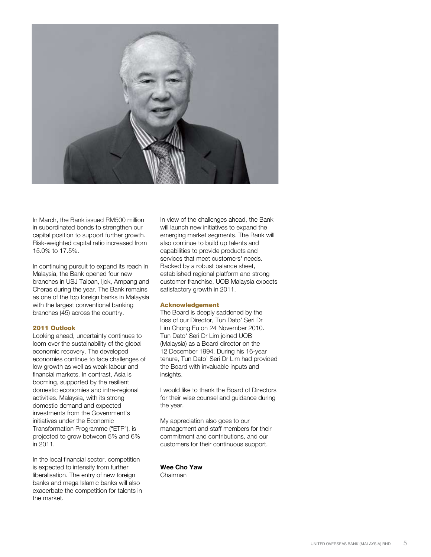

In March, the Bank issued RM500 million in subordinated bonds to strengthen our capital position to support further growth. Risk-weighted capital ratio increased from 15.0% to 17.5%.

In continuing pursuit to expand its reach in Malaysia, the Bank opened four new branches in USJ Taipan, Ijok, Ampang and Cheras during the year. The Bank remains as one of the top foreign banks in Malaysia with the largest conventional banking branches (45) across the country.

## 2011 Outlook

Looking ahead, uncertainty continues to loom over the sustainability of the global economic recovery. The developed economies continue to face challenges of low growth as well as weak labour and financial markets. In contrast, Asia is booming, supported by the resilient domestic economies and intra-regional activities. Malaysia, with its strong domestic demand and expected investments from the Government's initiatives under the Economic Transformation Programme ("ETP"), is projected to grow between 5% and 6% in 2011.

In the local financial sector, competition is expected to intensify from further liberalisation. The entry of new foreign banks and mega Islamic banks will also exacerbate the competition for talents in the market.

In view of the challenges ahead, the Bank will launch new initiatives to expand the emerging market segments. The Bank will also continue to build up talents and capabilities to provide products and services that meet customers' needs. Backed by a robust balance sheet, established regional platform and strong customer franchise, UOB Malaysia expects satisfactory growth in 2011.

#### Acknowledgement

The Board is deeply saddened by the loss of our Director, Tun Dato' Seri Dr Lim Chong Eu on 24 November 2010. Tun Dato' Seri Dr Lim joined UOB (Malaysia) as a Board director on the 12 December 1994. During his 16-year tenure, Tun Dato' Seri Dr Lim had provided the Board with invaluable inputs and insights.

I would like to thank the Board of Directors for their wise counsel and guidance during the year.

My appreciation also goes to our management and staff members for their commitment and contributions, and our customers for their continuous support.

**Wee Cho Yaw** Chairman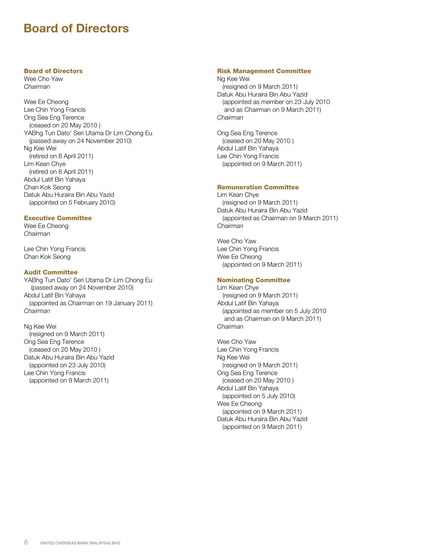## **Board of Directors**

## Board of Directors

Wee Cho Yaw *Chairman*

Wee Ee Cheong Lee Chin Yong Francis Ong Sea Eng Terence (ceased on 20 May 2010 ) YABhg Tun Dato' Seri Utama Dr Lim Chong Eu (passed away on 24 November 2010) Ng Kee Wei (retired on 8 April 2011) Lim Kean Chye (retired on 8 April 2011) Abdul Latif Bin Yahaya Chan Kok Seong Datuk Abu Huraira Bin Abu Yazid (appointed on 5 February 2010)

## Executive Committee

Wee Ee Cheong *Chairman*

Lee Chin Yong Francis Chan Kok Seong

## Audit Committee

YABhg Tun Dato' Seri Utama Dr Lim Chong Eu (passed away on 24 November 2010) Abdul Latif Bin Yahaya (appointed as Chairman on 19 January 2011) *Chairman*

Ng Kee Wei (resigned on 9 March 2011) Ong Sea Eng Terence (ceased on 20 May 2010 ) Datuk Abu Huraira Bin Abu Yazid (appointed on 23 July 2010) Lee Chin Yong Francis (appointed on 9 March 2011)

## Risk Management Committee

Ng Kee Wei (resigned on 9 March 2011) Datuk Abu Huraira Bin Abu Yazid (appointed as member on 23 July 2010 and as Chairman on 9 March 2011) *Chairman*

Ong Sea Eng Terence (ceased on 20 May 2010 ) Abdul Latif Bin Yahaya Lee Chin Yong Francis (appointed on 9 March 2011)

## Remuneration Committee

Lim Kean Chye (resigned on 9 March 2011) Datuk Abu Huraira Bin Abu Yazid (appointed as Chairman on 9 March 2011) *Chairman*

Wee Cho Yaw Lee Chin Yong Francis Wee Ee Cheong (appointed on 9 March 2011)

## Nominating Committee

Lim Kean Chye (resigned on 9 March 2011) Abdul Latif Bin Yahaya (appointed as member on 5 July 2010 and as Chairman on 9 March 2011) *Chairman*

Wee Cho Yaw Lee Chin Yong Francis Ng Kee Wei (resigned on 9 March 2011) Ong Sea Eng Terence (ceased on 20 May 2010 ) Abdul Latif Bin Yahaya (appointed on 5 July 2010) Wee Ee Cheong (appointed on 9 March 2011) Datuk Abu Huraira Bin Abu Yazid (appointed on 9 March 2011)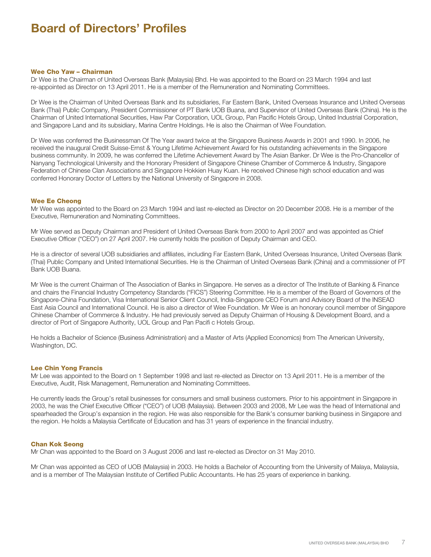# **Board of Directors' Profiles**

#### Wee Cho Yaw – Chairman

Dr Wee is the Chairman of United Overseas Bank (Malaysia) Bhd. He was appointed to the Board on 23 March 1994 and last re-appointed as Director on 13 April 2011. He is a member of the Remuneration and Nominating Committees.

Dr Wee is the Chairman of United Overseas Bank and its subsidiaries, Far Eastern Bank, United Overseas Insurance and United Overseas Bank (Thai) Public Company, President Commissioner of PT Bank UOB Buana, and Supervisor of United Overseas Bank (China). He is the Chairman of United International Securities, Haw Par Corporation, UOL Group, Pan Pacific Hotels Group, United Industrial Corporation, and Singapore Land and its subsidiary, Marina Centre Holdings. He is also the Chairman of Wee Foundation.

Dr Wee was conferred the Businessman Of The Year award twice at the Singapore Business Awards in 2001 and 1990. In 2006, he received the inaugural Credit Suisse-Ernst & Young Lifetime Achievement Award for his outstanding achievements in the Singapore business community. In 2009, he was conferred the Lifetime Achievement Award by The Asian Banker. Dr Wee is the Pro-Chancellor of Nanyang Technological University and the Honorary President of Singapore Chinese Chamber of Commerce & Industry, Singapore Federation of Chinese Clan Associations and Singapore Hokkien Huay Kuan. He received Chinese high school education and was conferred Honorary Doctor of Letters by the National University of Singapore in 2008.

## Wee Ee Cheong

Mr Wee was appointed to the Board on 23 March 1994 and last re-elected as Director on 20 December 2008. He is a member of the Executive, Remuneration and Nominating Committees.

Mr Wee served as Deputy Chairman and President of United Overseas Bank from 2000 to April 2007 and was appointed as Chief Executive Officer ("CEO") on 27 April 2007. He currently holds the position of Deputy Chairman and CEO.

He is a director of several UOB subsidiaries and affiliates, including Far Eastern Bank, United Overseas Insurance, United Overseas Bank (Thai) Public Company and United International Securities. He is the Chairman of United Overseas Bank (China) and a commissioner of PT Bank UOB Buana.

Mr Wee is the current Chairman of The Association of Banks in Singapore. He serves as a director of The Institute of Banking & Finance and chairs the Financial Industry Competency Standards ("FICS") Steering Committee. He is a member of the Board of Governors of the Singapore-China Foundation, Visa International Senior Client Council, India-Singapore CEO Forum and Advisory Board of the INSEAD East Asia Council and International Council. He is also a director of Wee Foundation. Mr Wee is an honorary council member of Singapore Chinese Chamber of Commerce & Industry. He had previously served as Deputy Chairman of Housing & Development Board, and a director of Port of Singapore Authority, UOL Group and Pan Pacifi c Hotels Group.

He holds a Bachelor of Science (Business Administration) and a Master of Arts (Applied Economics) from The American University, Washington, DC.

## Lee Chin Yong Francis

Mr Lee was appointed to the Board on 1 September 1998 and last re-elected as Director on 13 April 2011. He is a member of the Executive, Audit, Risk Management, Remuneration and Nominating Committees.

He currently leads the Group's retail businesses for consumers and small business customers. Prior to his appointment in Singapore in 2003, he was the Chief Executive Officer ("CEO") of UOB (Malaysia). Between 2003 and 2008, Mr Lee was the head of International and spearheaded the Group's expansion in the region. He was also responsible for the Bank's consumer banking business in Singapore and the region. He holds a Malaysia Certificate of Education and has 31 years of experience in the financial industry.

#### Chan Kok Seong

Mr Chan was appointed to the Board on 3 August 2006 and last re-elected as Director on 31 May 2010.

Mr Chan was appointed as CEO of UOB (Malaysia) in 2003. He holds a Bachelor of Accounting from the University of Malaya, Malaysia, and is a member of The Malaysian Institute of Certified Public Accountants. He has 25 years of experience in banking.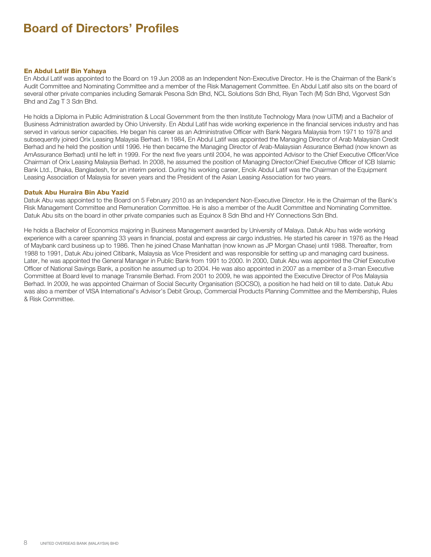# **Board of Directors' Profiles**

#### En Abdul Latif Bin Yahaya

En Abdul Latif was appointed to the Board on 19 Jun 2008 as an Independent Non-Executive Director. He is the Chairman of the Bank's Audit Committee and Nominating Committee and a member of the Risk Management Committee. En Abdul Latif also sits on the board of several other private companies including Semarak Pesona Sdn Bhd, NCL Solutions Sdn Bhd, Riyan Tech (M) Sdn Bhd, Vigorvest Sdn Bhd and Zag T 3 Sdn Bhd.

He holds a Diploma in Public Administration & Local Government from the then Institute Technology Mara (now UiTM) and a Bachelor of Business Administration awarded by Ohio University. En Abdul Latif has wide working experience in the financial services industry and has served in various senior capacities. He began his career as an Administrative Officer with Bank Negara Malaysia from 1971 to 1978 and subsequently joined Orix Leasing Malaysia Berhad. In 1984, En Abdul Latif was appointed the Managing Director of Arab Malaysian Credit Berhad and he held the position until 1996. He then became the Managing Director of Arab-Malaysian Assurance Berhad (now known as AmAssurance Berhad) until he left in 1999. For the next five years until 2004, he was appointed Advisor to the Chief Executive Officer/Vice Chairman of Orix Leasing Malaysia Berhad. In 2008, he assumed the position of Managing Director/Chief Executive Officer of ICB Islamic Bank Ltd., Dhaka, Bangladesh, for an interim period. During his working career, Encik Abdul Latif was the Chairman of the Equipment Leasing Association of Malaysia for seven years and the President of the Asian Leasing Association for two years.

#### Datuk Abu Huraira Bin Abu Yazid

Datuk Abu was appointed to the Board on 5 February 2010 as an Independent Non-Executive Director. He is the Chairman of the Bank's Risk Management Committee and Remuneration Committee. He is also a member of the Audit Committee and Nominating Committee. Datuk Abu sits on the board in other private companies such as Equinox 8 Sdn Bhd and HY Connections Sdn Bhd.

He holds a Bachelor of Economics majoring in Business Management awarded by University of Malaya. Datuk Abu has wide working experience with a career spanning 33 years in financial, postal and express air cargo industries. He started his career in 1976 as the Head of Maybank card business up to 1986. Then he joined Chase Manhattan (now known as JP Morgan Chase) until 1988. Thereafter, from 1988 to 1991, Datuk Abu joined Citibank, Malaysia as Vice President and was responsible for setting up and managing card business. Later, he was appointed the General Manager in Public Bank from 1991 to 2000. In 2000, Datuk Abu was appointed the Chief Executive Officer of National Savings Bank, a position he assumed up to 2004. He was also appointed in 2007 as a member of a 3-man Executive Committee at Board level to manage Transmile Berhad. From 2001 to 2009, he was appointed the Executive Director of Pos Malaysia Berhad. In 2009, he was appointed Chairman of Social Security Organisation (SOCSO), a position he had held on till to date. Datuk Abu was also a member of VISA International's Advisor's Debit Group, Commercial Products Planning Committee and the Membership, Rules & Risk Committee.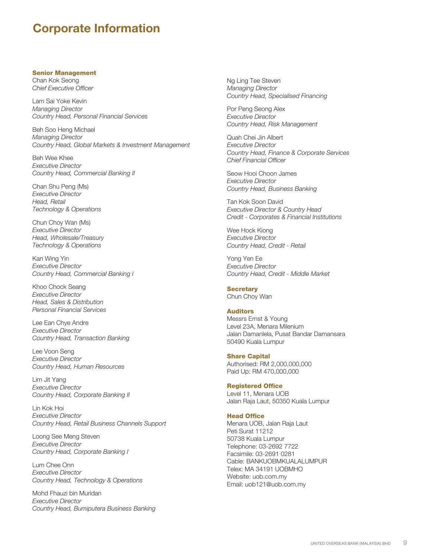## **Corporate Information**

## Senior Management

Chan Kok Seong *Chief Executive Officer*

Lam Sai Yoke Kevin *Managing Director Country Head, Personal Financial Services*

Beh Soo Heng Michael *Managing Director Country Head, Global Markets & Investment Management*

Beh Wee Khee *Executive Director Country Head, Commercial Banking II*

Chan Shu Peng (Ms) *Executive Director Head, Retail Technology & Operations*

Chun Choy Wan (Ms) *Executive Director Head, Wholesale/Treasury Technology & Operations*

Kan Wing Yin *Executive Director Country Head, Commercial Banking I*

Khoo Chock Seang *Executive Director Head, Sales & Distribution Personal Financial Services*

Lee Ean Chye Andre *Executive Director Country Head, Transaction Banking*

Lee Voon Seng *Executive Director Country Head, Human Resources*

Lim Jit Yang *Executive Director Country Head, Corporate Banking II*

Lin Kok Hoi *Executive Director Country Head, Retail Business Channels Support*

Loong See Meng Steven *Executive Director Country Head, Corporate Banking I*

Lum Chee Onn *Executive Director Country Head, Technology & Operations*

Mohd Fhauzi bin Muridan *Executive Director Country Head, Bumiputera Business Banking* Ng Ling Tee Steven *Managing Director Country Head, Specialised Financing*

Por Peng Seong Alex *Executive Director Country Head, Risk Management*

Quah Chei Jin Albert *Executive Director Country Head, Finance & Corporate Services Chief Financial Officer*

Seow Hooi Choon James *Executive Director Country Head, Business Banking*

Tan Kok Soon David *Executive Director & Country Head Credit - Corporates & Financial Institutions*

Wee Hock Kiong *Executive Director Country Head, Credit - Retail*

Yong Yen Ee *Executive Director Country Head, Credit - Middle Market*

## **Secretary**

Chun Choy Wan

## Auditors

Messrs Ernst & Young Level 23A, Menara Milenium Jalan Damanlela, Pusat Bandar Damansara 50490 Kuala Lumpur

### Share Capital

Authorised: RM 2,000,000,000 Paid Up: RM 470,000,000

#### Registered Office

Level 11, Menara UOB Jalan Raja Laut, 50350 Kuala Lumpur

## Head Office

Menara UOB, Jalan Raja Laut Peti Surat 11212 50738 Kuala Lumpur Telephone: 03-2692 7722 Facsimile: 03-2691 0281 Cable: BANKUOBMKUALALUMPUR Telex: MA 34191 UOBMHO Website: uob.com.my Email: uob121@uob.com.my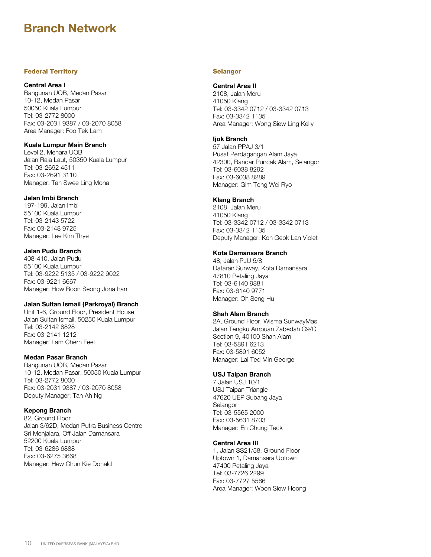## Federal Territory

#### **Central Area I**

Bangunan UOB, Medan Pasar 10-12, Medan Pasar 50050 Kuala Lumpur Tel: 03-2772 8000 Fax: 03-2031 9387 / 03-2070 8058 Area Manager: Foo Tek Lam

#### **Kuala Lumpur Main Branch**

Level 2, Menara UOB Jalan Raja Laut, 50350 Kuala Lumpur Tel: 03-2692 4511 Fax: 03-2691 3110 Manager: Tan Swee Ling Mona

### **Jalan Imbi Branch**

197-199, Jalan Imbi 55100 Kuala Lumpur Tel: 03-2143 5722 Fax: 03-2148 9725 Manager: Lee Kim Thye

## **Jalan Pudu Branch**

408-410, Jalan Pudu 55100 Kuala Lumpur Tel: 03-9222 5135 / 03-9222 9022 Fax: 03-9221 6667 Manager: How Boon Seong Jonathan

## **Jalan Sultan Ismail (Parkroyal) Branch**

Unit 1-6, Ground Floor, President House Jalan Sultan Ismail, 50250 Kuala Lumpur Tel: 03-2142 8828 Fax: 03-2141 1212 Manager: Lam Chern Feei

## **Medan Pasar Branch**

Bangunan UOB, Medan Pasar 10-12, Medan Pasar, 50050 Kuala Lumpur Tel: 03-2772 8000 Fax: 03-2031 9387 / 03-2070 8058 Deputy Manager: Tan Ah Ng

## **Kepong Branch**

82, Ground Floor Jalan 3/62D, Medan Putra Business Centre Sri Menjalara, Off Jalan Damansara 52200 Kuala Lumpur Tel: 03-6286 6888 Fax: 03-6275 3668 Manager: Hew Chun Kie Donald

#### Selangor

## **Central Area II**

2108, Jalan Meru 41050 Klang Tel: 03-3342 0712 / 03-3342 0713 Fax: 03-3342 1135 Area Manager: Wong Siew Ling Kelly

#### **Ijok Branch**

57 Jalan PPAJ 3/1 Pusat Perdagangan Alam Jaya 42300, Bandar Puncak Alam, Selangor Tel: 03-6038 8292 Fax: 03-6038 8289 Manager: Gim Tong Wei Ryo

#### **Klang Branch**

2108, Jalan Meru 41050 Klang Tel: 03-3342 0712 / 03-3342 0713 Fax: 03-3342 1135 Deputy Manager: Koh Geok Lan Violet

## **Kota Damansara Branch**

48, Jalan PJU 5/8 Dataran Sunway, Kota Damansara 47810 Petaling Jaya Tel: 03-6140 9881 Fax: 03-6140 9771 Manager: Oh Seng Hu

## **Shah Alam Branch**

2A, Ground Floor, Wisma SunwayMas Jalan Tengku Ampuan Zabedah C9/C Section 9, 40100 Shah Alam Tel: 03-5891 6213 Fax: 03-5891 6052 Manager: Lai Ted Min George

## **USJ Taipan Branch**

7 Jalan USJ 10/1 USJ Taipan Triangle 47620 UEP Subang Jaya Selangor Tel: 03-5565 2000 Fax: 03-5631 8703 Manager: En Chung Teck

#### **Central Area III**

1, Jalan SS21/58, Ground Floor Uptown 1, Damansara Uptown 47400 Petaling Jaya Tel: 03-7726 2299 Fax: 03-7727 5566 Area Manager: Woon Siew Hoong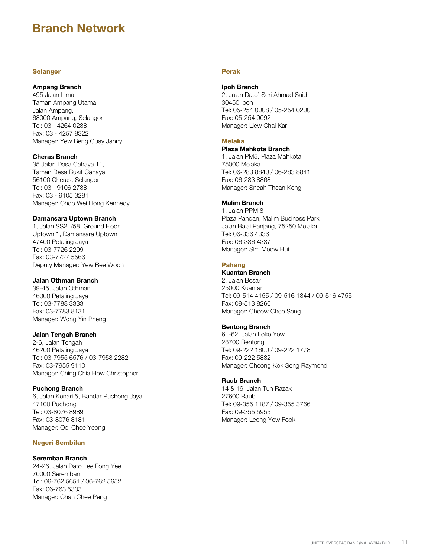### **Selangor**

#### **Ampang Branch**

495 Jalan Lima, Taman Ampang Utama, Jalan Ampang, 68000 Ampang, Selangor Tel: 03 - 4264 0288 Fax: 03 - 4257 8322 Manager: Yew Beng Guay Janny

## **Cheras Branch**

35 Jalan Desa Cahaya 11, Taman Desa Bukit Cahaya, 56100 Cheras, Selangor Tel: 03 - 9106 2788 Fax: 03 - 9105 3281 Manager: Choo Wei Hong Kennedy

#### **Damansara Uptown Branch**

1, Jalan SS21/58, Ground Floor Uptown 1, Damansara Uptown 47400 Petaling Jaya Tel: 03-7726 2299 Fax: 03-7727 5566 Deputy Manager: Yew Bee Woon

## **Jalan Othman Branch**

39-45, Jalan Othman 46000 Petaling Jaya Tel: 03-7788 3333 Fax: 03-7783 8131 Manager: Wong Yin Pheng

## **Jalan Tengah Branch**

2-6, Jalan Tengah 46200 Petaling Jaya Tel: 03-7955 6576 / 03-7958 2282 Fax: 03-7955 9110 Manager: Ching Chia How Christopher

## **Puchong Branch**

6, Jalan Kenari 5, Bandar Puchong Jaya 47100 Puchong Tel: 03-8076 8989 Fax: 03-8076 8181 Manager: Ooi Chee Yeong

## Negeri Sembilan

## **Seremban Branch**

24-26, Jalan Dato Lee Fong Yee 70000 Seremban Tel: 06-762 5651 / 06-762 5652 Fax: 06-763 5303 Manager: Chan Chee Peng

## Perak

#### **Ipoh Branch**

2, Jalan Dato' Seri Ahmad Said 30450 Ipoh Tel: 05-254 0008 / 05-254 0200 Fax: 05-254 9092 Manager: Liew Chai Kar

## Melaka

## **Plaza Mahkota Branch**

1, Jalan PM5, Plaza Mahkota 75000 Melaka Tel: 06-283 8840 / 06-283 8841 Fax: 06-283 8868 Manager: Sneah Thean Keng

## **Malim Branch**

1, Jalan PPM 8 Plaza Pandan, Malim Business Park Jalan Balai Panjang, 75250 Melaka Tel: 06-336 4336 Fax: 06-336 4337 Manager: Sim Meow Hui

#### Pahang

## **Kuantan Branch**

2, Jalan Besar 25000 Kuantan Tel: 09-514 4155 / 09-516 1844 / 09-516 4755 Fax: 09-513 8266 Manager: Cheow Chee Seng

## **Bentong Branch**

61-62, Jalan Loke Yew 28700 Bentong Tel: 09-222 1600 / 09-222 1778 Fax: 09-222 5882 Manager: Cheong Kok Seng Raymond

### **Raub Branch**

14 & 16, Jalan Tun Razak 27600 Raub Tel: 09-355 1187 / 09-355 3766 Fax: 09-355 5955 Manager: Leong Yew Fook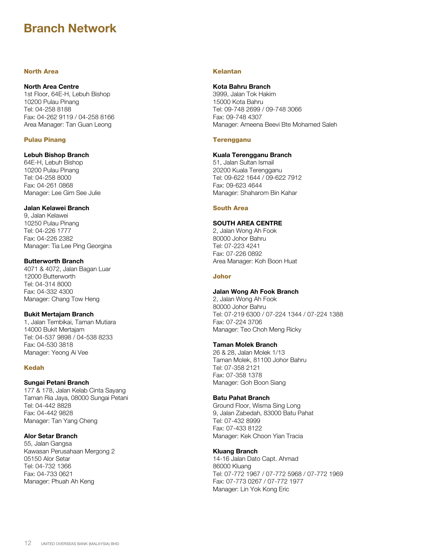## North Area

### **North Area Centre**

1st Floor, 64E-H, Lebuh Bishop 10200 Pulau Pinang Tel: 04-258 8188 Fax: 04-262 9119 / 04-258 8166 Area Manager: Tan Guan Leong

## Pulau Pinang

## **Lebuh Bishop Branch**

64E-H, Lebuh Bishop 10200 Pulau Pinang Tel: 04-258 8000 Fax: 04-261 0868 Manager: Lee Gim See Julie

## **Jalan Kelawei Branch**

9, Jalan Kelawei 10250 Pulau Pinang Tel: 04-226 1777 Fax: 04-226 2382 Manager: Tia Lee Ping Georgina

## **Butterworth Branch**

4071 & 4072, Jalan Bagan Luar 12000 Butterworth Tel: 04-314 8000 Fax: 04-332 4300 Manager: Chang Tow Heng

## **Bukit Mertajam Branch**

1, Jalan Tembikai, Taman Mutiara 14000 Bukit Mertajam Tel: 04-537 9898 / 04-538 8233 Fax: 04-530 3818 Manager: Yeong Ai Vee

## Kedah

## **Sungai Petani Branch**

177 & 178, Jalan Kelab Cinta Sayang Taman Ria Jaya, 08000 Sungai Petani Tel: 04-442 8828 Fax: 04-442 9828 Manager: Tan Yang Cheng

## **Alor Setar Branch**

55, Jalan Gangsa Kawasan Perusahaan Mergong 2 05150 Alor Setar Tel: 04-732 1366 Fax: 04-733 0621 Manager: Phuah Ah Keng

## Kelantan

## **Kota Bahru Branch**

3999, Jalan Tok Hakim 15000 Kota Bahru Tel: 09-748 2699 / 09-748 3066 Fax: 09-748 4307 Manager: Ameena Beevi Bte Mohamed Saleh

#### **Terengganu**

## **Kuala Terengganu Branch**

51, Jalan Sultan Ismail 20200 Kuala Terengganu Tel: 09-622 1644 / 09-622 7912 Fax: 09-623 4644 Manager: Shaharom Bin Kahar

### South Area

## **SOUTH AREA CENTRE**

2, Jalan Wong Ah Fook 80000 Johor Bahru Tel: 07-223 4241 Fax: 07-226 0892 Area Manager: Koh Boon Huat

#### Johor

## **Jalan Wong Ah Fook Branch**

2, Jalan Wong Ah Fook 80000 Johor Bahru Tel: 07-219 6300 / 07-224 1344 / 07-224 1388 Fax: 07-224 3706 Manager: Teo Choh Meng Ricky

## **Taman Molek Branch**

26 & 28, Jalan Molek 1/13 Taman Molek, 81100 Johor Bahru Tel: 07-358 2121 Fax: 07-358 1378 Manager: Goh Boon Siang

## **Batu Pahat Branch**

Ground Floor, Wisma Sing Long 9, Jalan Zabedah, 83000 Batu Pahat Tel: 07-432 8999 Fax: 07-433 8122 Manager: Kek Choon Yian Tracia

## **Kluang Branch**

14-16 Jalan Dato Capt. Ahmad 86000 Kluang Tel: 07-772 1967 / 07-772 5968 / 07-772 1969 Fax: 07-773 0267 / 07-772 1977 Manager: Lin Yok Kong Eric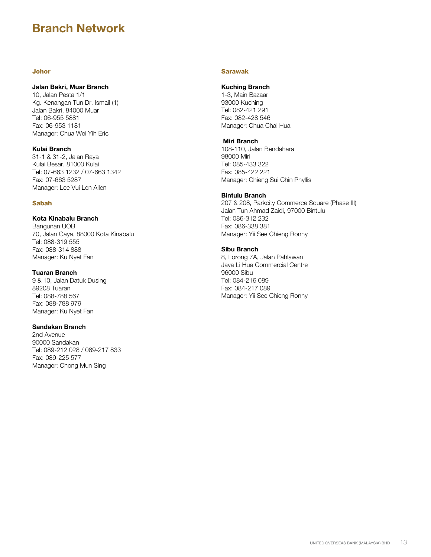## Johor

## **Jalan Bakri, Muar Branch**

10, Jalan Pesta 1/1 Kg. Kenangan Tun Dr. Ismail (1) Jalan Bakri, 84000 Muar Tel: 06-955 5881 Fax: 06-953 1181 Manager: Chua Wei Yih Eric

## **Kulai Branch**

31-1 & 31-2, Jalan Raya Kulai Besar, 81000 Kulai Tel: 07-663 1232 / 07-663 1342 Fax: 07-663 5287 Manager: Lee Vui Len Allen

## Sabah

## **Kota Kinabalu Branch**

Bangunan UOB 70, Jalan Gaya, 88000 Kota Kinabalu Tel: 088-319 555 Fax: 088-314 888 Manager: Ku Nyet Fan

#### **Tuaran Branch**

9 & 10, Jalan Datuk Dusing 89208 Tuaran Tel: 088-788 567 Fax: 088-788 979 Manager: Ku Nyet Fan

## **Sandakan Branch**

2nd Avenue 90000 Sandakan Tel: 089-212 028 / 089-217 833 Fax: 089-225 577 Manager: Chong Mun Sing

## Sarawak

### **Kuching Branch**

1-3, Main Bazaar 93000 Kuching Tel: 082-421 291 Fax: 082-428 546 Manager: Chua Chai Hua

## **Miri Branch**

108-110, Jalan Bendahara 98000 Miri Tel: 085-433 322 Fax: 085-422 221 Manager: Chieng Sui Chin Phyllis

#### **Bintulu Branch**

207 & 208, Parkcity Commerce Square (Phase III) Jalan Tun Ahmad Zaidi, 97000 Bintulu Tel: 086-312 232 Fax: 086-338 381 Manager: Yii See Chieng Ronny

## **Sibu Branch**

8, Lorong 7A, Jalan Pahlawan Jaya Li Hua Commercial Centre 96000 Sibu Tel: 084-216 089 Fax: 084-217 089 Manager: Yii See Chieng Ronny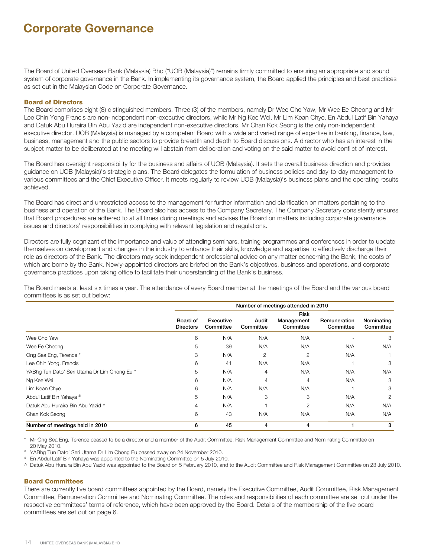## **Corporate Governance**

The Board of United Overseas Bank (Malaysia) Bhd ("UOB (Malaysia)") remains firmly committed to ensuring an appropriate and sound system of corporate governance in the Bank. In implementing its governance system, the Board applied the principles and best practices as set out in the Malaysian Code on Corporate Governance.

#### Board of Directors

The Board comprises eight (8) distinguished members. Three (3) of the members, namely Dr Wee Cho Yaw, Mr Wee Ee Cheong and Mr Lee Chin Yong Francis are non-independent non-executive directors, while Mr Ng Kee Wei, Mr Lim Kean Chye, En Abdul Latif Bin Yahaya and Datuk Abu Huraira Bin Abu Yazid are independent non-executive directors. Mr Chan Kok Seong is the only non-independent executive director. UOB (Malaysia) is managed by a competent Board with a wide and varied range of expertise in banking, finance, law, business, management and the public sectors to provide breadth and depth to Board discussions. A director who has an interest in the subject matter to be deliberated at the meeting will abstain from deliberation and voting on the said matter to avoid conflict of interest.

The Board has oversight responsibility for the business and affairs of UOB (Malaysia). It sets the overall business direction and provides guidance on UOB (Malaysia)'s strategic plans. The Board delegates the formulation of business policies and day-to-day management to various committees and the Chief Executive Officer. It meets regularly to review UOB (Malaysia)'s business plans and the operating results achieved.

The Board has direct and unrestricted access to the management for further information and clarification on matters pertaining to the business and operation of the Bank. The Board also has access to the Company Secretary. The Company Secretary consistently ensures that Board procedures are adhered to at all times during meetings and advises the Board on matters including corporate governance issues and directors' responsibilities in complying with relevant legislation and regulations.

Directors are fully cognizant of the importance and value of attending seminars, training programmes and conferences in order to update themselves on development and changes in the industry to enhance their skills, knowledge and expertise to effectively discharge their role as directors of the Bank. The directors may seek independent professional advice on any matter concerning the Bank, the costs of which are borne by the Bank. Newly-appointed directors are briefed on the Bank's objectives, business and operations, and corporate governance practices upon taking office to facilitate their understanding of the Bank's business.

The Board meets at least six times a year. The attendance of every Board member at the meetings of the Board and the various board committees is as set out below:

|                                              | Number of meetings attended in 2010 |                        |                    |                         |                           |                         |
|----------------------------------------------|-------------------------------------|------------------------|--------------------|-------------------------|---------------------------|-------------------------|
|                                              | <b>Risk</b>                         |                        |                    |                         |                           |                         |
|                                              | Board of<br><b>Directors</b>        | Executive<br>Committee | Audit<br>Committee | Management<br>Committee | Remuneration<br>Committee | Nominating<br>Committee |
| Wee Cho Yaw                                  | 6                                   | N/A                    | N/A                | N/A                     |                           | 3                       |
| Wee Ee Cheong                                | 5                                   | 39                     | N/A                | N/A                     | N/A                       | N/A                     |
| Ong Sea Eng, Terence *                       | 3                                   | N/A                    | 2                  | 2                       | N/A                       |                         |
| Lee Chin Yong, Francis                       | 6                                   | 41                     | N/A                | N/A                     | ۸                         | 3                       |
| YABhg Tun Dato' Seri Utama Dr Lim Chong Eu ° | 5                                   | N/A                    | 4                  | N/A                     | N/A                       | N/A                     |
| Ng Kee Wei                                   | 6                                   | N/A                    | 4                  | $\overline{4}$          | N/A                       | 3                       |
| Lim Kean Chye                                | 6                                   | N/A                    | N/A                | N/A                     |                           | 3                       |
| Abdul Latif Bin Yahaya #                     | 5                                   | N/A                    | 3                  | 3                       | N/A                       | 2                       |
| Datuk Abu Huraira Bin Abu Yazid ^            | 4                                   | N/A                    |                    | $\overline{2}$          | N/A                       | N/A                     |
| Chan Kok Seong                               | 6                                   | 43                     | N/A                | N/A                     | N/A                       | N/A                     |
| Number of meetings held in 2010              | 6                                   | 45                     | 4                  | 4                       |                           | 3                       |

\* Mr Ong Sea Eng, Terence ceased to be a director and a member of the Audit Committee, Risk Management Committee and Nominating Committee on 20 May 2010.

° YABhg Tun Dato' Seri Utama Dr Lim Chong Eu passed away on 24 November 2010.

# En Abdul Latif Bin Yahaya was appointed to the Nominating Committee on 5 July 2010.

^ Datuk Abu Huraira Bin Abu Yazid was appointed to the Board on 5 February 2010, and to the Audit Committee and Risk Management Committee on 23 July 2010.

## Board Committees

There are currently five board committees appointed by the Board, namely the Executive Committee, Audit Committee, Risk Management Committee, Remuneration Committee and Nominating Committee. The roles and responsibilities of each committee are set out under the respective committees' terms of reference, which have been approved by the Board. Details of the membership of the five board committees are set out on page 6.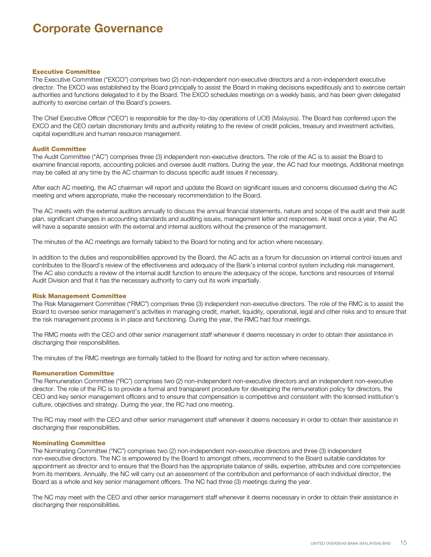## **Corporate Governance**

#### Executive Committee

The Executive Committee ("EXCO") comprises two (2) non-independent non-executive directors and a non-independent executive director. The EXCO was established by the Board principally to assist the Board in making decisions expeditiously and to exercise certain authorities and functions delegated to it by the Board. The EXCO schedules meetings on a weekly basis, and has been given delegated authority to exercise certain of the Board's powers.

The Chief Executive Officer ("CEO") is responsible for the day-to-day operations of UOB (Malaysia). The Board has conferred upon the EXCO and the CEO certain discretionary limits and authority relating to the review of credit policies, treasury and investment activities, capital expenditure and human resource management.

#### Audit Committee

The Audit Committee ("AC") comprises three (3) independent non-executive directors. The role of the AC is to assist the Board to examine financial reports, accounting policies and oversee audit matters. During the year, the AC had four meetings. Additional meetings may be called at any time by the AC chairman to discuss specific audit issues if necessary.

After each AC meeting, the AC chairman will report and update the Board on significant issues and concerns discussed during the AC meeting and where appropriate, make the necessary recommendation to the Board.

The AC meets with the external auditors annually to discuss the annual financial statements, nature and scope of the audit and their audit plan, significant changes in accounting standards and auditing issues, management letter and responses. At least once a year, the AC will have a separate session with the external and internal auditors without the presence of the management.

The minutes of the AC meetings are formally tabled to the Board for noting and for action where necessary.

In addition to the duties and responsibilities approved by the Board, the AC acts as a forum for discussion on internal control issues and contributes to the Board's review of the effectiveness and adequacy of the Bank's internal control system including risk management. The AC also conducts a review of the internal audit function to ensure the adequacy of the scope, functions and resources of Internal Audit Division and that it has the necessary authority to carry out its work impartially.

#### Risk Management Committee

The Risk Management Committee ("RMC") comprises three (3) independent non-executive directors. The role of the RMC is to assist the Board to oversee senior management's activities in managing credit, market, liquidity, operational, legal and other risks and to ensure that the risk management process is in place and functioning. During the year, the RMC had four meetings.

The RMC meets with the CEO and other senior management staff whenever it deems necessary in order to obtain their assistance in discharging their responsibilities.

The minutes of the RMC meetings are formally tabled to the Board for noting and for action where necessary.

#### Remuneration Committee

The Remuneration Committee ("RC") comprises two (2) non-independent non-executive directors and an independent non-executive director. The role of the RC is to provide a formal and transparent procedure for developing the remuneration policy for directors, the CEO and key senior management officers and to ensure that compensation is competitive and consistent with the licensed institution's culture, objectives and strategy. During the year, the RC had one meeting.

The RC may meet with the CEO and other senior management staff whenever it deems necessary in order to obtain their assistance in discharging their responsibilities.

#### Nominating Committee

The Nominating Committee ("NC") comprises two (2) non-independent non-executive directors and three (3) independent non-executive directors. The NC is empowered by the Board to amongst others, recommend to the Board suitable candidates for appointment as director and to ensure that the Board has the appropriate balance of skills, expertise, attributes and core competencies from its members. Annually, the NC will carry out an assessment of the contribution and performance of each individual director, the Board as a whole and key senior management officers. The NC had three (3) meetings during the year.

The NC may meet with the CEO and other senior management staff whenever it deems necessary in order to obtain their assistance in discharging their responsibilities.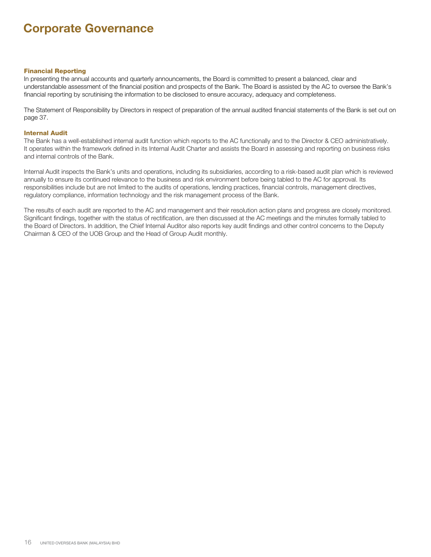## **Corporate Governance**

#### Financial Reporting

In presenting the annual accounts and quarterly announcements, the Board is committed to present a balanced, clear and understandable assessment of the financial position and prospects of the Bank. The Board is assisted by the AC to oversee the Bank's financial reporting by scrutinising the information to be disclosed to ensure accuracy, adequacy and completeness.

The Statement of Responsibility by Directors in respect of preparation of the annual audited financial statements of the Bank is set out on page 37.

#### Internal Audit

The Bank has a well-established internal audit function which reports to the AC functionally and to the Director & CEO administratively. It operates within the framework defined in its Internal Audit Charter and assists the Board in assessing and reporting on business risks and internal controls of the Bank.

Internal Audit inspects the Bank's units and operations, including its subsidiaries, according to a risk-based audit plan which is reviewed annually to ensure its continued relevance to the business and risk environment before being tabled to the AC for approval. Its responsibilities include but are not limited to the audits of operations, lending practices, financial controls, management directives, regulatory compliance, information technology and the risk management process of the Bank.

The results of each audit are reported to the AC and management and their resolution action plans and progress are closely monitored. Significant findings, together with the status of rectification, are then discussed at the AC meetings and the minutes formally tabled to the Board of Directors. In addition, the Chief Internal Auditor also reports key audit findings and other control concerns to the Deputy Chairman & CEO of the UOB Group and the Head of Group Audit monthly.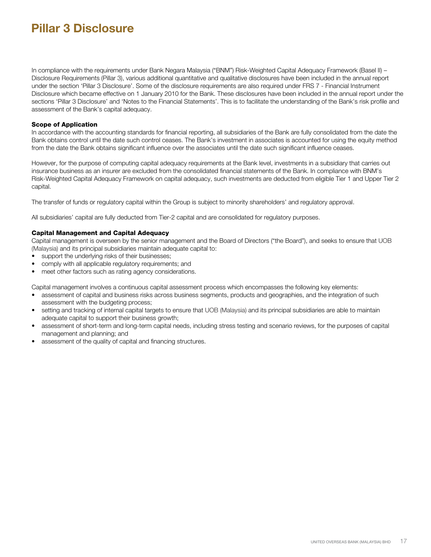In compliance with the requirements under Bank Negara Malaysia ("BNM") Risk-Weighted Capital Adequacy Framework (Basel II) – Disclosure Requirements (Pillar 3), various additional quantitative and qualitative disclosures have been included in the annual report under the section 'Pillar 3 Disclosure'. Some of the disclosure requirements are also required under FRS 7 - Financial Instrument Disclosure which became effective on 1 January 2010 for the Bank. These disclosures have been included in the annual report under the sections 'Pillar 3 Disclosure' and 'Notes to the Financial Statements'. This is to facilitate the understanding of the Bank's risk profile and assessment of the Bank's capital adequacy.

### Scope of Application

In accordance with the accounting standards for financial reporting, all subsidiaries of the Bank are fully consolidated from the date the Bank obtains control until the date such control ceases. The Bank's investment in associates is accounted for using the equity method from the date the Bank obtains significant influence over the associates until the date such significant influence ceases.

However, for the purpose of computing capital adequacy requirements at the Bank level, investments in a subsidiary that carries out insurance business as an insurer are excluded from the consolidated financial statements of the Bank. In compliance with BNM's Risk-Weighted Capital Adequacy Framework on capital adequacy, such investments are deducted from eligible Tier 1 and Upper Tier 2 capital.

The transfer of funds or regulatory capital within the Group is subject to minority shareholders' and regulatory approval.

All subsidiaries' capital are fully deducted from Tier-2 capital and are consolidated for regulatory purposes.

## Capital Management and Capital Adequacy

Capital management is overseen by the senior management and the Board of Directors ("the Board"), and seeks to ensure that UOB (Malaysia) and its principal subsidiaries maintain adequate capital to:

- support the underlying risks of their businesses;
- comply with all applicable regulatory requirements; and
- meet other factors such as rating agency considerations.

Capital management involves a continuous capital assessment process which encompasses the following key elements:

- assessment of capital and business risks across business segments, products and geographies, and the integration of such assessment with the budgeting process;
- setting and tracking of internal capital targets to ensure that UOB (Malaysia) and its principal subsidiaries are able to maintain adequate capital to support their business growth;
- assessment of short-term and long-term capital needs, including stress testing and scenario reviews, for the purposes of capital management and planning; and
- assessment of the quality of capital and financing structures.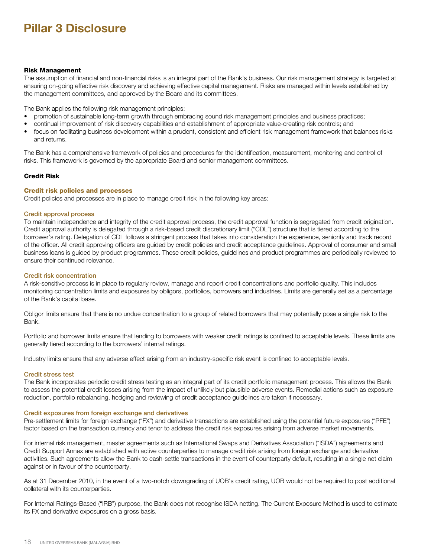### Risk Management

The assumption of financial and non-financial risks is an integral part of the Bank's business. Our risk management strategy is targeted at ensuring on-going effective risk discovery and achieving effective capital management. Risks are managed within levels established by the management committees, and approved by the Board and its committees.

The Bank applies the following risk management principles:

- promotion of sustainable long-term growth through embracing sound risk management principles and business practices;
- continual improvement of risk discovery capabilities and establishment of appropriate value-creating risk controls; and
- focus on facilitating business development within a prudent, consistent and efficient risk management framework that balances risks and returns.

The Bank has a comprehensive framework of policies and procedures for the identification, measurement, monitoring and control of risks. This framework is governed by the appropriate Board and senior management committees.

## Credit Risk

#### Credit risk policies and processes

Credit policies and processes are in place to manage credit risk in the following key areas:

#### Credit approval process

To maintain independence and integrity of the credit approval process, the credit approval function is segregated from credit origination. Credit approval authority is delegated through a risk-based credit discretionary limit ("CDL") structure that is tiered according to the borrower's rating. Delegation of CDL follows a stringent process that takes into consideration the experience, seniority and track record of the officer. All credit approving officers are guided by credit policies and credit acceptance guidelines. Approval of consumer and small business loans is guided by product programmes. These credit policies, guidelines and product programmes are periodically reviewed to ensure their continued relevance.

#### Credit risk concentration

A risk-sensitive process is in place to regularly review, manage and report credit concentrations and portfolio quality. This includes monitoring concentration limits and exposures by obligors, portfolios, borrowers and industries. Limits are generally set as a percentage of the Bank's capital base.

Obligor limits ensure that there is no undue concentration to a group of related borrowers that may potentially pose a single risk to the Bank.

Portfolio and borrower limits ensure that lending to borrowers with weaker credit ratings is confined to acceptable levels. These limits are generally tiered according to the borrowers' internal ratings.

Industry limits ensure that any adverse effect arising from an industry-specific risk event is confined to acceptable levels.

#### Credit stress test

The Bank incorporates periodic credit stress testing as an integral part of its credit portfolio management process. This allows the Bank to assess the potential credit losses arising from the impact of unlikely but plausible adverse events. Remedial actions such as exposure reduction, portfolio rebalancing, hedging and reviewing of credit acceptance guidelines are taken if necessary.

#### Credit exposures from foreign exchange and derivatives

Pre-settlement limits for foreign exchange ("FX") and derivative transactions are established using the potential future exposures ("PFE") factor based on the transaction currency and tenor to address the credit risk exposures arising from adverse market movements.

For internal risk management, master agreements such as International Swaps and Derivatives Association ("ISDA") agreements and Credit Support Annex are established with active counterparties to manage credit risk arising from foreign exchange and derivative activities. Such agreements allow the Bank to cash-settle transactions in the event of counterparty default, resulting in a single net claim against or in favour of the counterparty.

As at 31 December 2010, in the event of a two-notch downgrading of UOB's credit rating, UOB would not be required to post additional collateral with its counterparties.

For Internal Ratings-Based ("IRB") purpose, the Bank does not recognise ISDA netting. The Current Exposure Method is used to estimate its FX and derivative exposures on a gross basis.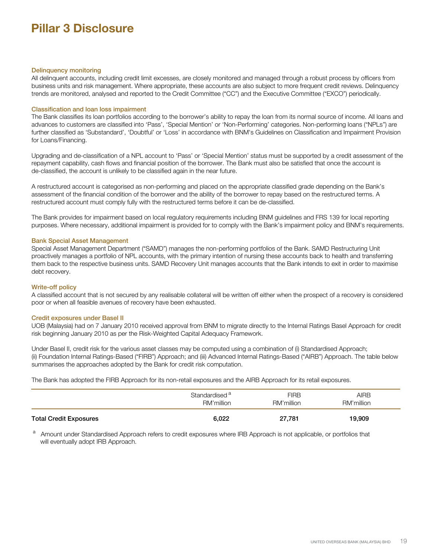#### Delinquency monitoring

All delinquent accounts, including credit limit excesses, are closely monitored and managed through a robust process by officers from business units and risk management. Where appropriate, these accounts are also subject to more frequent credit reviews. Delinquency trends are monitored, analysed and reported to the Credit Committee ("CC") and the Executive Committee ("EXCO") periodically.

### Classification and loan loss impairment

The Bank classifies its loan portfolios according to the borrower's ability to repay the loan from its normal source of income. All loans and advances to customers are classified into 'Pass', 'Special Mention' or 'Non-Performing' categories. Non-performing loans ("NPLs") are further classified as 'Substandard', 'Doubtful' or 'Loss' in accordance with BNM's Guidelines on Classification and Impairment Provision for Loans/Financing.

Upgrading and de-classification of a NPL account to 'Pass' or 'Special Mention' status must be supported by a credit assessment of the repayment capability, cash flows and financial position of the borrower. The Bank must also be satisfied that once the account is de-classified, the account is unlikely to be classified again in the near future.

A restructured account is categorised as non-performing and placed on the appropriate classified grade depending on the Bank's assessment of the financial condition of the borrower and the ability of the borrower to repay based on the restructured terms. A restructured account must comply fully with the restructured terms before it can be de-classified.

The Bank provides for impairment based on local regulatory requirements including BNM guidelines and FRS 139 for local reporting purposes. Where necessary, additional impairment is provided for to comply with the Bank's impairment policy and BNM's requirements.

#### Bank Special Asset Management

Special Asset Management Department ("SAMD") manages the non-performing portfolios of the Bank. SAMD Restructuring Unit proactively manages a portfolio of NPL accounts, with the primary intention of nursing these accounts back to health and transferring them back to the respective business units. SAMD Recovery Unit manages accounts that the Bank intends to exit in order to maximise debt recovery.

#### Write-off policy

A classified account that is not secured by any realisable collateral will be written off either when the prospect of a recovery is considered poor or when all feasible avenues of recovery have been exhausted.

#### Credit exposures under Basel II

UOB (Malaysia) had on 7 January 2010 received approval from BNM to migrate directly to the Internal Ratings Basel Approach for credit risk beginning January 2010 as per the Risk-Weighted Capital Adequacy Framework.

Under Basel II, credit risk for the various asset classes may be computed using a combination of (i) Standardised Approach; (ii) Foundation Internal Ratings-Based ("FIRB") Approach; and (iii) Advanced Internal Ratings-Based ("AIRB") Approach. The table below summarises the approaches adopted by the Bank for credit risk computation.

The Bank has adopted the FIRB Approach for its non-retail exposures and the AIRB Approach for its retail exposures.

|                               | Standardised <sup>a</sup> | <b>FIRB</b> | <b>AIRB</b> |
|-------------------------------|---------------------------|-------------|-------------|
|                               | RM'million                | RM'million  | RM'million  |
| <b>Total Credit Exposures</b> | 6,022                     | 27,781      | 19,909      |

a Amount under Standardised Approach refers to credit exposures where IRB Approach is not applicable, or portfolios that will eventually adopt IRB Approach.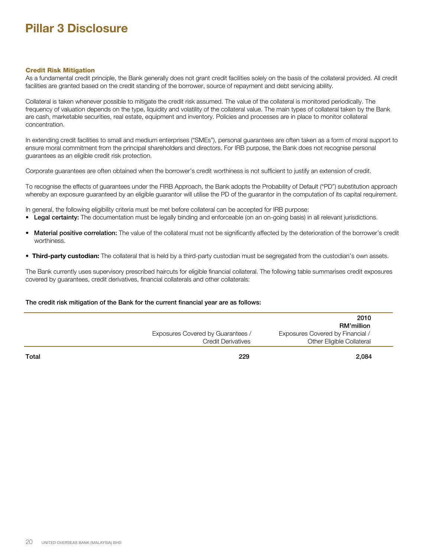#### Credit Risk Mitigation

As a fundamental credit principle, the Bank generally does not grant credit facilities solely on the basis of the collateral provided. All credit facilities are granted based on the credit standing of the borrower, source of repayment and debt servicing ability.

Collateral is taken whenever possible to mitigate the credit risk assumed. The value of the collateral is monitored periodically. The frequency of valuation depends on the type, liquidity and volatility of the collateral value. The main types of collateral taken by the Bank are cash, marketable securities, real estate, equipment and inventory. Policies and processes are in place to monitor collateral concentration.

In extending credit facilities to small and medium enterprises ("SMEs"), personal guarantees are often taken as a form of moral support to ensure moral commitment from the principal shareholders and directors. For IRB purpose, the Bank does not recognise personal guarantees as an eligible credit risk protection.

Corporate guarantees are often obtained when the borrower's credit worthiness is not sufficient to justify an extension of credit.

To recognise the effects of guarantees under the FIRB Approach, the Bank adopts the Probability of Default ("PD") substitution approach whereby an exposure guaranteed by an eligible guarantor will utilise the PD of the guarantor in the computation of its capital requirement.

In general, the following eligibility criteria must be met before collateral can be accepted for IRB purpose:

- Legal certainty: The documentation must be legally binding and enforceable (on an on-going basis) in all relevant jurisdictions.
- Material positive correlation: The value of the collateral must not be significantly affected by the deterioration of the borrower's credit worthiness.
- **Third-party custodian:** The collateral that is held by a third-party custodian must be segregated from the custodian's own assets.

The Bank currently uses supervisory prescribed haircuts for eligible financial collateral. The following table summarises credit exposures covered by guarantees, credit derivatives, financial collaterals and other collaterals:

### The credit risk mitigation of the Bank for the current financial year are as follows:

|                                   | 2010                                    |
|-----------------------------------|-----------------------------------------|
|                                   | <b>RM'million</b>                       |
| Exposures Covered by Guarantees / | <b>Exposures Covered by Financial /</b> |
| <b>Credit Derivatives</b>         | Other Eligible Collateral               |
|                                   |                                         |

Total 229 2,084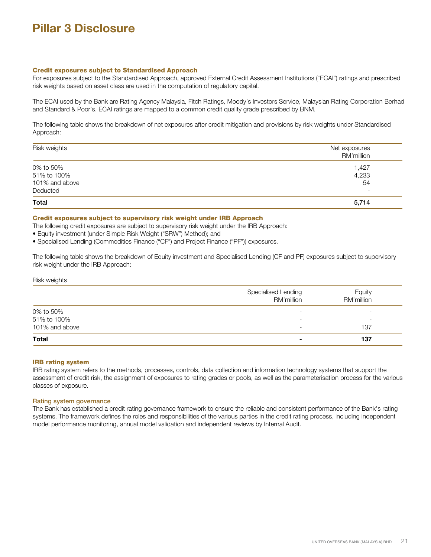#### Credit exposures subject to Standardised Approach

For exposures subject to the Standardised Approach, approved External Credit Assessment Institutions ("ECAI") ratings and prescribed risk weights based on asset class are used in the computation of regulatory capital.

The ECAI used by the Bank are Rating Agency Malaysia, Fitch Ratings, Moody's Investors Service, Malaysian Rating Corporation Berhad and Standard & Poor's. ECAI ratings are mapped to a common credit quality grade prescribed by BNM.

The following table shows the breakdown of net exposures after credit mitigation and provisions by risk weights under Standardised Approach:

| Risk weights   | Net exposures<br>RM'million |
|----------------|-----------------------------|
| 0% to 50%      | 1,427                       |
| 51% to 100%    | 4,233                       |
| 101% and above | 54                          |
| Deducted       | $\overline{\phantom{a}}$    |
| Total          | 5,714                       |

#### Credit exposures subject to supervisory risk weight under IRB Approach

The following credit exposures are subject to supervisory risk weight under the IRB Approach:

- Equity investment (under Simple Risk Weight ("SRW") Method); and
- Specialised Lending (Commodities Finance ("CF") and Project Finance ("PF")) exposures.

The following table shows the breakdown of Equity investment and Specialised Lending (CF and PF) exposures subject to supervisory risk weight under the IRB Approach:

#### Risk weights

|                | Specialised Lending<br>RM'million | Equity<br>RM'million     |
|----------------|-----------------------------------|--------------------------|
| 0% to 50%      |                                   | $\overline{\phantom{0}}$ |
| 51% to 100%    | $\overline{\phantom{0}}$          | $\overline{\phantom{a}}$ |
| 101% and above | -                                 | 137                      |
| <b>Total</b>   |                                   | 137                      |

#### IRB rating system

IRB rating system refers to the methods, processes, controls, data collection and information technology systems that support the assessment of credit risk, the assignment of exposures to rating grades or pools, as well as the parameterisation process for the various classes of exposure.

#### Rating system governance

The Bank has established a credit rating governance framework to ensure the reliable and consistent performance of the Bank's rating systems. The framework defines the roles and responsibilities of the various parties in the credit rating process, including independent model performance monitoring, annual model validation and independent reviews by Internal Audit.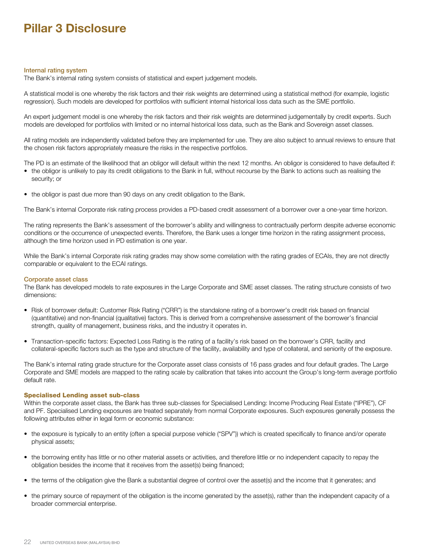#### Internal rating system

The Bank's internal rating system consists of statistical and expert judgement models.

A statistical model is one whereby the risk factors and their risk weights are determined using a statistical method (for example, logistic regression). Such models are developed for portfolios with sufficient internal historical loss data such as the SME portfolio.

An expert judgement model is one whereby the risk factors and their risk weights are determined judgementally by credit experts. Such models are developed for portfolios with limited or no internal historical loss data, such as the Bank and Sovereign asset classes.

All rating models are independently validated before they are implemented for use. They are also subject to annual reviews to ensure that the chosen risk factors appropriately measure the risks in the respective portfolios.

The PD is an estimate of the likelihood that an obligor will default within the next 12 months. An obligor is considered to have defaulted if:

- the obligor is unlikely to pay its credit obligations to the Bank in full, without recourse by the Bank to actions such as realising the security; or
- the obligor is past due more than 90 days on any credit obligation to the Bank.

The Bank's internal Corporate risk rating process provides a PD-based credit assessment of a borrower over a one-year time horizon.

The rating represents the Bank's assessment of the borrower's ability and willingness to contractually perform despite adverse economic conditions or the occurrence of unexpected events. Therefore, the Bank uses a longer time horizon in the rating assignment process, although the time horizon used in PD estimation is one year.

While the Bank's internal Corporate risk rating grades may show some correlation with the rating grades of ECAIs, they are not directly comparable or equivalent to the ECAI ratings.

#### Corporate asset class

The Bank has developed models to rate exposures in the Large Corporate and SME asset classes. The rating structure consists of two dimensions:

- Risk of borrower default: Customer Risk Rating ("CRR") is the standalone rating of a borrower's credit risk based on financial (quantitative) and non-financial (qualitative) factors. This is derived from a comprehensive assessment of the borrower's financial strength, quality of management, business risks, and the industry it operates in.
- Transaction-specific factors: Expected Loss Rating is the rating of a facility's risk based on the borrower's CRR, facility and collateral-specific factors such as the type and structure of the facility, availability and type of collateral, and seniority of the exposure.

The Bank's internal rating grade structure for the Corporate asset class consists of 16 pass grades and four default grades. The Large Corporate and SME models are mapped to the rating scale by calibration that takes into account the Group's long-term average portfolio default rate.

#### Specialised Lending asset sub-class

Within the corporate asset class, the Bank has three sub-classes for Specialised Lending: Income Producing Real Estate ("IPRE"), CF and PF. Specialised Lending exposures are treated separately from normal Corporate exposures. Such exposures generally possess the following attributes either in legal form or economic substance:

- the exposure is typically to an entity (often a special purpose vehicle ("SPV")) which is created specifically to finance and/or operate physical assets;
- the borrowing entity has little or no other material assets or activities, and therefore little or no independent capacity to repay the obligation besides the income that it receives from the asset(s) being financed;
- the terms of the obligation give the Bank a substantial degree of control over the asset(s) and the income that it generates; and
- the primary source of repayment of the obligation is the income generated by the asset(s), rather than the independent capacity of a broader commercial enterprise.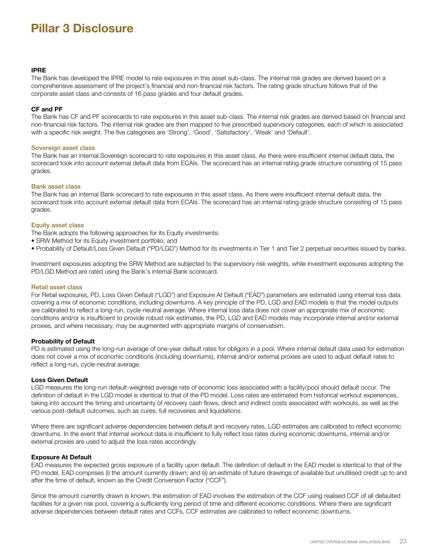### **IPRE**

The Bank has developed the IPRE model to rate exposures in this asset sub-class. The internal risk grades are derived based on a comprehensive assessment of the project's financial and non-financial risk factors. The rating grade structure follows that of the corporate asset class and consists of 16 pass grades and four default grades.

### **CF and PF**

The Bank has CF and PF scorecards to rate exposures in this asset sub-class. The internal risk grades are derived based on financial and non-financial risk factors. The internal risk grades are then mapped to five prescribed supervisory categories, each of which is associated with a specific risk weight. The five categories are 'Strong', 'Good', 'Satisfactory', 'Weak' and 'Default'.

#### Sovereign asset class

The Bank has an internal Sovereign scorecard to rate exposures in this asset class. As there were insufficient internal default data, the scorecard took into account external default data from ECAIs. The scorecard has an internal rating grade structure consisting of 15 pass grades.

#### Bank asset class

The Bank has an internal Bank scorecard to rate exposures in this asset class. As there were insufficient internal default data, the scorecard took into account external default data from ECAIs. The scorecard has an internal rating grade structure consisting of 15 pass grades.

#### Equity asset class

The Bank adopts the following approaches for its Equity investments:

- SRW Method for its Equity investment portfolio; and
- Probability of Default/Loss Given Default ("PD/LGD") Method for its investments in Tier 1 and Tier 2 perpetual securities issued by banks.

Investment exposures adopting the SRW Method are subjected to the supervisory risk weights, while investment exposures adopting the PD/LGD Method are rated using the Bank's internal Bank scorecard.

#### Retail asset class

For Retail exposures, PD, Loss Given Default ("LGD") and Exposure At Default ("EAD") parameters are estimated using internal loss data covering a mix of economic conditions, including downturns. A key principle of the PD, LGD and EAD models is that the model outputs are calibrated to reflect a long-run, cycle-neutral average. Where internal loss data does not cover an appropriate mix of economic conditions and/or is insufficient to provide robust risk estimates, the PD, LGD and EAD models may incorporate internal and/or external proxies, and where necessary, may be augmented with appropriate margins of conservatism.

#### **Probability of Default**

PD is estimated using the long-run average of one-year default rates for obligors in a pool. Where internal default data used for estimation does not cover a mix of economic conditions (including downturns), internal and/or external proxies are used to adjust default rates to reflect a long-run, cycle-neutral average.

#### **Loss Given Default**

LGD measures the long-run default-weighted average rate of economic loss associated with a facility/pool should default occur. The definition of default in the LGD model is identical to that of the PD model. Loss rates are estimated from historical workout experiences, taking into account the timing and uncertainty of recovery cash flows, direct and indirect costs associated with workouts, as well as the various post-default outcomes, such as cures, full recoveries and liquidations.

Where there are significant adverse dependencies between default and recovery rates, LGD estimates are calibrated to reflect economic downturns. In the event that internal workout data is insufficient to fully reflect loss rates during economic downturns, internal and/or external proxies are used to adjust the loss rates accordingly.

#### **Exposure At Default**

EAD measures the expected gross exposure of a facility upon default. The definition of default in the EAD model is identical to that of the PD model. EAD comprises (i) the amount currently drawn; and (ii) an estimate of future drawings of available but unutilised credit up to and after the time of default, known as the Credit Conversion Factor ("CCF").

Since the amount currently drawn is known, the estimation of EAD involves the estimation of the CCF using realised CCF of all defaulted facilities for a given risk pool, covering a sufficiently long period of time and different economic conditions. Where there are significant adverse dependencies between default rates and CCFs, CCF estimates are calibrated to reflect economic downturns.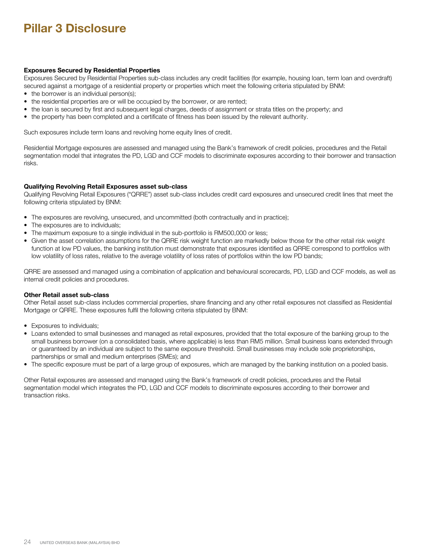## **Exposures Secured by Residential Properties**

Exposures Secured by Residential Properties sub-class includes any credit facilities (for example, housing loan, term loan and overdraft) secured against a mortgage of a residential property or properties which meet the following criteria stipulated by BNM:

- the borrower is an individual person(s);
- the residential properties are or will be occupied by the borrower, or are rented;
- the loan is secured by first and subsequent legal charges, deeds of assignment or strata titles on the property; and
- the property has been completed and a certificate of fitness has been issued by the relevant authority.

Such exposures include term loans and revolving home equity lines of credit.

Residential Mortgage exposures are assessed and managed using the Bank's framework of credit policies, procedures and the Retail segmentation model that integrates the PD, LGD and CCF models to discriminate exposures according to their borrower and transaction risks.

### **Qualifying Revolving Retail Exposures asset sub-class**

Qualifying Revolving Retail Exposures ("QRRE") asset sub-class includes credit card exposures and unsecured credit lines that meet the following criteria stipulated by BNM:

- The exposures are revolving, unsecured, and uncommitted (both contractually and in practice);
- The exposures are to individuals;
- The maximum exposure to a single individual in the sub-portfolio is RM500,000 or less;
- Given the asset correlation assumptions for the QRRE risk weight function are markedly below those for the other retail risk weight function at low PD values, the banking institution must demonstrate that exposures identified as QRRE correspond to portfolios with low volatility of loss rates, relative to the average volatility of loss rates of portfolios within the low PD bands;

QRRE are assessed and managed using a combination of application and behavioural scorecards, PD, LGD and CCF models, as well as internal credit policies and procedures.

#### **Other Retail asset sub-class**

Other Retail asset sub-class includes commercial properties, share financing and any other retail exposures not classified as Residential Mortgage or QRRE. These exposures fulfil the following criteria stipulated by BNM:

- Exposures to individuals;
- Loans extended to small businesses and managed as retail exposures, provided that the total exposure of the banking group to the small business borrower (on a consolidated basis, where applicable) is less than RM5 million. Small business loans extended through or guaranteed by an individual are subject to the same exposure threshold. Small businesses may include sole proprietorships, partnerships or small and medium enterprises (SMEs); and
- The specific exposure must be part of a large group of exposures, which are managed by the banking institution on a pooled basis.

Other Retail exposures are assessed and managed using the Bank's framework of credit policies, procedures and the Retail segmentation model which integrates the PD, LGD and CCF models to discriminate exposures according to their borrower and transaction risks.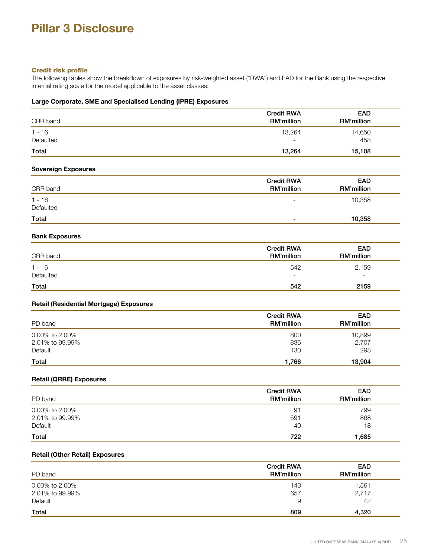## Credit risk profile

The following tables show the breakdown of exposures by risk-weighted asset ("RWA") and EAD for the Bank using the respective internal rating scale for the model applicable to the asset classes:

## **Large Corporate, SME and Specialised Lending (IPRE) Exposures**

| CRR band              | <b>Credit RWA</b><br><b>RM'million</b> | <b>EAD</b><br>RM'million |
|-----------------------|----------------------------------------|--------------------------|
| $1 - 16$<br>Defaulted | 13.264<br>$\overline{\phantom{a}}$     | 14,650<br>458            |
| Total                 | 13,264                                 | 15,108                   |

## **Sovereign Exposures**

| CRR band  | <b>Credit RWA</b><br>RM'million | <b>EAD</b><br>RM'million |
|-----------|---------------------------------|--------------------------|
| $1 - 16$  | $\overline{\phantom{a}}$        | 10,358                   |
| Defaulted | $\overline{\phantom{0}}$        | $\overline{\phantom{a}}$ |
| Total     | $\blacksquare$                  | 10,358                   |

## **Bank Exposures**

| CRR band              | <b>Credit RWA</b><br>RM'million | <b>EAD</b><br>RM'million |
|-----------------------|---------------------------------|--------------------------|
| $1 - 16$<br>Defaulted | 542                             | 2,159                    |
|                       | $\overline{\phantom{a}}$        | $\overline{\phantom{a}}$ |
| Total                 | 542                             | 2159                     |

## **Retail (Residential Mortgage) Exposures**

| PD band         | <b>Credit RWA</b><br>RM'million | <b>EAD</b><br>RM'million |
|-----------------|---------------------------------|--------------------------|
| 0.00% to 2.00%  | 800                             | 10,899                   |
| 2.01% to 99.99% | 836                             | 2,707                    |
| Default         | 130                             | 298                      |
| Total           | 1,766                           | 13,904                   |

## **Retail (QRRE) Exposures**

| PD band         | <b>Credit RWA</b><br>RM'million | <b>EAD</b><br>RM'million |
|-----------------|---------------------------------|--------------------------|
| 0.00% to 2.00%  | 91                              | 799                      |
| 2.01% to 99.99% | 591                             | 868                      |
| Default         | 40                              | 18                       |
| Total           | 722                             | 1,685                    |

## **Retail (Other Retail) Exposures**

| PD band         | <b>Credit RWA</b><br>RM'million | <b>EAD</b><br>RM'million |
|-----------------|---------------------------------|--------------------------|
| 0.00% to 2.00%  | 143                             | 1,561                    |
| 2.01% to 99.99% | 657                             | 2,717                    |
| Default         | 9                               | 42                       |
| Total           | 809                             | 4,320                    |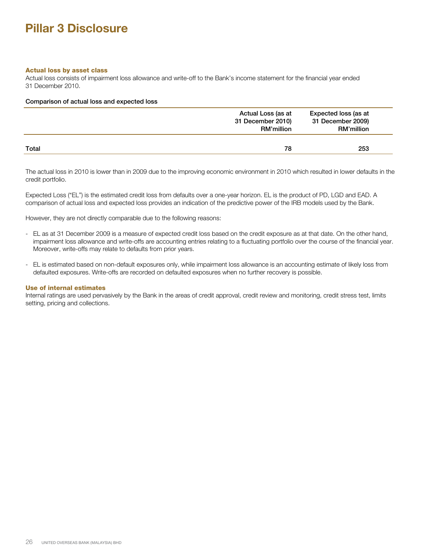## Actual loss by asset class

Actual loss consists of impairment loss allowance and write-off to the Bank's income statement for the financial year ended 31 December 2010.

### Comparison of actual loss and expected loss

|       | Actual Loss (as at<br>31 December 2010)<br><b>RM'million</b> | Expected loss (as at<br>31 December 2009)<br>RM'million |
|-------|--------------------------------------------------------------|---------------------------------------------------------|
| Total | 78                                                           | 253                                                     |

The actual loss in 2010 is lower than in 2009 due to the improving economic environment in 2010 which resulted in lower defaults in the credit portfolio.

Expected Loss ("EL") is the estimated credit loss from defaults over a one-year horizon. EL is the product of PD, LGD and EAD. A comparison of actual loss and expected loss provides an indication of the predictive power of the IRB models used by the Bank.

However, they are not directly comparable due to the following reasons:

- EL as at 31 December 2009 is a measure of expected credit loss based on the credit exposure as at that date. On the other hand, impairment loss allowance and write-offs are accounting entries relating to a fluctuating portfolio over the course of the financial year. Moreover, write-offs may relate to defaults from prior years.
- EL is estimated based on non-default exposures only, while impairment loss allowance is an accounting estimate of likely loss from defaulted exposures. Write-offs are recorded on defaulted exposures when no further recovery is possible.

#### Use of internal estimates

Internal ratings are used pervasively by the Bank in the areas of credit approval, credit review and monitoring, credit stress test, limits setting, pricing and collections.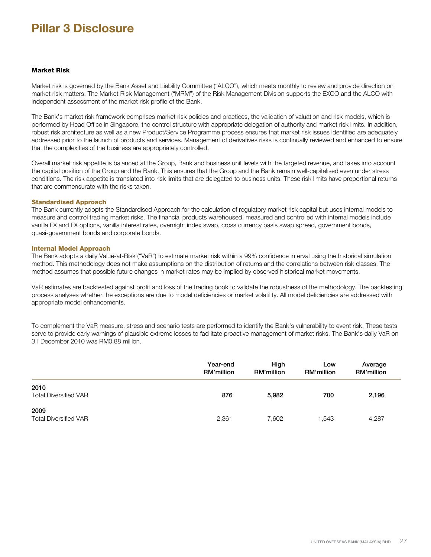#### Market Risk

Market risk is governed by the Bank Asset and Liability Committee ("ALCO"), which meets monthly to review and provide direction on market risk matters. The Market Risk Management ("MRM") of the Risk Management Division supports the EXCO and the ALCO with independent assessment of the market risk profile of the Bank.

The Bank's market risk framework comprises market risk policies and practices, the validation of valuation and risk models, which is performed by Head Office in Singapore, the control structure with appropriate delegation of authority and market risk limits. In addition, robust risk architecture as well as a new Product/Service Programme process ensures that market risk issues identified are adequately addressed prior to the launch of products and services. Management of derivatives risks is continually reviewed and enhanced to ensure that the complexities of the business are appropriately controlled.

Overall market risk appetite is balanced at the Group, Bank and business unit levels with the targeted revenue, and takes into account the capital position of the Group and the Bank. This ensures that the Group and the Bank remain well-capitalised even under stress conditions. The risk appetite is translated into risk limits that are delegated to business units. These risk limits have proportional returns that are commensurate with the risks taken.

## Standardised Approach

The Bank currently adopts the Standardised Approach for the calculation of regulatory market risk capital but uses internal models to measure and control trading market risks. The financial products warehoused, measured and controlled with internal models include vanilla FX and FX options, vanilla interest rates, overnight index swap, cross currency basis swap spread, government bonds, quasi-government bonds and corporate bonds.

#### Internal Model Approach

The Bank adopts a daily Value-at-Risk ("VaR") to estimate market risk within a 99% confidence interval using the historical simulation method. This methodology does not make assumptions on the distribution of returns and the correlations between risk classes. The method assumes that possible future changes in market rates may be implied by observed historical market movements.

VaR estimates are backtested against profit and loss of the trading book to validate the robustness of the methodology. The backtesting process analyses whether the exceptions are due to model deficiencies or market volatility. All model deficiencies are addressed with appropriate model enhancements.

To complement the VaR measure, stress and scenario tests are performed to identify the Bank's vulnerability to event risk. These tests serve to provide early warnings of plausible extreme losses to facilitate proactive management of market risks. The Bank's daily VaR on 31 December 2010 was RM0.88 million.

|                                      | Year-end<br><b>RM'million</b> | High<br><b>RM'million</b> | Low<br>RM'million | Average<br>RM'million |
|--------------------------------------|-------------------------------|---------------------------|-------------------|-----------------------|
| 2010<br><b>Total Diversified VAR</b> | 876                           | 5,982                     | 700               | 2,196                 |
| 2009<br><b>Total Diversified VAR</b> | 2,361                         | 7,602                     | 1,543             | 4,287                 |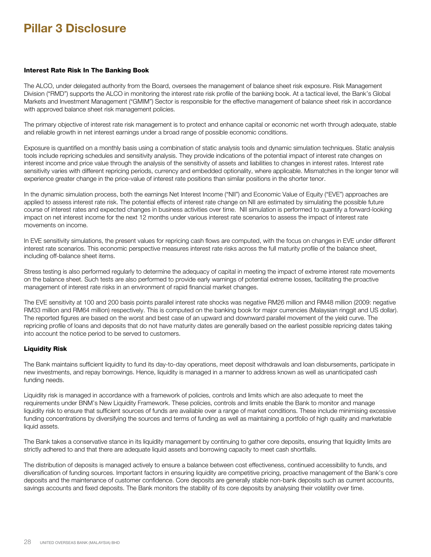#### Interest Rate Risk In The Banking Book

The ALCO, under delegated authority from the Board, oversees the management of balance sheet risk exposure. Risk Management Division ("RMD") supports the ALCO in monitoring the interest rate risk profile of the banking book. At a tactical level, the Bank's Global Markets and Investment Management ("GMIM") Sector is responsible for the effective management of balance sheet risk in accordance with approved balance sheet risk management policies.

The primary objective of interest rate risk management is to protect and enhance capital or economic net worth through adequate, stable and reliable growth in net interest earnings under a broad range of possible economic conditions.

Exposure is quantified on a monthly basis using a combination of static analysis tools and dynamic simulation techniques. Static analysis tools include repricing schedules and sensitivity analysis. They provide indications of the potential impact of interest rate changes on interest income and price value through the analysis of the sensitivity of assets and liabilities to changes in interest rates. Interest rate sensitivity varies with different repricing periods, currency and embedded optionality, where applicable. Mismatches in the longer tenor will experience greater change in the price-value of interest rate positions than similar positions in the shorter tenor.

In the dynamic simulation process, both the earnings Net Interest Income ("NII") and Economic Value of Equity ("EVE") approaches are applied to assess interest rate risk. The potential effects of interest rate change on NII are estimated by simulating the possible future course of interest rates and expected changes in business activities over time. NII simulation is performed to quantify a forward-looking impact on net interest income for the next 12 months under various interest rate scenarios to assess the impact of interest rate movements on income.

In EVE sensitivity simulations, the present values for repricing cash flows are computed, with the focus on changes in EVE under different interest rate scenarios. This economic perspective measures interest rate risks across the full maturity profile of the balance sheet, including off-balance sheet items.

Stress testing is also performed regularly to determine the adequacy of capital in meeting the impact of extreme interest rate movements on the balance sheet. Such tests are also performed to provide early warnings of potential extreme losses, facilitating the proactive management of interest rate risks in an environment of rapid financial market changes.

The EVE sensitivity at 100 and 200 basis points parallel interest rate shocks was negative RM26 million and RM48 million (2009: negative RM33 million and RM64 million) respectively. This is computed on the banking book for major currencies (Malaysian ringgit and US dollar). The reported figures are based on the worst and best case of an upward and downward parallel movement of the yield curve. The repricing profile of loans and deposits that do not have maturity dates are generally based on the earliest possible repricing dates taking into account the notice period to be served to customers.

## Liquidity Risk

The Bank maintains sufficient liquidity to fund its day-to-day operations, meet deposit withdrawals and loan disbursements, participate in new investments, and repay borrowings. Hence, liquidity is managed in a manner to address known as well as unanticipated cash funding needs.

Liquidity risk is managed in accordance with a framework of policies, controls and limits which are also adequate to meet the requirements under BNM's New Liquidity Framework. These policies, controls and limits enable the Bank to monitor and manage liquidity risk to ensure that sufficient sources of funds are available over a range of market conditions. These include minimising excessive funding concentrations by diversifying the sources and terms of funding as well as maintaining a portfolio of high quality and marketable liquid assets.

The Bank takes a conservative stance in its liquidity management by continuing to gather core deposits, ensuring that liquidity limits are strictly adhered to and that there are adequate liquid assets and borrowing capacity to meet cash shortfalls.

The distribution of deposits is managed actively to ensure a balance between cost effectiveness, continued accessibility to funds, and diversification of funding sources. Important factors in ensuring liquidity are competitive pricing, proactive management of the Bank's core deposits and the maintenance of customer confidence. Core deposits are generally stable non-bank deposits such as current accounts, savings accounts and fixed deposits. The Bank monitors the stability of its core deposits by analysing their volatility over time.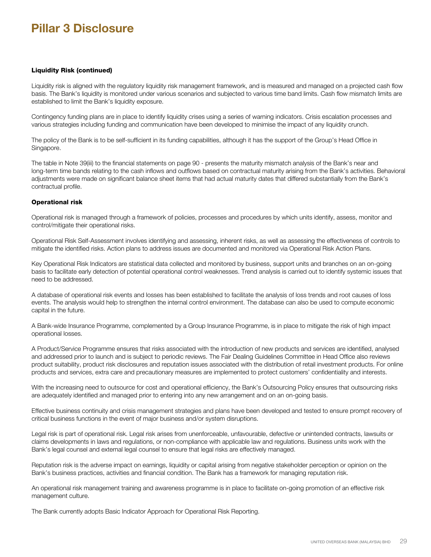## Liquidity Risk (continued)

Liquidity risk is aligned with the regulatory liquidity risk management framework, and is measured and managed on a projected cash flow basis. The Bank's liquidity is monitored under various scenarios and subjected to various time band limits. Cash flow mismatch limits are established to limit the Bank's liquidity exposure.

Contingency funding plans are in place to identify liquidity crises using a series of warning indicators. Crisis escalation processes and various strategies including funding and communication have been developed to minimise the impact of any liquidity crunch.

The policy of the Bank is to be self-sufficient in its funding capabilities, although it has the support of the Group's Head Office in Singapore.

The table in Note 39(iii) to the financial statements on page 90 - presents the maturity mismatch analysis of the Bank's near and long-term time bands relating to the cash inflows and outflows based on contractual maturity arising from the Bank's activities. Behavioral adjustments were made on significant balance sheet items that had actual maturity dates that differed substantially from the Bank's contractual profile.

## Operational risk

Operational risk is managed through a framework of policies, processes and procedures by which units identify, assess, monitor and control/mitigate their operational risks.

Operational Risk Self-Assessment involves identifying and assessing, inherent risks, as well as assessing the effectiveness of controls to mitigate the identified risks. Action plans to address issues are documented and monitored via Operational Risk Action Plans.

Key Operational Risk Indicators are statistical data collected and monitored by business, support units and branches on an on-going basis to facilitate early detection of potential operational control weaknesses. Trend analysis is carried out to identify systemic issues that need to be addressed.

A database of operational risk events and losses has been established to facilitate the analysis of loss trends and root causes of loss events. The analysis would help to strengthen the internal control environment. The database can also be used to compute economic capital in the future.

A Bank-wide Insurance Programme, complemented by a Group Insurance Programme, is in place to mitigate the risk of high impact operational losses.

A Product/Service Programme ensures that risks associated with the introduction of new products and services are identified, analysed and addressed prior to launch and is subject to periodic reviews. The Fair Dealing Guidelines Committee in Head Office also reviews product suitability, product risk disclosures and reputation issues associated with the distribution of retail investment products. For online products and services, extra care and precautionary measures are implemented to protect customers' confidentiality and interests.

With the increasing need to outsource for cost and operational efficiency, the Bank's Outsourcing Policy ensures that outsourcing risks are adequately identified and managed prior to entering into any new arrangement and on an on-going basis.

Effective business continuity and crisis management strategies and plans have been developed and tested to ensure prompt recovery of critical business functions in the event of major business and/or system disruptions.

Legal risk is part of operational risk. Legal risk arises from unenforceable, unfavourable, defective or unintended contracts, lawsuits or claims developments in laws and regulations, or non-compliance with applicable law and regulations. Business units work with the Bank's legal counsel and external legal counsel to ensure that legal risks are effectively managed.

Reputation risk is the adverse impact on earnings, liquidity or capital arising from negative stakeholder perception or opinion on the Bank's business practices, activities and financial condition. The Bank has a framework for managing reputation risk.

An operational risk management training and awareness programme is in place to facilitate on-going promotion of an effective risk management culture.

The Bank currently adopts Basic Indicator Approach for Operational Risk Reporting.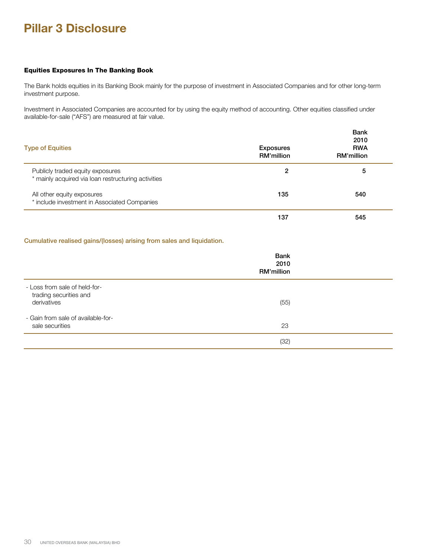## Equities Exposures In The Banking Book

The Bank holds equities in its Banking Book mainly for the purpose of investment in Associated Companies and for other long-term investment purpose.

Investment in Associated Companies are accounted for by using the equity method of accounting. Other equities classified under available-for-sale ("AFS") are measured at fair value.

| <b>Type of Equities</b>                                                                 | <b>Exposures</b><br>RM'million | <b>Bank</b><br>2010<br><b>RWA</b><br>RM'million |
|-----------------------------------------------------------------------------------------|--------------------------------|-------------------------------------------------|
| Publicly traded equity exposures<br>* mainly acquired via loan restructuring activities | 2                              | 5                                               |
| All other equity exposures<br>* include investment in Associated Companies              | 135                            | 540                                             |
|                                                                                         | 137                            | 545                                             |

## Cumulative realised gains/(losses) arising from sales and liquidation.

|                                                                        | <b>Bank</b><br>2010<br>RM'million |  |
|------------------------------------------------------------------------|-----------------------------------|--|
| - Loss from sale of held-for-<br>trading securities and<br>derivatives | (55)                              |  |
| - Gain from sale of available-for-<br>sale securities                  | 23                                |  |
|                                                                        | (32)                              |  |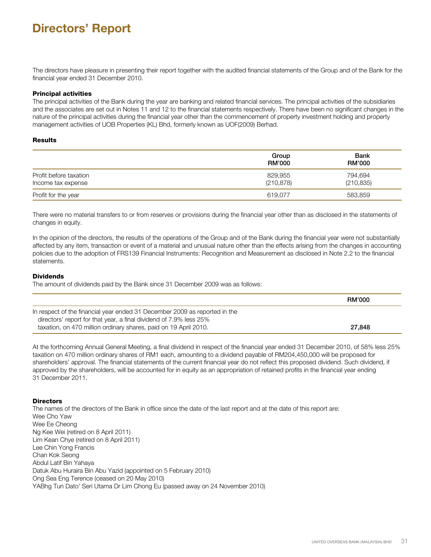The directors have pleasure in presenting their report together with the audited financial statements of the Group and of the Bank for the financial year ended 31 December 2010.

### Principal activities

The principal activities of the Bank during the year are banking and related financial services. The principal activities of the subsidiaries and the associates are set out in Notes 11 and 12 to the financial statements respectively. There have been no significant changes in the nature of the principal activities during the financial year other than the commencement of property investment holding and property management activities of UOB Properties (KL) Bhd, formerly known as UOF(2009) Berhad.

### **Results**

|                                              | Group<br><b>RM'000</b> | <b>Bank</b><br><b>RM'000</b> |
|----------------------------------------------|------------------------|------------------------------|
| Profit before taxation<br>Income tax expense | 829,955<br>(210, 878)  | 794,694<br>(210, 835)        |
| Profit for the year                          | 619.077                | 583,859                      |

There were no material transfers to or from reserves or provisions during the financial year other than as disclosed in the statements of changes in equity.

In the opinion of the directors, the results of the operations of the Group and of the Bank during the financial year were not substantially affected by any item, transaction or event of a material and unusual nature other than the effects arising from the changes in accounting policies due to the adoption of FRS139 Financial Instruments: Recognition and Measurement as disclosed in Note 2.2 to the financial statements.

#### **Dividends**

The amount of dividends paid by the Bank since 31 December 2009 was as follows:

|                                                                                                                                                  | <b>RM'000</b> |
|--------------------------------------------------------------------------------------------------------------------------------------------------|---------------|
| In respect of the financial year ended 31 December 2009 as reported in the<br>directors' report for that year, a final dividend of 7.9% less 25% |               |
| taxation, on 470 million ordinary shares, paid on 19 April 2010.                                                                                 | 27,848        |

At the forthcoming Annual General Meeting, a final dividend in respect of the financial year ended 31 December 2010, of 58% less 25% taxation on 470 million ordinary shares of RM1 each, amounting to a dividend payable of RM204,450,000 will be proposed for shareholders' approval. The financial statements of the current financial year do not reflect this proposed dividend. Such dividend, if approved by the shareholders, will be accounted for in equity as an appropriation of retained profits in the financial year ending 31 December 2011.

## **Directors**

The names of the directors of the Bank in office since the date of the last report and at the date of this report are: Wee Cho Yaw Wee Ee Cheong Ng Kee Wei (retired on 8 April 2011) Lim Kean Chye (retired on 8 April 2011) Lee Chin Yong Francis Chan Kok Seong Abdul Latif Bin Yahaya Datuk Abu Huraira Bin Abu Yazid (appointed on 5 February 2010) Ong Sea Eng Terence (ceased on 20 May 2010) YABhg Tun Dato' Seri Utama Dr Lim Chong Eu (passed away on 24 November 2010)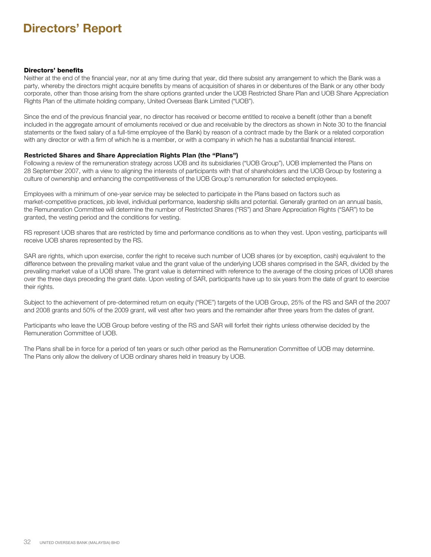## Directors' benefits

Neither at the end of the financial year, nor at any time during that year, did there subsist any arrangement to which the Bank was a party, whereby the directors might acquire benefits by means of acquisition of shares in or debentures of the Bank or any other body corporate, other than those arising from the share options granted under the UOB Restricted Share Plan and UOB Share Appreciation Rights Plan of the ultimate holding company, United Overseas Bank Limited ("UOB").

Since the end of the previous financial year, no director has received or become entitled to receive a benefit (other than a benefit included in the aggregate amount of emoluments received or due and receivable by the directors as shown in Note 30 to the financial statements or the fixed salary of a full-time employee of the Bank) by reason of a contract made by the Bank or a related corporation with any director or with a firm of which he is a member, or with a company in which he has a substantial financial interest.

## Restricted Shares and Share Appreciation Rights Plan (the "Plans")

Following a review of the remuneration strategy across UOB and its subsidiaries ("UOB Group"), UOB implemented the Plans on 28 September 2007, with a view to aligning the interests of participants with that of shareholders and the UOB Group by fostering a culture of ownership and enhancing the competitiveness of the UOB Group's remuneration for selected employees.

Employees with a minimum of one-year service may be selected to participate in the Plans based on factors such as market-competitive practices, job level, individual performance, leadership skills and potential. Generally granted on an annual basis, the Remuneration Committee will determine the number of Restricted Shares ("RS") and Share Appreciation Rights ("SAR") to be granted, the vesting period and the conditions for vesting.

RS represent UOB shares that are restricted by time and performance conditions as to when they vest. Upon vesting, participants will receive UOB shares represented by the RS.

SAR are rights, which upon exercise, confer the right to receive such number of UOB shares (or by exception, cash) equivalent to the difference between the prevailing market value and the grant value of the underlying UOB shares comprised in the SAR, divided by the prevailing market value of a UOB share. The grant value is determined with reference to the average of the closing prices of UOB shares over the three days preceding the grant date. Upon vesting of SAR, participants have up to six years from the date of grant to exercise their rights.

Subject to the achievement of pre-determined return on equity ("ROE") targets of the UOB Group, 25% of the RS and SAR of the 2007 and 2008 grants and 50% of the 2009 grant, will vest after two years and the remainder after three years from the dates of grant.

Participants who leave the UOB Group before vesting of the RS and SAR will forfeit their rights unless otherwise decided by the Remuneration Committee of UOB.

The Plans shall be in force for a period of ten years or such other period as the Remuneration Committee of UOB may determine. The Plans only allow the delivery of UOB ordinary shares held in treasury by UOB.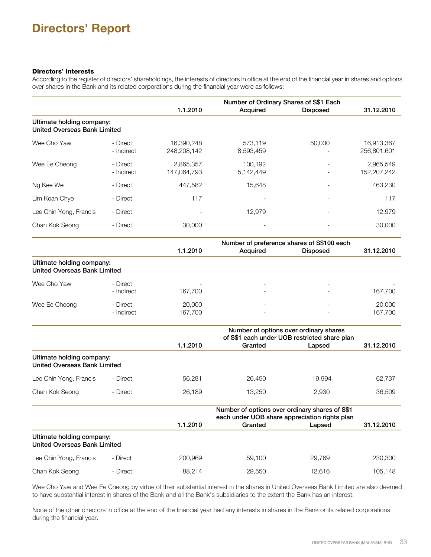## Directors' interests

According to the register of directors' shareholdings, the interests of directors in office at the end of the financial year in shares and options over shares in the Bank and its related corporations during the financial year were as follows:

|                                                                  |                        |                           | Number of Ordinary Shares of S\$1 Each     |                                                                                                           |                           |
|------------------------------------------------------------------|------------------------|---------------------------|--------------------------------------------|-----------------------------------------------------------------------------------------------------------|---------------------------|
|                                                                  |                        | 1.1.2010                  | Acquired                                   | <b>Disposed</b>                                                                                           | 31.12.2010                |
| Ultimate holding company:<br><b>United Overseas Bank Limited</b> |                        |                           |                                            |                                                                                                           |                           |
| Wee Cho Yaw                                                      | - Direct<br>- Indirect | 16,390,248<br>248,208,142 | 573,119<br>8,593,459                       | 50,000                                                                                                    | 16,913,367<br>256,801,601 |
| Wee Ee Cheong                                                    | - Direct<br>- Indirect | 2,865,357<br>147,064,793  | 100,192<br>5,142,449                       |                                                                                                           | 2,965,549<br>152,207,242  |
| Ng Kee Wei                                                       | - Direct               | 447,582                   | 15,648                                     |                                                                                                           | 463,230                   |
| Lim Kean Chye                                                    | - Direct               | 117                       |                                            |                                                                                                           | 117                       |
| Lee Chin Yong, Francis                                           | - Direct               |                           | 12,979                                     |                                                                                                           | 12,979                    |
| Chan Kok Seong                                                   | - Direct               | 30,000                    |                                            |                                                                                                           | 30,000                    |
|                                                                  |                        |                           | Number of preference shares of S\$100 each |                                                                                                           |                           |
|                                                                  |                        | 1.1.2010                  | Acquired                                   | <b>Disposed</b>                                                                                           | 31.12.2010                |
| Ultimate holding company:<br><b>United Overseas Bank Limited</b> |                        |                           |                                            |                                                                                                           |                           |
| Wee Cho Yaw                                                      | - Direct<br>- Indirect | 167,700                   |                                            |                                                                                                           | 167,700                   |
| Wee Ee Cheong                                                    | - Direct<br>- Indirect | 20,000<br>167,700         |                                            |                                                                                                           | 20,000<br>167,700         |
|                                                                  |                        | 1.1.2010                  | Granted                                    | Number of options over ordinary shares<br>of S\$1 each under UOB restricted share plan<br>Lapsed          | 31.12.2010                |
| Ultimate holding company:<br><b>United Overseas Bank Limited</b> |                        |                           |                                            |                                                                                                           |                           |
| Lee Chin Yong, Francis                                           | - Direct               | 56,281                    | 26,450                                     | 19,994                                                                                                    | 62,737                    |
| Chan Kok Seong                                                   | - Direct               | 26,189                    | 13,250                                     | 2,930                                                                                                     | 36,509                    |
|                                                                  |                        | 1.1.2010                  | Granted                                    | Number of options over ordinary shares of S\$1<br>each under UOB share appreciation rights plan<br>Lapsed | 31.12.2010                |
| Ultimate holding company:                                        |                        |                           |                                            |                                                                                                           |                           |
| <b>United Overseas Bank Limited</b>                              |                        |                           |                                            |                                                                                                           |                           |

| Lee Chin Yong, Francis | - Direct | 200.969 | 59.100 | 29.769 | 230,300 |
|------------------------|----------|---------|--------|--------|---------|
| Chan Kok Seong         | - Direct | 88.214  | 29.550 | 12.616 | 105.148 |

Wee Cho Yaw and Wee Ee Cheong by virtue of their substantial interest in the shares in United Overseas Bank Limited are also deemed to have substantial interest in shares of the Bank and all the Bank's subsidiaries to the extent the Bank has an interest.

None of the other directors in office at the end of the financial year had any interests in shares in the Bank or its related corporations during the financial year.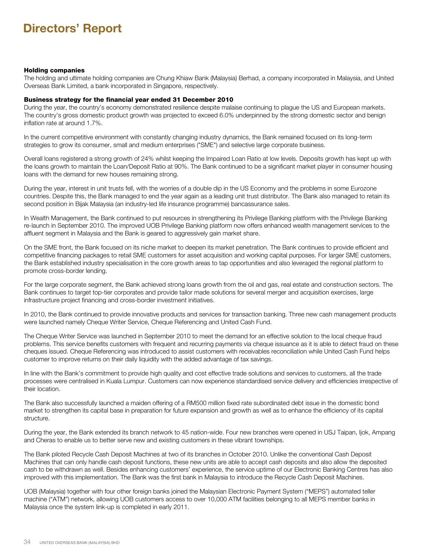#### Holding companies

The holding and ultimate holding companies are Chung Khiaw Bank (Malaysia) Berhad, a company incorporated in Malaysia, and United Overseas Bank Limited, a bank incorporated in Singapore, respectively.

#### Business strategy for the financial year ended 31 December 2010

During the year, the country's economy demonstrated resilience despite malaise continuing to plague the US and European markets. The country's gross domestic product growth was projected to exceed 6.0% underpinned by the strong domestic sector and benign inflation rate at around 1.7%.

In the current competitive environment with constantly changing industry dynamics, the Bank remained focused on its long-term strategies to grow its consumer, small and medium enterprises ("SME") and selective large corporate business.

Overall loans registered a strong growth of 24% whilst keeping the Impaired Loan Ratio at low levels. Deposits growth has kept up with the loans growth to maintain the Loan/Deposit Ratio at 90%. The Bank continued to be a significant market player in consumer housing loans with the demand for new houses remaining strong.

During the year, interest in unit trusts fell, with the worries of a double dip in the US Economy and the problems in some Eurozone countries. Despite this, the Bank managed to end the year again as a leading unit trust distributor. The Bank also managed to retain its second position in Bijak Malaysia (an industry-led life insurance programme) bancassurance sales.

In Wealth Management, the Bank continued to put resources in strengthening its Privilege Banking platform with the Privilege Banking re-launch in September 2010. The improved UOB Privilege Banking platform now offers enhanced wealth management services to the affluent segment in Malaysia and the Bank is geared to aggressively gain market share.

On the SME front, the Bank focused on its niche market to deepen its market penetration. The Bank continues to provide efficient and competitive financing packages to retail SME customers for asset acquisition and working capital purposes. For larger SME customers, the Bank established industry specialisation in the core growth areas to tap opportunities and also leveraged the regional platform to promote cross-border lending.

For the large corporate segment, the Bank achieved strong loans growth from the oil and gas, real estate and construction sectors. The Bank continues to target top-tier corporates and provide tailor made solutions for several merger and acquisition exercises, large infrastructure project financing and cross-border investment initiatives.

In 2010, the Bank continued to provide innovative products and services for transaction banking. Three new cash management products were launched namely Cheque Writer Service, Cheque Referencing and United Cash Fund.

The Cheque Writer Service was launched in September 2010 to meet the demand for an effective solution to the local cheque fraud problems. This service benefits customers with frequent and recurring payments via cheque issuance as it is able to detect fraud on these cheques issued. Cheque Referencing was introduced to assist customers with receivables reconciliation while United Cash Fund helps customer to improve returns on their daily liquidity with the added advantage of tax savings.

In line with the Bank's commitment to provide high quality and cost effective trade solutions and services to customers, all the trade processes were centralised in Kuala Lumpur. Customers can now experience standardised service delivery and efficiencies irrespective of their location.

The Bank also successfully launched a maiden offering of a RM500 million fixed rate subordinated debt issue in the domestic bond market to strengthen its capital base in preparation for future expansion and growth as well as to enhance the efficiency of its capital structure.

During the year, the Bank extended its branch network to 45 nation-wide. Four new branches were opened in USJ Taipan, Ijok, Ampang and Cheras to enable us to better serve new and existing customers in these vibrant townships.

The Bank piloted Recycle Cash Deposit Machines at two of its branches in October 2010. Unlike the conventional Cash Deposit Machines that can only handle cash deposit functions, these new units are able to accept cash deposits and also allow the deposited cash to be withdrawn as well. Besides enhancing customers' experience, the service uptime of our Electronic Banking Centres has also improved with this implementation. The Bank was the first bank in Malaysia to introduce the Recycle Cash Deposit Machines.

UOB (Malaysia) together with four other foreign banks joined the Malaysian Electronic Payment System ("MEPS") automated teller machine ("ATM") network, allowing UOB customers access to over 10,000 ATM facilities belonging to all MEPS member banks in Malaysia once the system link-up is completed in early 2011.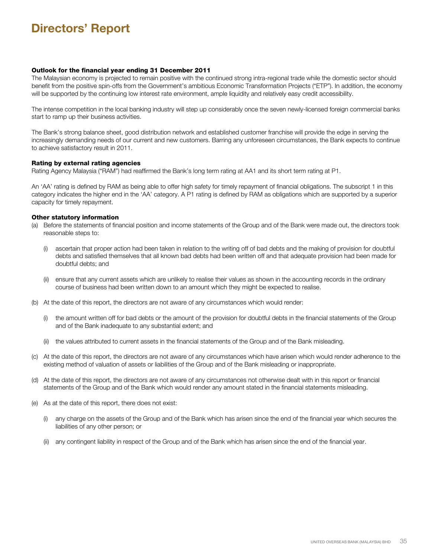### Outlook for the financial year ending 31 December 2011

The Malaysian economy is projected to remain positive with the continued strong intra-regional trade while the domestic sector should benefit from the positive spin-offs from the Government's ambitious Economic Transformation Projects ("ETP"). In addition, the economy will be supported by the continuing low interest rate environment, ample liquidity and relatively easy credit accessibility.

The intense competition in the local banking industry will step up considerably once the seven newly-licensed foreign commercial banks start to ramp up their business activities.

The Bank's strong balance sheet, good distribution network and established customer franchise will provide the edge in serving the increasingly demanding needs of our current and new customers. Barring any unforeseen circumstances, the Bank expects to continue to achieve satisfactory result in 2011.

#### Rating by external rating agencies

Rating Agency Malaysia ("RAM") had reaffirmed the Bank's long term rating at AA1 and its short term rating at P1.

An 'AA' rating is defined by RAM as being able to offer high safety for timely repayment of financial obligations. The subscript 1 in this category indicates the higher end in the 'AA' category. A P1 rating is defined by RAM as obligations which are supported by a superior capacity for timely repayment.

#### Other statutory information

- (a) Before the statements of financial position and income statements of the Group and of the Bank were made out, the directors took reasonable steps to:
	- (i) ascertain that proper action had been taken in relation to the writing off of bad debts and the making of provision for doubtful debts and satisfied themselves that all known bad debts had been written off and that adequate provision had been made for doubtful debts; and
	- (ii) ensure that any current assets which are unlikely to realise their values as shown in the accounting records in the ordinary course of business had been written down to an amount which they might be expected to realise.
- (b) At the date of this report, the directors are not aware of any circumstances which would render:
	- (i) the amount written off for bad debts or the amount of the provision for doubtful debts in the financial statements of the Group and of the Bank inadequate to any substantial extent; and
	- (ii) the values attributed to current assets in the financial statements of the Group and of the Bank misleading.
- (c) At the date of this report, the directors are not aware of any circumstances which have arisen which would render adherence to the existing method of valuation of assets or liabilities of the Group and of the Bank misleading or inappropriate.
- (d) At the date of this report, the directors are not aware of any circumstances not otherwise dealt with in this report or financial statements of the Group and of the Bank which would render any amount stated in the financial statements misleading.
- (e) As at the date of this report, there does not exist:
	- (i) any charge on the assets of the Group and of the Bank which has arisen since the end of the financial year which secures the liabilities of any other person; or
	- (ii) any contingent liability in respect of the Group and of the Bank which has arisen since the end of the financial year.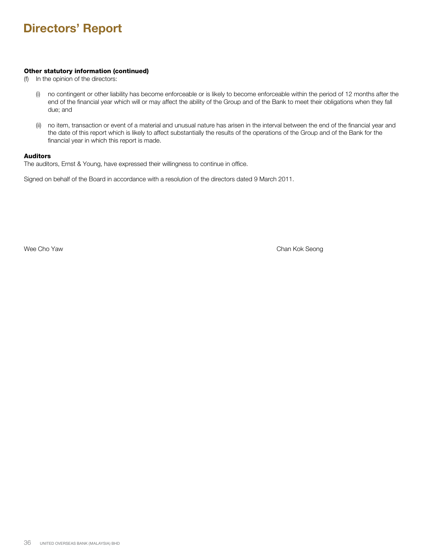## Other statutory information (continued)

- (f) In the opinion of the directors:
	- (i) no contingent or other liability has become enforceable or is likely to become enforceable within the period of 12 months after the end of the financial year which will or may affect the ability of the Group and of the Bank to meet their obligations when they fall due; and
	- (ii) no item, transaction or event of a material and unusual nature has arisen in the interval between the end of the financial year and the date of this report which is likely to affect substantially the results of the operations of the Group and of the Bank for the financial year in which this report is made.

## Auditors

The auditors, Ernst & Young, have expressed their willingness to continue in office.

Signed on behalf of the Board in accordance with a resolution of the directors dated 9 March 2011.

Wee Cho Yaw Chan Kok Seong Nasar Album Chan Kok Seong Nasar Album Chan Kok Seong Nasar Album Chan Kok Seong Na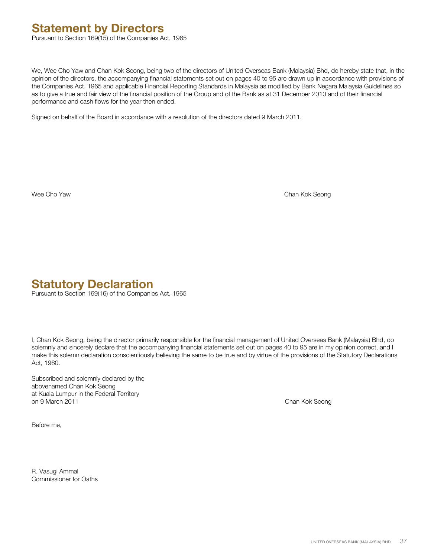## **Statement by Directors**

Pursuant to Section 169(15) of the Companies Act, 1965

We, Wee Cho Yaw and Chan Kok Seong, being two of the directors of United Overseas Bank (Malaysia) Bhd, do hereby state that, in the opinion of the directors, the accompanying financial statements set out on pages 40 to 95 are drawn up in accordance with provisions of the Companies Act, 1965 and applicable Financial Reporting Standards in Malaysia as modified by Bank Negara Malaysia Guidelines so as to give a true and fair view of the financial position of the Group and of the Bank as at 31 December 2010 and of their financial performance and cash flows for the year then ended.

Signed on behalf of the Board in accordance with a resolution of the directors dated 9 March 2011.

Wee Cho Yaw Chan Kok Seong

## **Statutory Declaration**

Pursuant to Section 169(16) of the Companies Act, 1965

I, Chan Kok Seong, being the director primarily responsible for the financial management of United Overseas Bank (Malaysia) Bhd, do solemnly and sincerely declare that the accompanying financial statements set out on pages 40 to 95 are in my opinion correct, and I make this solemn declaration conscientiously believing the same to be true and by virtue of the provisions of the Statutory Declarations Act, 1960.

Subscribed and solemnly declared by the abovenamed Chan Kok Seong at Kuala Lumpur in the Federal Territory on 9 March 2011 Chan Kok Seong

Before me,

R. Vasugi Ammal Commissioner for Oaths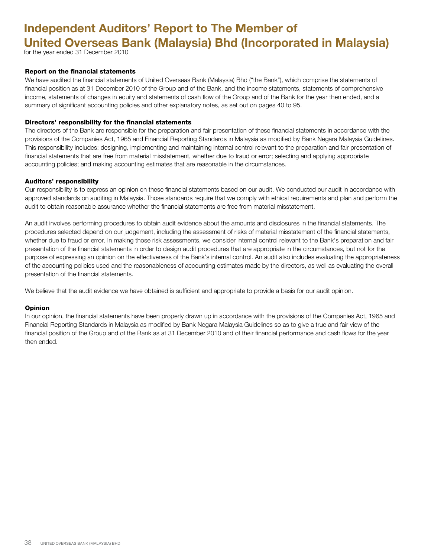# **Independent Auditors' Report to The Member of United Overseas Bank (Malaysia) Bhd (Incorporated in Malaysia)**

for the year ended 31 December 2010

## Report on the financial statements

We have audited the financial statements of United Overseas Bank (Malaysia) Bhd ("the Bank"), which comprise the statements of financial position as at 31 December 2010 of the Group and of the Bank, and the income statements, statements of comprehensive income, statements of changes in equity and statements of cash flow of the Group and of the Bank for the year then ended, and a summary of significant accounting policies and other explanatory notes, as set out on pages 40 to 95.

## Directors' responsibility for the financial statements

The directors of the Bank are responsible for the preparation and fair presentation of these financial statements in accordance with the provisions of the Companies Act, 1965 and Financial Reporting Standards in Malaysia as modified by Bank Negara Malaysia Guidelines. This responsibility includes: designing, implementing and maintaining internal control relevant to the preparation and fair presentation of financial statements that are free from material misstatement, whether due to fraud or error; selecting and applying appropriate accounting policies; and making accounting estimates that are reasonable in the circumstances.

## Auditors' responsibility

Our responsibility is to express an opinion on these financial statements based on our audit. We conducted our audit in accordance with approved standards on auditing in Malaysia. Those standards require that we comply with ethical requirements and plan and perform the audit to obtain reasonable assurance whether the financial statements are free from material misstatement.

An audit involves performing procedures to obtain audit evidence about the amounts and disclosures in the financial statements. The procedures selected depend on our judgement, including the assessment of risks of material misstatement of the financial statements, whether due to fraud or error. In making those risk assessments, we consider internal control relevant to the Bank's preparation and fair presentation of the financial statements in order to design audit procedures that are appropriate in the circumstances, but not for the purpose of expressing an opinion on the effectiveness of the Bank's internal control. An audit also includes evaluating the appropriateness of the accounting policies used and the reasonableness of accounting estimates made by the directors, as well as evaluating the overall presentation of the financial statements.

We believe that the audit evidence we have obtained is sufficient and appropriate to provide a basis for our audit opinion.

## Opinion

In our opinion, the financial statements have been properly drawn up in accordance with the provisions of the Companies Act, 1965 and Financial Reporting Standards in Malaysia as modified by Bank Negara Malaysia Guidelines so as to give a true and fair view of the financial position of the Group and of the Bank as at 31 December 2010 and of their financial performance and cash flows for the year then ended.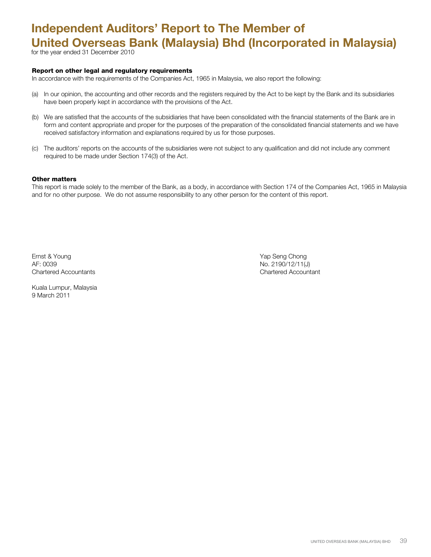# **Independent Auditors' Report to The Member of United Overseas Bank (Malaysia) Bhd (Incorporated in Malaysia)**

for the year ended 31 December 2010

#### Report on other legal and regulatory requirements

In accordance with the requirements of the Companies Act, 1965 in Malaysia, we also report the following:

- (a) In our opinion, the accounting and other records and the registers required by the Act to be kept by the Bank and its subsidiaries have been properly kept in accordance with the provisions of the Act.
- (b) We are satisfied that the accounts of the subsidiaries that have been consolidated with the financial statements of the Bank are in form and content appropriate and proper for the purposes of the preparation of the consolidated financial statements and we have received satisfactory information and explanations required by us for those purposes.
- (c) The auditors' reports on the accounts of the subsidiaries were not subject to any qualification and did not include any comment required to be made under Section 174(3) of the Act.

#### Other matters

This report is made solely to the member of the Bank, as a body, in accordance with Section 174 of the Companies Act, 1965 in Malaysia and for no other purpose. We do not assume responsibility to any other person for the content of this report.

Ernst & Young Yap Seng Chong AF: 0039 No. 2190/12/11(J) Chartered Accountants Chartered Accountant

Kuala Lumpur, Malaysia 9 March 2011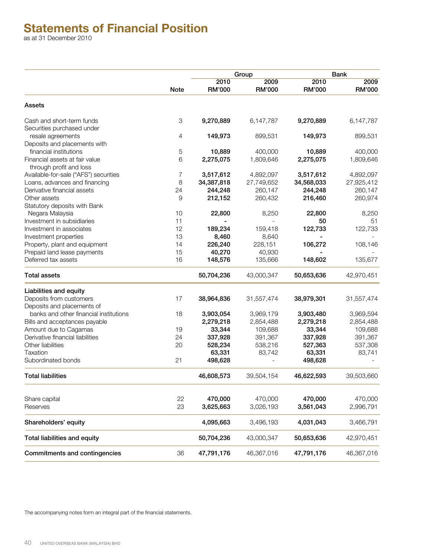## **Statements of Financial Position**

as at 31 December 2010

|                                                           |             |                       | Group                 |                       | <b>Bank</b>           |
|-----------------------------------------------------------|-------------|-----------------------|-----------------------|-----------------------|-----------------------|
|                                                           | <b>Note</b> | 2010<br><b>RM'000</b> | 2009<br><b>RM'000</b> | 2010<br><b>RM'000</b> | 2009<br><b>RM'000</b> |
| Assets                                                    |             |                       |                       |                       |                       |
| Cash and short-term funds                                 | $\,3$       | 9,270,889             | 6,147,787             | 9,270,889             | 6,147,787             |
| Securities purchased under                                |             |                       |                       |                       |                       |
| resale agreements                                         | 4           | 149,973               | 899,531               | 149,973               | 899,531               |
| Deposits and placements with                              |             |                       |                       |                       |                       |
| financial institutions                                    | 5           | 10,889                | 400,000               | 10,889                | 400,000               |
| Financial assets at fair value<br>through profit and loss | 6           | 2,275,075             | 1,809,646             | 2,275,075             | 1,809,646             |
| Available-for-sale ("AFS") securities                     | 7           | 3,517,612             | 4,892,097             | 3,517,612             | 4,892,097             |
| Loans, advances and financing                             | 8           | 34,387,818            | 27,749,652            | 34,568,033            | 27,925,412            |
| Derivative financial assets                               | 24          | 244,248               | 260,147               | 244,248               | 260,147               |
| Other assets                                              | 9           | 212,152               | 260,432               | 216,460               | 260,974               |
| Statutory deposits with Bank                              |             |                       |                       |                       |                       |
| Negara Malaysia                                           | 10          | 22,800                | 8,250                 | 22,800                | 8,250                 |
| Investment in subsidiaries                                | 11          |                       |                       | 50                    | 51                    |
| Investment in associates                                  | 12          | 189,234               | 159,418               | 122,733               | 122,733               |
| Investment properties                                     | 13          | 8,460                 | 8,640                 |                       |                       |
| Property, plant and equipment                             | 14          | 226,240               | 228,151               | 106,272               | 108,146               |
| Prepaid land lease payments                               | 15          | 40,270                | 40,930                |                       |                       |
| Deferred tax assets                                       | 16          | 148,576               | 135,666               | 148,602               | 135,677               |
| <b>Total assets</b>                                       |             | 50,704,236            | 43,000,347            | 50,653,636            | 42,970,451            |
| Liabilities and equity                                    |             |                       |                       |                       |                       |
| Deposits from customers                                   | 17          | 38,964,836            | 31,557,474            | 38,979,301            | 31,557,474            |
| Deposits and placements of                                |             |                       |                       |                       |                       |
| banks and other financial institutions                    | 18          | 3,903,054             | 3,969,179             | 3,903,480             | 3,969,594             |
| Bills and acceptances payable                             |             | 2,279,218             | 2,854,488             | 2,279,218             | 2,854,488             |
| Amount due to Cagamas                                     | 19          | 33,344                | 109,688               | 33,344                | 109,688               |
| Derivative financial liabilities                          | 24          | 337,928               | 391,367               | 337,928               | 391,367               |
| Other liabilities                                         | 20          | 528,234               | 538,216               | 527,363               | 537,308               |
| Taxation                                                  |             | 63,331                | 83,742                | 63,331                | 83,741                |
| Subordinated bonds                                        | 21          | 498,628               |                       | 498,628               |                       |
| <b>Total liabilities</b>                                  |             | 46,608,573            | 39,504,154            | 46,622,593            | 39,503,660            |
| Share capital                                             | 22          | 470,000               | 470,000               | 470,000               | 470,000               |
| Reserves                                                  | 23          | 3,625,663             | 3,026,193             | 3,561,043             | 2,996,791             |
| Shareholders' equity                                      |             | 4,095,663             | 3,496,193             | 4,031,043             | 3,466,791             |
| Total liabilities and equity                              |             | 50,704,236            | 43,000,347            | 50,653,636            | 42,970,451            |
| Commitments and contingencies                             | 36          | 47,791,176            | 46,367,016            | 47,791,176            | 46,367,016            |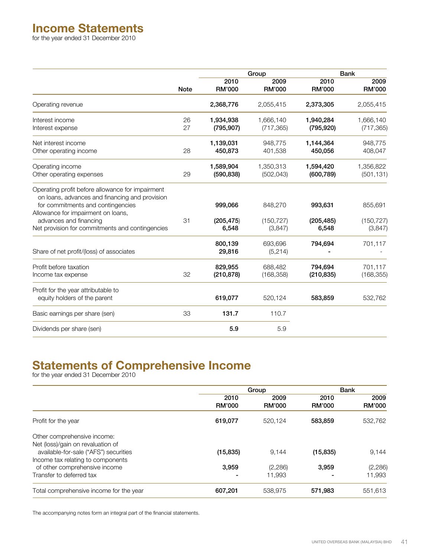## **Income Statements**

for the year ended 31 December 2010

|                                                                                                                                                                               |             |                         | Group                   |                         | <b>Bank</b>             |
|-------------------------------------------------------------------------------------------------------------------------------------------------------------------------------|-------------|-------------------------|-------------------------|-------------------------|-------------------------|
|                                                                                                                                                                               | <b>Note</b> | 2010<br><b>RM'000</b>   | 2009<br><b>RM'000</b>   | 2010<br><b>RM'000</b>   | 2009<br><b>RM'000</b>   |
| Operating revenue                                                                                                                                                             |             | 2,368,776               | 2,055,415               | 2,373,305               | 2,055,415               |
| Interest income<br>Interest expense                                                                                                                                           | 26<br>27    | 1,934,938<br>(795, 907) | 1,666,140<br>(717, 365) | 1,940,284<br>(795, 920) | 1,666,140<br>(717, 365) |
| Net interest income<br>Other operating income                                                                                                                                 | 28          | 1,139,031<br>450,873    | 948,775<br>401,538      | 1,144,364<br>450,056    | 948,775<br>408,047      |
| Operating income<br>Other operating expenses                                                                                                                                  | 29          | 1,589,904<br>(590, 838) | 1,350,313<br>(502, 043) | 1,594,420<br>(600, 789) | 1,356,822<br>(501, 131) |
| Operating profit before allowance for impairment<br>on loans, advances and financing and provision<br>for commitments and contingencies<br>Allowance for impairment on loans, |             | 999,066                 | 848,270                 | 993,631                 | 855,691                 |
| advances and financing<br>Net provision for commitments and contingencies                                                                                                     | 31          | (205, 475)<br>6,548     | (150, 727)<br>(3,847)   | (205, 485)<br>6,548     | (150, 727)<br>(3,847)   |
| Share of net profit/(loss) of associates                                                                                                                                      |             | 800,139<br>29,816       | 693,696<br>(5,214)      | 794,694                 | 701,117                 |
| Profit before taxation<br>Income tax expense                                                                                                                                  | 32          | 829,955<br>(210, 878)   | 688,482<br>(168, 358)   | 794,694<br>(210, 835)   | 701,117<br>(168, 355)   |
| Profit for the year attributable to<br>equity holders of the parent                                                                                                           |             | 619,077                 | 520,124                 | 583,859                 | 532,762                 |
| Basic earnings per share (sen)                                                                                                                                                | 33          | 131.7                   | 110.7                   |                         |                         |
| Dividends per share (sen)                                                                                                                                                     |             | 5.9                     | 5.9                     |                         |                         |

## **Statements of Comprehensive Income**

for the year ended 31 December 2010

|                                                                  | Group                 |                       | <b>Bank</b>    |                       |
|------------------------------------------------------------------|-----------------------|-----------------------|----------------|-----------------------|
|                                                                  | 2010<br><b>RM'000</b> | 2009<br><b>RM'000</b> | 2010<br>RM'000 | 2009<br><b>RM'000</b> |
| Profit for the year                                              | 619,077               | 520.124               | 583.859        | 532,762               |
| Other comprehensive income:<br>Net (loss)/gain on revaluation of |                       |                       |                |                       |
| available-for-sale ("AFS") securities                            | (15, 835)             | 9,144                 | (15, 835)      | 9,144                 |
| Income tax relating to components                                |                       |                       |                |                       |
| of other comprehensive income                                    | 3,959                 | (2,286)               | 3,959          | (2,286)               |
| Transfer to deferred tax                                         |                       | 11.993                |                | 11,993                |
| Total comprehensive income for the year                          | 607,201               | 538,975               | 571,983        | 551,613               |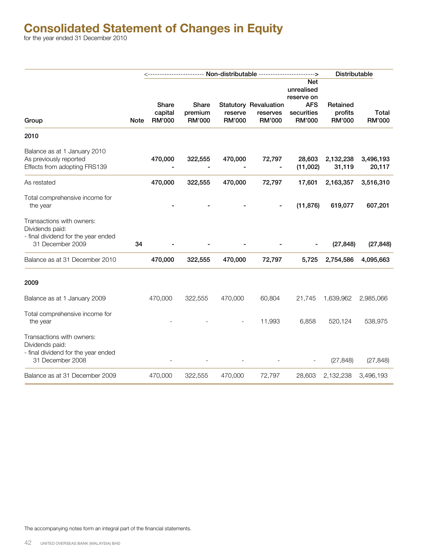|                                                                                                         |             |                                          |                                   |                          |                                                           |                                                                              | Distributable                        |                        |
|---------------------------------------------------------------------------------------------------------|-------------|------------------------------------------|-----------------------------------|--------------------------|-----------------------------------------------------------|------------------------------------------------------------------------------|--------------------------------------|------------------------|
| Group                                                                                                   | <b>Note</b> | <b>Share</b><br>capital<br><b>RM'000</b> | Share<br>premium<br><b>RM'000</b> | reserve<br><b>RM'000</b> | <b>Statutory Revaluation</b><br>reserves<br><b>RM'000</b> | Net<br>unrealised<br>reserve on<br><b>AFS</b><br>securities<br><b>RM'000</b> | Retained<br>profits<br><b>RM'000</b> | Total<br><b>RM'000</b> |
| 2010                                                                                                    |             |                                          |                                   |                          |                                                           |                                                                              |                                      |                        |
| Balance as at 1 January 2010<br>As previously reported<br>Effects from adopting FRS139                  |             | 470,000                                  | 322,555                           | 470,000                  | 72,797                                                    | 28,603<br>(11,002)                                                           | 2,132,238<br>31,119                  | 3,496,193<br>20,117    |
| As restated                                                                                             |             | 470,000                                  | 322,555                           | 470,000                  | 72,797                                                    | 17,601                                                                       | 2,163,357                            | 3,516,310              |
| Total comprehensive income for<br>the year                                                              |             |                                          |                                   |                          |                                                           | (11, 876)                                                                    | 619,077                              | 607,201                |
| Transactions with owners:<br>Dividends paid:<br>- final dividend for the year ended                     |             |                                          |                                   |                          |                                                           |                                                                              |                                      |                        |
| 31 December 2009                                                                                        | 34          |                                          |                                   |                          |                                                           |                                                                              | (27, 848)                            | (27, 848)              |
| Balance as at 31 December 2010                                                                          |             | 470,000                                  | 322,555                           | 470,000                  | 72,797                                                    | 5,725                                                                        | 2,754,586                            | 4,095,663              |
| 2009                                                                                                    |             |                                          |                                   |                          |                                                           |                                                                              |                                      |                        |
| Balance as at 1 January 2009                                                                            |             | 470,000                                  | 322,555                           | 470,000                  | 60,804                                                    | 21,745                                                                       | 1,639,962                            | 2,985,066              |
| Total comprehensive income for<br>the year                                                              |             |                                          |                                   |                          | 11,993                                                    | 6,858                                                                        | 520,124                              | 538,975                |
| Transactions with owners:<br>Dividends paid:<br>- final dividend for the year ended<br>31 December 2008 |             |                                          |                                   |                          |                                                           |                                                                              | (27, 848)                            | (27, 848)              |
| Balance as at 31 December 2009                                                                          |             | 470,000                                  | 322,555                           | 470,000                  | 72,797                                                    | 28,603                                                                       | 2,132,238                            | 3,496,193              |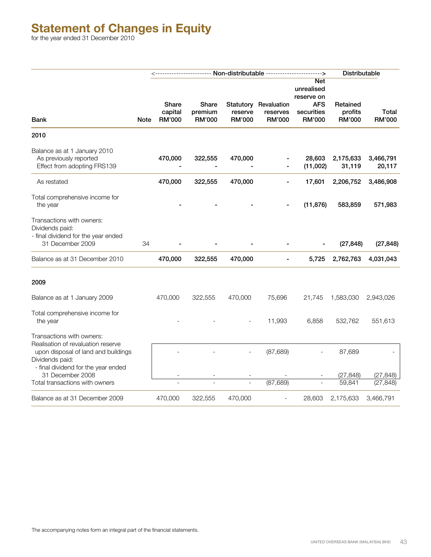## **Statement of Changes in Equity**

for the year ended 31 December 2010

|                                                                                       |      |                                   |                            | Distributable     |                                                    |                                                                       |                               |                        |
|---------------------------------------------------------------------------------------|------|-----------------------------------|----------------------------|-------------------|----------------------------------------------------|-----------------------------------------------------------------------|-------------------------------|------------------------|
| <b>Bank</b>                                                                           | Note | Share<br>capital<br><b>RM'000</b> | Share<br>premium<br>RM'000 | reserve<br>RM'000 | Statutory Revaluation<br>reserves<br><b>RM'000</b> | Net<br>unrealised<br>reserve on<br><b>AFS</b><br>securities<br>RM'000 | Retained<br>profits<br>RM'000 | Total<br><b>RM'000</b> |
| 2010                                                                                  |      |                                   |                            |                   |                                                    |                                                                       |                               |                        |
| Balance as at 1 January 2010<br>As previously reported<br>Effect from adopting FRS139 |      | 470,000                           | 322,555                    | 470,000           |                                                    | 28,603<br>(11,002)                                                    | 2,175,633<br>31,119           | 3,466,791<br>20,117    |
| As restated                                                                           |      | 470,000                           | 322,555                    | 470,000           | $\overline{\phantom{0}}$                           | 17,601                                                                | 2,206,752                     | 3,486,908              |
| Total comprehensive income for<br>the year                                            |      |                                   |                            |                   |                                                    | (11, 876)                                                             | 583,859                       | 571,983                |
| Transactions with owners:<br>Dividends paid:<br>- final dividend for the year ended   |      |                                   |                            |                   |                                                    |                                                                       |                               |                        |
| 31 December 2009                                                                      | 34   |                                   |                            |                   |                                                    |                                                                       | (27, 848)                     | (27, 848)              |
| Balance as at 31 December 2010                                                        |      | 470,000                           | 322,555                    | 470,000           |                                                    | 5,725                                                                 | 2,762,763                     | 4,031,043              |
| 2009                                                                                  |      |                                   |                            |                   |                                                    |                                                                       |                               |                        |
| Balance as at 1 January 2009                                                          |      | 470,000                           | 322,555                    | 470,000           | 75,696                                             | 21,745                                                                | 1,583,030                     | 2,943,026              |
| Total comprehensive income for<br>the year                                            |      |                                   |                            |                   | 11,993                                             | 6,858                                                                 | 532,762                       | 551,613                |
| Transactions with owners:<br>Realisation of revaluation reserve                       |      |                                   |                            |                   |                                                    |                                                                       |                               |                        |
| upon disposal of land and buildings<br>Dividends paid:                                |      |                                   |                            |                   | (87, 689)                                          |                                                                       | 87,689                        |                        |
| - final dividend for the year ended<br>31 December 2008                               |      |                                   |                            |                   |                                                    |                                                                       | (27, 848)                     | (27, 848)              |
| Total transactions with owners                                                        |      |                                   |                            |                   | (87, 689)                                          |                                                                       | 59,841                        | (27, 848)              |
| Balance as at 31 December 2009                                                        |      | 470,000                           | 322,555                    | 470,000           |                                                    | 28,603                                                                | 2,175,633                     | 3,466,791              |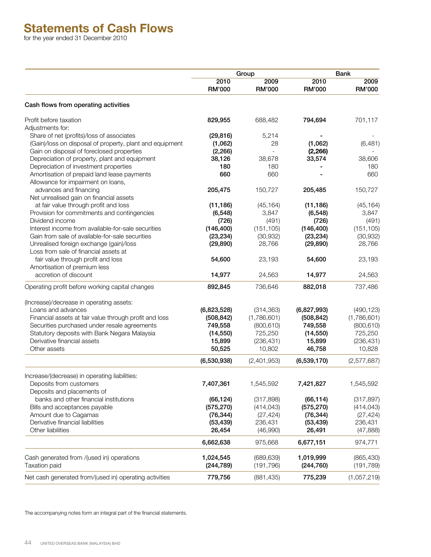## **Statements of Cash Flows**

for the year ended 31 December 2010

|                                                                                  | Group                 |                       | <b>Bank</b>           |                       |  |
|----------------------------------------------------------------------------------|-----------------------|-----------------------|-----------------------|-----------------------|--|
|                                                                                  | 2010<br><b>RM'000</b> | 2009<br><b>RM'000</b> | 2010<br><b>RM'000</b> | 2009<br><b>RM'000</b> |  |
| Cash flows from operating activities                                             |                       |                       |                       |                       |  |
| Profit before taxation                                                           | 829,955               | 688,482               | 794,694               | 701,117               |  |
| Adjustments for:                                                                 |                       |                       |                       |                       |  |
| Share of net (profits)/loss of associates                                        | (29, 816)             | 5,214                 |                       |                       |  |
| (Gain)/loss on disposal of property, plant and equipment                         | (1,062)               | 28                    | (1,062)               | (6,481)               |  |
| Gain on disposal of foreclosed properties                                        | (2, 266)              | $\overline{a}$        | (2, 266)              |                       |  |
| Depreciation of property, plant and equipment                                    | 38,126                | 38,678                | 33,574                | 38,606                |  |
| Depreciation of investment properties                                            | 180                   | 180                   |                       | 180                   |  |
| Amortisation of prepaid land lease payments                                      | 660                   | 660                   |                       | 660                   |  |
| Allowance for impairment on loans,                                               |                       |                       |                       |                       |  |
| advances and financing                                                           | 205,475               | 150,727               | 205,485               | 150,727               |  |
|                                                                                  |                       |                       |                       |                       |  |
| Net unrealised gain on financial assets<br>at fair value through profit and loss |                       |                       |                       |                       |  |
|                                                                                  | (11, 186)             | (45, 164)             | (11, 186)             | (45, 164)             |  |
| Provision for commitments and contingencies                                      | (6, 548)              | 3,847                 | (6, 548)              | 3,847                 |  |
| Dividend income                                                                  | (726)                 | (491)                 | (726)                 | (491)                 |  |
| Interest income from available-for-sale securities                               | (146, 400)            | (151, 105)            | (146, 400)            | (151, 105)            |  |
| Gain from sale of available-for-sale securities                                  | (23, 234)             | (30, 932)             | (23, 234)             | (30, 932)             |  |
| Unrealised foreign exchange (gain)/loss                                          | (29, 890)             | 28,766                | (29, 890)             | 28,766                |  |
| Loss from sale of financial assets at                                            |                       |                       |                       |                       |  |
| fair value through profit and loss                                               | 54,600                | 23,193                | 54,600                | 23,193                |  |
| Amortisation of premium less                                                     |                       |                       |                       |                       |  |
| accretion of discount                                                            | 14,977                | 24,563                | 14,977                | 24,563                |  |
| Operating profit before working capital changes                                  | 892,845               | 736,646               | 882,018               | 737,486               |  |
| (Increase)/decrease in operating assets:                                         |                       |                       |                       |                       |  |
| Loans and advances                                                               | (6,823,528)           | (314, 363)            | (6,827,993)           | (490, 123)            |  |
| Financial assets at fair value through profit and loss                           | (508, 842)            | (1,786,601)           | (508, 842)            | (1,786,601)           |  |
| Securities purchased under resale agreements                                     | 749,558               | (800, 610)            | 749,558               | (800, 610)            |  |
| Statutory deposits with Bank Negara Malaysia                                     | (14, 550)             | 725,250               | (14, 550)             | 725,250               |  |
| Derivative financial assets                                                      | 15,899                | (236, 431)            | 15,899                | (236, 431)            |  |
| Other assets                                                                     | 50,525                | 10,802                | 46,758                | 10,828                |  |
|                                                                                  |                       |                       |                       |                       |  |
|                                                                                  | (6,530,938)           | (2,401,953)           | (6,539,170)           | (2,577,687)           |  |
| Increase/(decrease) in operating liabilities:                                    |                       |                       |                       |                       |  |
| Deposits from customers                                                          | 7,407,361             | 1,545,592             | 7,421,827             | 1,545,592             |  |
| Deposits and placements of                                                       |                       |                       |                       |                       |  |
| banks and other financial institutions                                           | (66, 124)             | (317, 898)            | (66, 114)             | (317, 897)            |  |
| Bills and acceptances payable                                                    | (575, 270)            | (414, 043)            | (575, 270)            | (414, 043)            |  |
| Amount due to Cagamas                                                            | (76, 344)             | (27, 424)             | (76, 344)             | (27, 424)             |  |
| Derivative financial liabilities                                                 | (53, 439)             | 236,431               | (53, 439)             | 236,431               |  |
| Other liabilities                                                                | 26,454                | (46,990)              | 26,491                | (47, 888)             |  |
|                                                                                  | 6,662,638             | 975,668               | 6,677,151             | 974,771               |  |
|                                                                                  |                       |                       |                       |                       |  |
| Cash generated from /(used in) operations                                        | 1,024,545             | (689, 639)            | 1,019,999             | (865, 430)            |  |
| Taxation paid                                                                    | (244, 789)            | (191, 796)            | (244, 760)            | (191, 789)            |  |
| Net cash generated from/(used in) operating activities                           | 779,756               | (881, 435)            | 775,239               | (1,057,219)           |  |
|                                                                                  |                       |                       |                       |                       |  |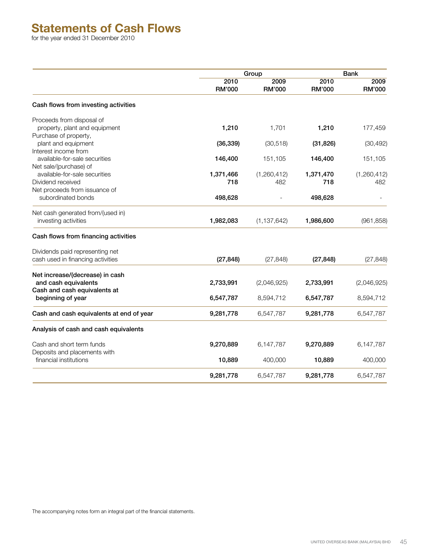## **Statements of Cash Flows**

for the year ended 31 December 2010

|                                                       | Group                 |                       | <b>Bank</b>           |                       |
|-------------------------------------------------------|-----------------------|-----------------------|-----------------------|-----------------------|
|                                                       | 2010<br><b>RM'000</b> | 2009<br><b>RM'000</b> | 2010<br><b>RM'000</b> | 2009<br><b>RM'000</b> |
| Cash flows from investing activities                  |                       |                       |                       |                       |
| Proceeds from disposal of                             |                       |                       |                       |                       |
| property, plant and equipment                         | 1,210                 | 1,701                 | 1,210                 | 177,459               |
| Purchase of property,                                 |                       |                       |                       |                       |
| plant and equipment                                   | (36, 339)             | (30, 518)             | (31, 826)             | (30, 492)             |
| Interest income from<br>available-for-sale securities |                       |                       |                       |                       |
| Net sale/(purchase) of                                | 146,400               | 151,105               | 146,400               | 151,105               |
| available-for-sale securities                         | 1,371,466             | (1,260,412)           | 1,371,470             | (1,260,412)           |
| Dividend received                                     | 718                   | 482                   | 718                   | 482                   |
| Net proceeds from issuance of                         |                       |                       |                       |                       |
| subordinated bonds                                    | 498,628               |                       | 498,628               |                       |
| Net cash generated from/(used in)                     |                       |                       |                       |                       |
| investing activities                                  | 1,982,083             | (1, 137, 642)         | 1,986,600             | (961, 858)            |
| Cash flows from financing activities                  |                       |                       |                       |                       |
| Dividends paid representing net                       |                       |                       |                       |                       |
| cash used in financing activities                     | (27, 848)             | (27, 848)             | (27, 848)             | (27, 848)             |
| Net increase/(decrease) in cash                       |                       |                       |                       |                       |
| and cash equivalents                                  | 2,733,991             | (2,046,925)           | 2,733,991             | (2,046,925)           |
| Cash and cash equivalents at                          |                       |                       |                       |                       |
| beginning of year                                     | 6,547,787             | 8,594,712             | 6,547,787             | 8,594,712             |
| Cash and cash equivalents at end of year              | 9,281,778             | 6,547,787             | 9,281,778             | 6,547,787             |
| Analysis of cash and cash equivalents                 |                       |                       |                       |                       |
| Cash and short term funds                             | 9,270,889             | 6,147,787             | 9,270,889             | 6,147,787             |
| Deposits and placements with                          |                       |                       |                       |                       |
| financial institutions                                | 10,889                | 400,000               | 10,889                | 400,000               |
|                                                       | 9,281,778             | 6,547,787             | 9,281,778             | 6,547,787             |
|                                                       |                       |                       |                       |                       |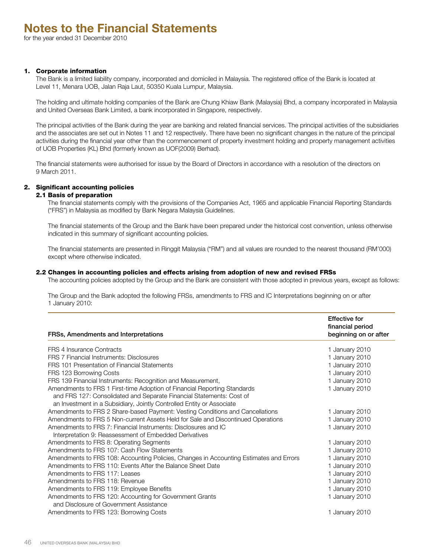#### 1. Corporate information

The Bank is a limited liability company, incorporated and domiciled in Malaysia. The registered office of the Bank is located at Level 11, Menara UOB, Jalan Raja Laut, 50350 Kuala Lumpur, Malaysia.

The holding and ultimate holding companies of the Bank are Chung Khiaw Bank (Malaysia) Bhd, a company incorporated in Malaysia and United Overseas Bank Limited, a bank incorporated in Singapore, respectively.

The principal activities of the Bank during the year are banking and related financial services. The principal activities of the subsidiaries and the associates are set out in Notes 11 and 12 respectively. There have been no significant changes in the nature of the principal activities during the financial year other than the commencement of property investment holding and property management activities of UOB Properties (KL) Bhd (formerly known as UOF(2009) Berhad).

The financial statements were authorised for issue by the Board of Directors in accordance with a resolution of the directors on 9 March 2011.

#### 2. Significant accounting policies

#### 2.1 Basis of preparation

The financial statements comply with the provisions of the Companies Act, 1965 and applicable Financial Reporting Standards ("FRS") in Malaysia as modified by Bank Negara Malaysia Guidelines.

The financial statements of the Group and the Bank have been prepared under the historical cost convention, unless otherwise indicated in this summary of significant accounting policies.

The financial statements are presented in Ringgit Malaysia ("RM") and all values are rounded to the nearest thousand (RM'000) except where otherwise indicated.

#### 2.2 Changes in accounting policies and effects arising from adoption of new and revised FRSs

The accounting policies adopted by the Group and the Bank are consistent with those adopted in previous years, except as follows:

The Group and the Bank adopted the following FRSs, amendments to FRS and IC Interpretations beginning on or after 1 January 2010:

| FRSs, Amendments and Interpretations                                                               | <b>Effective for</b><br>financial period<br>beginning on or after |
|----------------------------------------------------------------------------------------------------|-------------------------------------------------------------------|
| <b>FRS 4 Insurance Contracts</b>                                                                   | 1 January 2010                                                    |
| FRS 7 Financial Instruments: Disclosures                                                           | 1 January 2010                                                    |
| FRS 101 Presentation of Financial Statements                                                       | 1 January 2010                                                    |
| FRS 123 Borrowing Costs                                                                            | 1 January 2010                                                    |
| FRS 139 Financial Instruments: Recognition and Measurement,                                        | 1 January 2010                                                    |
| Amendments to FRS 1 First-time Adoption of Financial Reporting Standards                           | 1 January 2010                                                    |
| and FRS 127: Consolidated and Separate Financial Statements: Cost of                               |                                                                   |
| an Investment in a Subsidiary, Jointly Controlled Entity or Associate                              |                                                                   |
| Amendments to FRS 2 Share-based Payment: Vesting Conditions and Cancellations                      | 1 January 2010                                                    |
| Amendments to FRS 5 Non-current Assets Held for Sale and Discontinued Operations                   | 1 January 2010                                                    |
| Amendments to FRS 7: Financial Instruments: Disclosures and IC                                     | 1 January 2010                                                    |
| Interpretation 9: Reassessment of Embedded Derivatives                                             |                                                                   |
| Amendments to FRS 8: Operating Segments                                                            | 1 January 2010                                                    |
| Amendments to FRS 107: Cash Flow Statements                                                        | 1 January 2010                                                    |
| Amendments to FRS 108: Accounting Policies, Changes in Accounting Estimates and Errors             | 1 January 2010                                                    |
| Amendments to FRS 110: Events After the Balance Sheet Date                                         | 1 January 2010                                                    |
| Amendments to FRS 117: Leases                                                                      | 1 January 2010                                                    |
| Amendments to FRS 118: Revenue                                                                     | 1 January 2010                                                    |
| Amendments to FRS 119: Employee Benefits                                                           | 1 January 2010                                                    |
| Amendments to FRS 120: Accounting for Government Grants<br>and Disclosure of Government Assistance | 1 January 2010                                                    |
| Amendments to FRS 123: Borrowing Costs                                                             | 1 January 2010                                                    |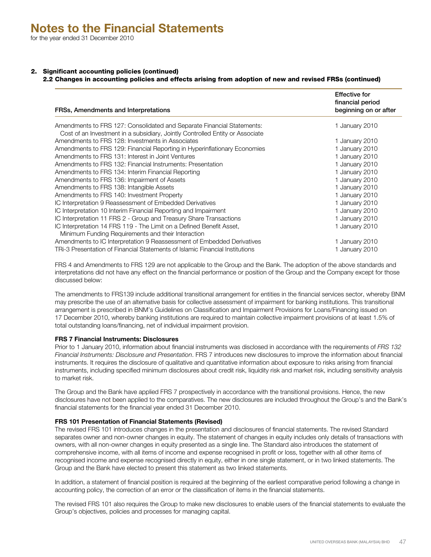## 2. Significant accounting policies (continued)

## 2.2 Changes in accounting policies and effects arising from adoption of new and revised FRSs (continued)

| FRSs, Amendments and Interpretations                                                                                       | <b>Effective for</b><br>financial period<br>beginning on or after |
|----------------------------------------------------------------------------------------------------------------------------|-------------------------------------------------------------------|
| Amendments to FRS 127: Consolidated and Separate Financial Statements:                                                     | 1 January 2010                                                    |
| Cost of an Investment in a subsidiary, Jointly Controlled Entity or Associate                                              |                                                                   |
| Amendments to FRS 128: Investments in Associates                                                                           | 1 January 2010                                                    |
| Amendments to FRS 129: Financial Reporting in Hyperinflationary Economies                                                  | 1 January 2010                                                    |
| Amendments to FRS 131: Interest in Joint Ventures                                                                          | 1 January 2010                                                    |
| Amendments to FRS 132: Financial Instruments: Presentation                                                                 | 1 January 2010                                                    |
| Amendments to FRS 134: Interim Financial Reporting                                                                         | 1 January 2010                                                    |
| Amendments to FRS 136: Impairment of Assets                                                                                | 1 January 2010                                                    |
| Amendments to FRS 138: Intangible Assets                                                                                   | 1 January 2010                                                    |
| Amendments to FRS 140: Investment Property                                                                                 | 1 January 2010                                                    |
| IC Interpretation 9 Reassessment of Embedded Derivatives                                                                   | 1 January 2010                                                    |
| IC Interpretation 10 Interim Financial Reporting and Impairment                                                            | 1 January 2010                                                    |
| IC Interpretation 11 FRS 2 - Group and Treasury Share Transactions                                                         | 1 January 2010                                                    |
| IC Interpretation 14 FRS 119 - The Limit on a Defined Benefit Asset,<br>Minimum Funding Requirements and their Interaction | 1 January 2010                                                    |
| Amendments to IC Interpretation 9 Reassessment of Embedded Derivatives                                                     | 1 January 2010                                                    |
| TRi-3 Presentation of Financial Statements of Islamic Financial Institutions                                               | 1 January 2010                                                    |

FRS 4 and Amendments to FRS 129 are not applicable to the Group and the Bank. The adoption of the above standards and interpretations did not have any effect on the financial performance or position of the Group and the Company except for those discussed below:

The amendments to FRS139 include additional transitional arrangement for entities in the financial services sector, whereby BNM may prescribe the use of an alternative basis for collective assessment of impairment for banking institutions. This transitional arrangement is prescribed in BNM's Guidelines on Classification and Impairment Provisions for Loans/Financing issued on 17 December 2010, whereby banking institutions are required to maintain collective impairment provisions of at least 1.5% of total outstanding loans/financing, net of individual impairment provision.

#### **FRS 7 Financial Instruments: Disclosures**

Prior to 1 January 2010, information about financial instruments was disclosed in accordance with the requirements of *FRS 132 Financial Instruments: Disclosure and Presentation*. FRS 7 introduces new disclosures to improve the information about financial instruments. It requires the disclosure of qualitative and quantitative information about exposure to risks arising from financial instruments, including specified minimum disclosures about credit risk, liquidity risk and market risk, including sensitivity analysis to market risk.

The Group and the Bank have applied FRS 7 prospectively in accordance with the transitional provisions. Hence, the new disclosures have not been applied to the comparatives. The new disclosures are included throughout the Group's and the Bank's financial statements for the financial year ended 31 December 2010.

## **FRS 101 Presentation of Financial Statements (Revised)**

The revised FRS 101 introduces changes in the presentation and disclosures of financial statements. The revised Standard separates owner and non-owner changes in equity. The statement of changes in equity includes only details of transactions with owners, with all non-owner changes in equity presented as a single line. The Standard also introduces the statement of comprehensive income, with all items of income and expense recognised in profit or loss, together with all other items of recognised income and expense recognised directly in equity, either in one single statement, or in two linked statements. The Group and the Bank have elected to present this statement as two linked statements.

In addition, a statement of financial position is required at the beginning of the earliest comparative period following a change in accounting policy, the correction of an error or the classification of items in the financial statements.

The revised FRS 101 also requires the Group to make new disclosures to enable users of the financial statements to evaluate the Group's objectives, policies and processes for managing capital.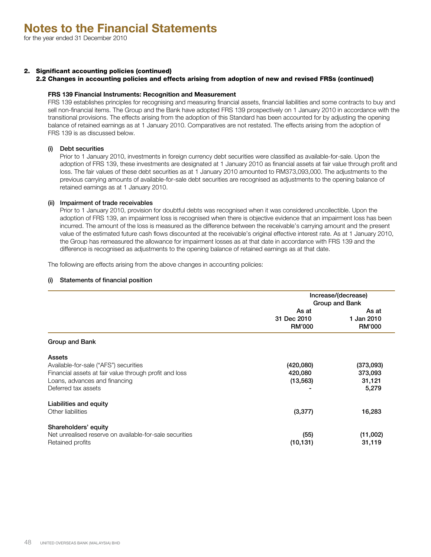## 2. Significant accounting policies (continued)

#### 2.2 Changes in accounting policies and effects arising from adoption of new and revised FRSs (continued)

#### **FRS 139 Financial Instruments: Recognition and Measurement**

FRS 139 establishes principles for recognising and measuring financial assets, financial liabilities and some contracts to buy and sell non-financial items. The Group and the Bank have adopted FRS 139 prospectively on 1 January 2010 in accordance with the transitional provisions. The effects arising from the adoption of this Standard has been accounted for by adjusting the opening balance of retained earnings as at 1 January 2010. Comparatives are not restated. The effects arising from the adoption of FRS 139 is as discussed below.

#### (i) Debt securities

Prior to 1 January 2010, investments in foreign currency debt securities were classified as available-for-sale. Upon the adoption of FRS 139, these investments are designated at 1 January 2010 as financial assets at fair value through profit and loss. The fair values of these debt securities as at 1 January 2010 amounted to RM373,093,000. The adjustments to the previous carrying amounts of available-for-sale debt securities are recognised as adjustments to the opening balance of retained earnings as at 1 January 2010.

## (ii) Impairment of trade receivables

Prior to 1 January 2010, provision for doubtful debts was recognised when it was considered uncollectible. Upon the adoption of FRS 139, an impairment loss is recognised when there is objective evidence that an impairment loss has been incurred. The amount of the loss is measured as the difference between the receivable's carrying amount and the present value of the estimated future cash flows discounted at the receivable's original effective interest rate. As at 1 January 2010, the Group has remeasured the allowance for impairment losses as at that date in accordance with FRS 139 and the difference is recognised as adjustments to the opening balance of retained earnings as at that date.

The following are effects arising from the above changes in accounting policies:

#### (i) Statements of financial position

|                                                                                                                                                                   | Increase/(decrease)<br>Group and Bank |                                         |  |  |
|-------------------------------------------------------------------------------------------------------------------------------------------------------------------|---------------------------------------|-----------------------------------------|--|--|
|                                                                                                                                                                   | As at<br>31 Dec 2010<br><b>RM'000</b> | As at<br>1 Jan 2010<br><b>RM'000</b>    |  |  |
| Group and Bank                                                                                                                                                    |                                       |                                         |  |  |
| Assets<br>Available-for-sale ("AFS") securities<br>Financial assets at fair value through profit and loss<br>Loans, advances and financing<br>Deferred tax assets | (420,080)<br>420,080<br>(13, 563)     | (373,093)<br>373,093<br>31,121<br>5,279 |  |  |
| Liabilities and equity<br>Other liabilities                                                                                                                       | (3, 377)                              | 16,283                                  |  |  |
| Shareholders' equity<br>Net unrealised reserve on available-for-sale securities<br>Retained profits                                                               | (55)<br>(10, 131)                     | (11,002)<br>31,119                      |  |  |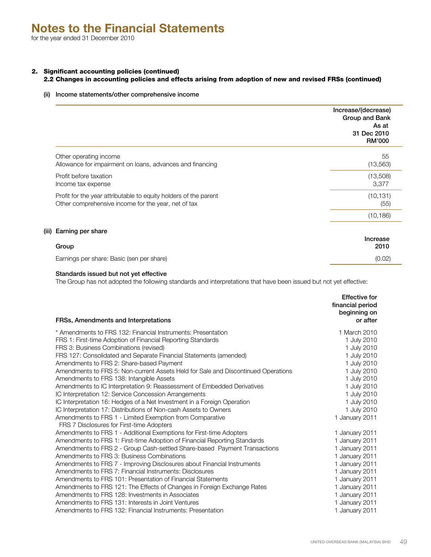## 2. Significant accounting policies (continued)

## 2.2 Changes in accounting policies and effects arising from adoption of new and revised FRSs (continued)

#### (ii) Income statements/other comprehensive income

|                                                                  | Increase/(decrease)<br>Group and Bank<br>As at<br>31 Dec 2010<br><b>RM'000</b> |
|------------------------------------------------------------------|--------------------------------------------------------------------------------|
| Other operating income                                           | 55                                                                             |
| Allowance for impairment on loans, advances and financing        | (13, 563)                                                                      |
| Profit before taxation                                           | (13,508)                                                                       |
| Income tax expense                                               | 3,377                                                                          |
| Profit for the year attributable to equity holders of the parent | (10, 131)                                                                      |
| Other comprehensive income for the year, net of tax              | (55)                                                                           |
|                                                                  | (10, 186)                                                                      |
| Earning per share                                                | Increase                                                                       |
| Group                                                            | 2010                                                                           |

Earnings per share: Basic (sen per share) (0.02)

 $(iii)$ 

#### Standards issued but not yet effective

The Group has not adopted the following standards and interpretations that have been issued but not yet effective:

| FRSs, Amendments and Interpretations                                                                  | <b>Effective for</b><br>financial period<br>beginning on<br>or after |
|-------------------------------------------------------------------------------------------------------|----------------------------------------------------------------------|
| * Amendments to FRS 132: Financial Instruments: Presentation                                          | 1 March 2010                                                         |
| FRS 1: First-time Adoption of Financial Reporting Standards                                           | 1 July 2010                                                          |
| FRS 3: Business Combinations (revised)                                                                | 1 July 2010                                                          |
| FRS 127: Consolidated and Separate Financial Statements (amended)                                     | 1 July 2010                                                          |
| Amendments to FRS 2: Share-based Payment                                                              | 1 July 2010                                                          |
| Amendments to FRS 5: Non-current Assets Held for Sale and Discontinued Operations                     | 1 July 2010                                                          |
| Amendments to FRS 138: Intangible Assets                                                              | 1 July 2010                                                          |
| Amendments to IC Interpretation 9: Reassessment of Embedded Derivatives                               | 1 July 2010                                                          |
| IC Interpretation 12: Service Concession Arrangements                                                 | 1 July 2010                                                          |
| IC Interpretation 16: Hedges of a Net Investment in a Foreign Operation                               | 1 July 2010                                                          |
| IC Interpretation 17: Distributions of Non-cash Assets to Owners                                      | 1 July 2010                                                          |
| Amendments to FRS 1 - Limited Exemption from Comparative<br>FRS 7 Disclosures for First-time Adopters | 1 January 2011                                                       |
| Amendments to FRS 1 - Additional Exemptions for First-time Adopters                                   | 1 January 2011                                                       |
| Amendments to FRS 1: First-time Adoption of Financial Reporting Standards                             | 1 January 2011                                                       |
| Amendments to FRS 2 - Group Cash-settled Share-based Payment Transactions                             | 1 January 2011                                                       |
| Amendments to FRS 3: Business Combinations                                                            | 1 January 2011                                                       |
| Amendments to FRS 7 - Improving Disclosures about Financial Instruments                               | 1 January 2011                                                       |
| Amendments to FRS 7: Financial Instruments: Disclosures                                               | 1 January 2011                                                       |
| Amendments to FRS 101: Presentation of Financial Statements                                           | 1 January 2011                                                       |
| Amendments to FRS 121: The Effects of Changes in Foreign Exchange Rates                               | 1 January 2011                                                       |
| Amendments to FRS 128: Investments in Associates                                                      | 1 January 2011                                                       |
| Amendments to FRS 131: Interests in Joint Ventures                                                    | 1 January 2011                                                       |
| Amendments to FRS 132: Financial Instruments: Presentation                                            | 1 January 2011                                                       |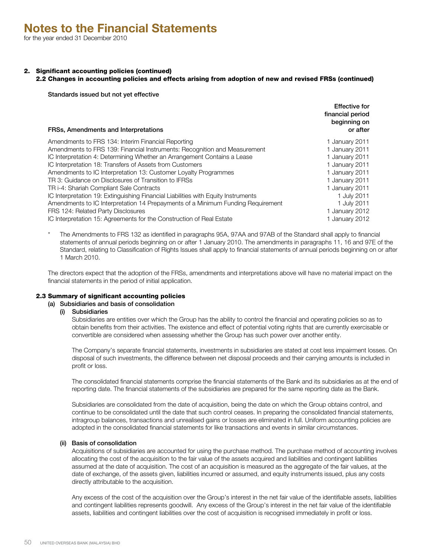## 2. Significant accounting policies (continued)

## 2.2 Changes in accounting policies and effects arising from adoption of new and revised FRSs (continued)

Effective for

Standards issued but not yet effective

| FRSs, Amendments and Interpretations                                              | Eliective for<br>financial period<br>beginning on<br>or after |
|-----------------------------------------------------------------------------------|---------------------------------------------------------------|
| Amendments to FRS 134: Interim Financial Reporting                                | 1 January 2011                                                |
| Amendments to FRS 139: Financial Instruments: Recognition and Measurement         | 1 January 2011                                                |
| IC Interpretation 4: Determining Whether an Arrangement Contains a Lease          | 1 January 2011                                                |
| IC Interpretation 18: Transfers of Assets from Customers                          | 1 January 2011                                                |
| Amendments to IC Interpretation 13: Customer Loyalty Programmes                   | 1 January 2011                                                |
| TR 3: Guidance on Disclosures of Transition to IFRSs                              | 1 January 2011                                                |
| TR i-4: Shariah Compliant Sale Contracts                                          | 1 January 2011                                                |
| IC Interpretation 19: Extinguishing Financial Liabilities with Equity Instruments | 1 July 2011                                                   |
| Amendments to IC Interpretation 14 Prepayments of a Minimum Funding Requirement   | 1 July 2011                                                   |
| FRS 124: Related Party Disclosures                                                | 1 January 2012                                                |
| IC Interpretation 15: Agreements for the Construction of Real Estate              | 1 January 2012                                                |

\* The Amendments to FRS 132 as identified in paragraphs 95A, 97AA and 97AB of the Standard shall apply to financial statements of annual periods beginning on or after 1 January 2010. The amendments in paragraphs 11, 16 and 97E of the Standard, relating to Classification of Rights Issues shall apply to financial statements of annual periods beginning on or after 1 March 2010.

The directors expect that the adoption of the FRSs, amendments and interpretations above will have no material impact on the financial statements in the period of initial application.

## 2.3 Summary of significant accounting policies

## (a) Subsidiaries and basis of consolidation

(i) Subsidiaries

Subsidiaries are entities over which the Group has the ability to control the financial and operating policies so as to obtain benefits from their activities. The existence and effect of potential voting rights that are currently exercisable or convertible are considered when assessing whether the Group has such power over another entity.

The Company's separate financial statements, investments in subsidiaries are stated at cost less impairment losses. On disposal of such investments, the difference between net disposal proceeds and their carrying amounts is included in profit or loss.

The consolidated financial statements comprise the financial statements of the Bank and its subsidiaries as at the end of reporting date. The financial statements of the subsidiaries are prepared for the same reporting date as the Bank.

Subsidiaries are consolidated from the date of acquisition, being the date on which the Group obtains control, and continue to be consolidated until the date that such control ceases. In preparing the consolidated financial statements, intragroup balances, transactions and unrealised gains or losses are eliminated in full. Uniform accounting policies are adopted in the consolidated financial statements for like transactions and events in similar circumstances.

## (ii) Basis of consolidation

Acquisitions of subsidiaries are accounted for using the purchase method. The purchase method of accounting involves allocating the cost of the acquisition to the fair value of the assets acquired and liabilities and contingent liabilities assumed at the date of acquisition. The cost of an acquisition is measured as the aggregate of the fair values, at the date of exchange, of the assets given, liabilities incurred or assumed, and equity instruments issued, plus any costs directly attributable to the acquisition.

Any excess of the cost of the acquisition over the Group's interest in the net fair value of the identifiable assets, liabilities and contingent liabilities represents goodwill. Any excess of the Group's interest in the net fair value of the identifiable assets, liabilities and contingent liabilities over the cost of acquisition is recognised immediately in profit or loss.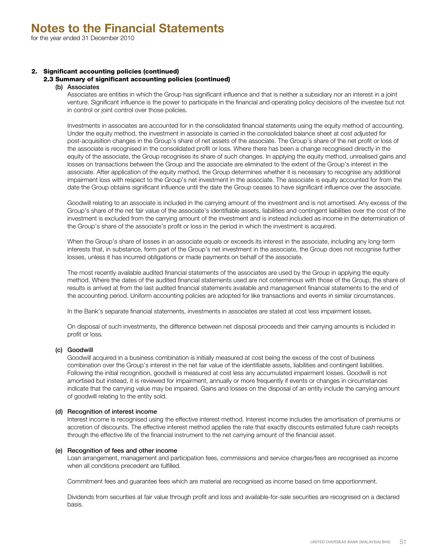## 2. Significant accounting policies (continued)

## 2.3 Summary of significant accounting policies (continued)

#### (b) Associates

Associates are entities in which the Group has significant influence and that is neither a subsidiary nor an interest in a joint venture. Significant influence is the power to participate in the financial and operating policy decisions of the investee but not in control or joint control over those policies.

Investments in associates are accounted for in the consolidated financial statements using the equity method of accounting. Under the equity method, the investment in associate is carried in the consolidated balance sheet at cost adjusted for post-acquisition changes in the Group's share of net assets of the associate. The Group's share of the net profit or loss of the associate is recognised in the consolidated profit or loss. Where there has been a change recognised directly in the equity of the associate, the Group recognises its share of such changes. In applying the equity method, unrealised gains and losses on transactions between the Group and the associate are eliminated to the extent of the Group's interest in the associate. After application of the equity method, the Group determines whether it is necessary to recognise any additional impairment loss with respect to the Group's net investment in the associate. The associate is equity accounted for from the date the Group obtains significant influence until the date the Group ceases to have significant influence over the associate.

Goodwill relating to an associate is included in the carrying amount of the investment and is not amortised. Any excess of the Group's share of the net fair value of the associate's identifiable assets, liabilities and contingent liabilities over the cost of the investment is excluded from the carrying amount of the investment and is instead included as income in the determination of the Group's share of the associate's profit or loss in the period in which the investment is acquired.

When the Group's share of losses in an associate equals or exceeds its interest in the associate, including any long-term interests that, in substance, form part of the Group's net investment in the associate, the Group does not recognise further losses, unless it has incurred obligations or made payments on behalf of the associate.

The most recently available audited financial statements of the associates are used by the Group in applying the equity method. Where the dates of the audited financial statements used are not coterminous with those of the Group, the share of results is arrived at from the last audited financial statements available and management financial statements to the end of the accounting period. Uniform accounting policies are adopted for like transactions and events in similar circumstances.

In the Bank's separate financial statements, investments in associates are stated at cost less impairment losses.

On disposal of such investments, the difference between net disposal proceeds and their carrying amounts is included in profit or loss.

## (c) Goodwill

Goodwill acquired in a business combination is initially measured at cost being the excess of the cost of business combination over the Group's interest in the net fair value of the identifiable assets, liabilities and contingent liabilities. Following the initial recognition, goodwill is measured at cost less any accumulated impairment losses. Goodwill is not amortised but instead, it is reviewed for impairment, annually or more frequently if events or changes in circumstances indicate that the carrying value may be impaired. Gains and losses on the disposal of an entity include the carrying amount of goodwill relating to the entity sold.

## (d) Recognition of interest income

Interest income is recognised using the effective interest method. Interest income includes the amortisation of premiums or accretion of discounts. The effective interest method applies the rate that exactly discounts estimated future cash receipts through the effective life of the financial instrument to the net carrying amount of the financial asset.

#### (e) Recognition of fees and other income

Loan arrangement, management and participation fees, commissions and service charges/fees are recognised as income when all conditions precedent are fulfilled.

Commitment fees and guarantee fees which are material are recognised as income based on time apportionment.

Dividends from securities at fair value through profit and loss and available-for-sale securities are recognised on a declared basis.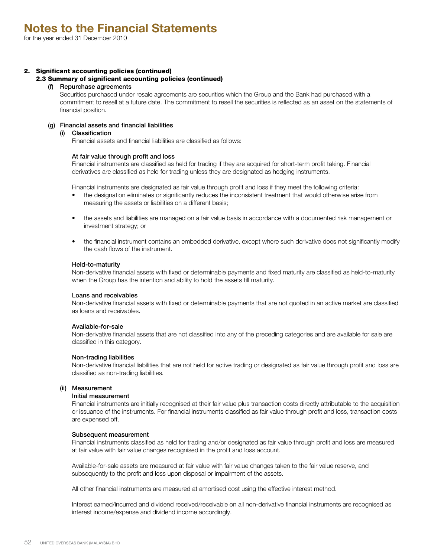## 2. Significant accounting policies (continued)

#### 2.3 Summary of significant accounting policies (continued)

## (f) Repurchase agreements

Securities purchased under resale agreements are securities which the Group and the Bank had purchased with a commitment to resell at a future date. The commitment to resell the securities is reflected as an asset on the statements of financial position.

## (g) Financial assets and financial liabilities

#### (i) Classification

Financial assets and financial liabilities are classified as follows:

#### At fair value through profit and loss

Financial instruments are classified as held for trading if they are acquired for short-term profit taking. Financial derivatives are classified as held for trading unless they are designated as hedging instruments.

Financial instruments are designated as fair value through profit and loss if they meet the following criteria:

- the designation eliminates or significantly reduces the inconsistent treatment that would otherwise arise from measuring the assets or liabilities on a different basis;
- the assets and liabilities are managed on a fair value basis in accordance with a documented risk management or investment strategy; or
- the financial instrument contains an embedded derivative, except where such derivative does not significantly modify the cash flows of the instrument.

#### Held-to-maturity

Non-derivative financial assets with fixed or determinable payments and fixed maturity are classified as held-to-maturity when the Group has the intention and ability to hold the assets till maturity.

#### Loans and receivables

Non-derivative financial assets with fixed or determinable payments that are not quoted in an active market are classified as loans and receivables.

#### Available-for-sale

Non-derivative financial assets that are not classified into any of the preceding categories and are available for sale are classified in this category.

#### Non-trading liabilities

Non-derivative financial liabilities that are not held for active trading or designated as fair value through profit and loss are classified as non-trading liabilities.

## (ii) Measurement

#### Initial measurement

Financial instruments are initially recognised at their fair value plus transaction costs directly attributable to the acquisition or issuance of the instruments. For financial instruments classified as fair value through profit and loss, transaction costs are expensed off.

#### Subsequent measurement

Financial instruments classified as held for trading and/or designated as fair value through profit and loss are measured at fair value with fair value changes recognised in the profit and loss account.

Available-for-sale assets are measured at fair value with fair value changes taken to the fair value reserve, and subsequently to the profit and loss upon disposal or impairment of the assets.

All other financial instruments are measured at amortised cost using the effective interest method.

Interest earned/incurred and dividend received/receivable on all non-derivative financial instruments are recognised as interest income/expense and dividend income accordingly.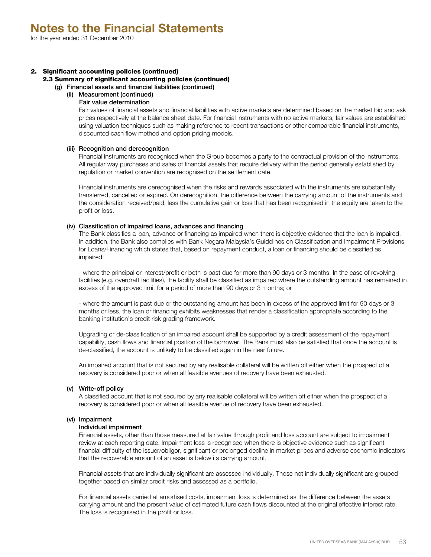## 2. Significant accounting policies (continued)

## 2.3 Summary of significant accounting policies (continued)

(g) Financial assets and financial liabilities (continued)

## (ii) Measurement (continued)

## Fair value determination

Fair values of financial assets and financial liabilities with active markets are determined based on the market bid and ask prices respectively at the balance sheet date. For financial instruments with no active markets, fair values are established using valuation techniques such as making reference to recent transactions or other comparable financial instruments, discounted cash flow method and option pricing models.

## (iii) Recognition and derecognition

Financial instruments are recognised when the Group becomes a party to the contractual provision of the instruments. All regular way purchases and sales of financial assets that require delivery within the period generally established by regulation or market convention are recognised on the settlement date.

Financial instruments are derecognised when the risks and rewards associated with the instruments are substantially transferred, cancelled or expired. On derecognition, the difference between the carrying amount of the instruments and the consideration received/paid, less the cumulative gain or loss that has been recognised in the equity are taken to the profit or loss.

## (iv) Classification of impaired loans, advances and financing

The Bank classifies a loan, advance or financing as impaired when there is objective evidence that the loan is impaired. In addition, the Bank also complies with Bank Negara Malaysia's Guidelines on Classification and Impairment Provisions for Loans/Financing which states that, based on repayment conduct, a loan or financing should be classified as impaired:

- where the principal or interest/profit or both is past due for more than 90 days or 3 months. In the case of revolving facilities (e.g. overdraft facilities), the facility shall be classified as impaired where the outstanding amount has remained in excess of the approved limit for a period of more than 90 days or 3 months; or

- where the amount is past due or the outstanding amount has been in excess of the approved limit for 90 days or 3 months or less, the loan or financing exhibits weaknesses that render a classification appropriate according to the banking institution's credit risk grading framework.

Upgrading or de-classification of an impaired account shall be supported by a credit assessment of the repayment capability, cash flows and financial position of the borrower. The Bank must also be satisfied that once the account is de-classified, the account is unlikely to be classified again in the near future.

An impaired account that is not secured by any realisable collateral will be written off either when the prospect of a recovery is considered poor or when all feasible avenues of recovery have been exhausted.

## (v) Write-off policy

A classified account that is not secured by any realisable collateral will be written off either when the prospect of a recovery is considered poor or when all feasible avenue of recovery have been exhausted.

## (vi) Impairment

## Individual impairment

Financial assets, other than those measured at fair value through profit and loss account are subject to impairment review at each reporting date. Impairment loss is recognised when there is objective evidence such as significant financial difficulty of the issuer/obligor, significant or prolonged decline in market prices and adverse economic indicators that the recoverable amount of an asset is below its carrying amount.

Financial assets that are individually significant are assessed individually. Those not individually significant are grouped together based on similar credit risks and assessed as a portfolio.

For financial assets carried at amortised costs, impairment loss is determined as the difference between the assets' carrying amount and the present value of estimated future cash flows discounted at the original effective interest rate. The loss is recognised in the profit or loss.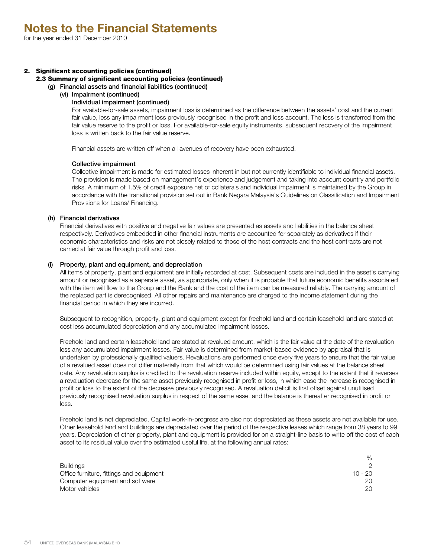## 2. Significant accounting policies (continued)

2.3 Summary of significant accounting policies (continued)

(g) Financial assets and financial liabilities (continued)

(vi) Impairment (continued)

#### Individual impairment (continued)

For available-for-sale assets, impairment loss is determined as the difference between the assets' cost and the current fair value, less any impairment loss previously recognised in the profit and loss account. The loss is transferred from the fair value reserve to the profit or loss. For available-for-sale equity instruments, subsequent recovery of the impairment loss is written back to the fair value reserve.

Financial assets are written off when all avenues of recovery have been exhausted.

## Collective impairment

Collective impairment is made for estimated losses inherent in but not currently identifiable to individual financial assets. The provision is made based on management's experience and judgement and taking into account country and portfolio risks. A minimum of 1.5% of credit exposure net of collaterals and individual impairment is maintained by the Group in accordance with the transitional provision set out in Bank Negara Malaysia's Guidelines on Classification and Impairment Provisions for Loans/ Financing.

## (h) Financial derivatives

Financial derivatives with positive and negative fair values are presented as assets and liabilities in the balance sheet respectively. Derivatives embedded in other financial instruments are accounted for separately as derivatives if their economic characteristics and risks are not closely related to those of the host contracts and the host contracts are not carried at fair value through profit and loss.

## (i) Property, plant and equipment, and depreciation

All items of property, plant and equipment are initially recorded at cost. Subsequent costs are included in the asset's carrying amount or recognised as a separate asset, as appropriate, only when it is probable that future economic benefits associated with the item will flow to the Group and the Bank and the cost of the item can be measured reliably. The carrying amount of the replaced part is derecognised. All other repairs and maintenance are charged to the income statement during the financial period in which they are incurred.

Subsequent to recognition, property, plant and equipment except for freehold land and certain leasehold land are stated at cost less accumulated depreciation and any accumulated impairment losses.

Freehold land and certain leasehold land are stated at revalued amount, which is the fair value at the date of the revaluation less any accumulated impairment losses. Fair value is determined from market-based evidence by appraisal that is undertaken by professionally qualified valuers. Revaluations are performed once every five years to ensure that the fair value of a revalued asset does not differ materially from that which would be determined using fair values at the balance sheet date. Any revaluation surplus is credited to the revaluation reserve included within equity, except to the extent that it reverses a revaluation decrease for the same asset previously recognised in profit or loss, in which case the increase is recognised in profit or loss to the extent of the decrease previously recognised. A revaluation deficit is first offset against unutilised previously recognised revaluation surplus in respect of the same asset and the balance is thereafter recognised in profit or loss.

Freehold land is not depreciated. Capital work-in-progress are also not depreciated as these assets are not available for use. Other leasehold land and buildings are depreciated over the period of the respective leases which range from 38 years to 99 years. Depreciation of other property, plant and equipment is provided for on a straight-line basis to write off the cost of each asset to its residual value over the estimated useful life, at the following annual rates:

|                                          | ℅         |
|------------------------------------------|-----------|
| <b>Buildings</b>                         |           |
| Office furniture, fittings and equipment | $10 - 20$ |
| Computer equipment and software          | 20        |
| Motor vehicles                           | 20.       |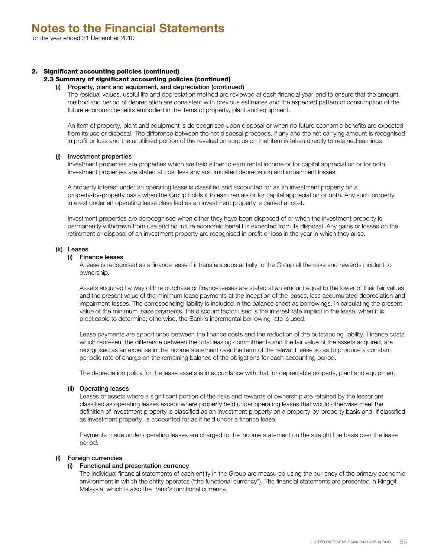## 2. Significant accounting policies (continued)

## 2.3 Summary of significant accounting policies (continued)

#### (i) Property, plant and equipment, and depreciation (continued)

The residual values, useful life and depreciation method are reviewed at each financial year-end to ensure that the amount, method and period of depreciation are consistent with previous estimates and the expected pattern of consumption of the future economic benefits embodied in the items of property, plant and equipment.

An item of property, plant and equipment is derecognised upon disposal or when no future economic benefits are expected from its use or disposal. The difference between the net disposal proceeds, if any and the net carrying amount is recognised in profit or loss and the unutilised portion of the revaluation surplus on that item is taken directly to retained earnings.

#### (j) Investment properties

Investment properties are properties which are held either to earn rental income or for capital appreciation or for both. Investment properties are stated at cost less any accumulated depreciation and impairment losses.

A property interest under an operating lease is classified and accounted for as an investment property on a property-by-property basis when the Group holds it to earn rentals or for capital appreciation or both. Any such property interest under an operating lease classified as an investment property is carried at cost.

Investment properties are derecognised when either they have been disposed of or when the investment property is permanently withdrawn from use and no future economic benefit is expected from its disposal. Any gains or losses on the retirement or disposal of an investment property are recognised in profit or loss in the year in which they arise.

#### (k) Leases

#### (i) Finance leases

A lease is recognised as a finance lease if it transfers substantially to the Group all the risks and rewards incident to ownership.

Assets acquired by way of hire purchase or finance leases are stated at an amount equal to the lower of their fair values and the present value of the minimum lease payments at the inception of the leases, less accumulated depreciation and impairment losses. The corresponding liability is included in the balance sheet as borrowings. In calculating the present value of the minimum lease payments, the discount factor used is the interest rate implicit in the lease, when it is practicable to determine; otherwise, the Bank's incremental borrowing rate is used.

Lease payments are apportioned between the finance costs and the reduction of the outstanding liability. Finance costs, which represent the difference between the total leasing commitments and the fair value of the assets acquired, are recognised as an expense in the income statement over the term of the relevant lease so as to produce a constant periodic rate of charge on the remaining balance of the obligations for each accounting period.

The depreciation policy for the lease assets is in accordance with that for depreciable property, plant and equipment.

#### (ii) Operating leases

Leases of assets where a significant portion of the risks and rewards of ownership are retained by the lessor are classified as operating leases except where property held under operating leases that would otherwise meet the definition of investment property is classified as an investment property on a property-by-property basis and, if classified as investment property, is accounted for as if held under a finance lease.

Payments made under operating leases are charged to the income statement on the straight line basis over the lease period.

#### (l) Foreign currencies

#### (i) Functional and presentation currency

The individual financial statements of each entity in the Group are measured using the currency of the primary economic environment in which the entity operates ("the functional currency"). The financial statements are presented in Ringgit Malaysia, which is also the Bank's functional currency.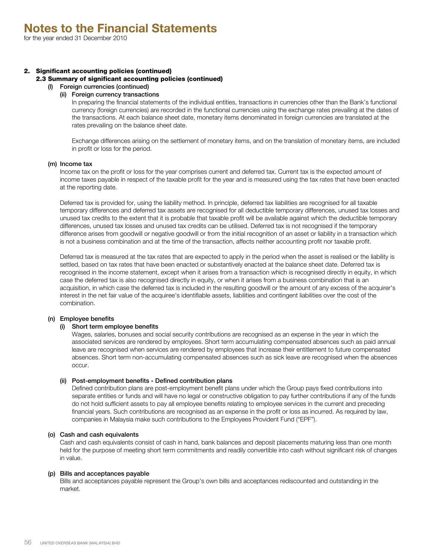## 2. Significant accounting policies (continued)

#### 2.3 Summary of significant accounting policies (continued)

(l) Foreign currencies (continued)

#### (ii) Foreign currency transactions

In preparing the financial statements of the individual entities, transactions in currencies other than the Bank's functional currency (foreign currencies) are recorded in the functional currencies using the exchange rates prevailing at the dates of the transactions. At each balance sheet date, monetary items denominated in foreign currencies are translated at the rates prevailing on the balance sheet date.

Exchange differences arising on the settlement of monetary items, and on the translation of monetary items, are included in profit or loss for the period.

#### (m) Income tax

Income tax on the profit or loss for the year comprises current and deferred tax. Current tax is the expected amount of income taxes payable in respect of the taxable profit for the year and is measured using the tax rates that have been enacted at the reporting date.

Deferred tax is provided for, using the liability method. In principle, deferred tax liabilities are recognised for all taxable temporary differences and deferred tax assets are recognised for all deductible temporary differences, unused tax losses and unused tax credits to the extent that it is probable that taxable profit will be available against which the deductible temporary differences, unused tax losses and unused tax credits can be utilised. Deferred tax is not recognised if the temporary difference arises from goodwill or negative goodwill or from the initial recognition of an asset or liability in a transaction which is not a business combination and at the time of the transaction, affects neither accounting profit nor taxable profit.

Deferred tax is measured at the tax rates that are expected to apply in the period when the asset is realised or the liability is settled, based on tax rates that have been enacted or substantively enacted at the balance sheet date. Deferred tax is recognised in the income statement, except when it arises from a transaction which is recognised directly in equity, in which case the deferred tax is also recognised directly in equity, or when it arises from a business combination that is an acquisition, in which case the deferred tax is included in the resulting goodwill or the amount of any excess of the acquirer's interest in the net fair value of the acquiree's identifiable assets, liabilities and contingent liabilities over the cost of the combination.

#### (n) Employee benefits

#### (i) Short term employee benefits

Wages, salaries, bonuses and social security contributions are recognised as an expense in the year in which the associated services are rendered by employees. Short term accumulating compensated absences such as paid annual leave are recognised when services are rendered by employees that increase their entitlement to future compensated absences. Short term non-accumulating compensated absences such as sick leave are recognised when the absences occur.

#### (ii) Post-employment benefits - Defined contribution plans

Defined contribution plans are post-employment benefit plans under which the Group pays fixed contributions into separate entities or funds and will have no legal or constructive obligation to pay further contributions if any of the funds do not hold sufficient assets to pay all employee benefits relating to employee services in the current and preceding financial years. Such contributions are recognised as an expense in the profit or loss as incurred. As required by law, companies in Malaysia make such contributions to the Employees Provident Fund ("EPF").

#### (o) Cash and cash equivalents

Cash and cash equivalents consist of cash in hand, bank balances and deposit placements maturing less than one month held for the purpose of meeting short term commitments and readily convertible into cash without significant risk of changes in value.

#### (p) Bills and acceptances payable

Bills and acceptances payable represent the Group's own bills and acceptances rediscounted and outstanding in the market.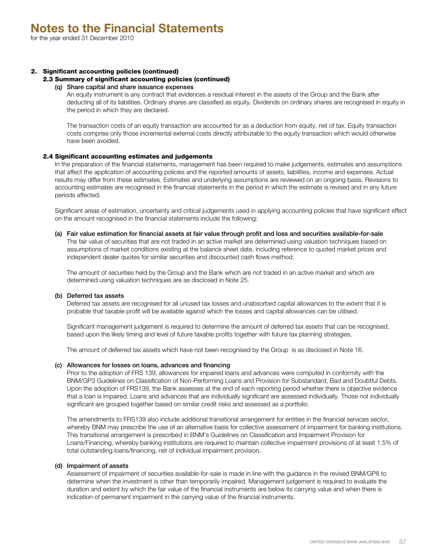## 2. Significant accounting policies (continued)

#### 2.3 Summary of significant accounting policies (continued)

#### (q) Share capital and share issuance expenses

An equity instrument is any contract that evidences a residual interest in the assets of the Group and the Bank after deducting all of its liabilities. Ordinary shares are classified as equity. Dividends on ordinary shares are recognised in equity in the period in which they are declared.

The transaction costs of an equity transaction are accounted for as a deduction from equity, net of tax. Equity transaction costs comprise only those incremental external costs directly attributable to the equity transaction which would otherwise have been avoided.

#### 2.4 Significant accounting estimates and judgements

In the preparation of the financial statements, management has been required to make judgements, estimates and assumptions that affect the application of accounting policies and the reported amounts of assets, liabilities, income and expenses. Actual results may differ from these estimates. Estimates and underlying assumptions are reviewed on an ongoing basis. Revisions to accounting estimates are recognised in the financial statements in the period in which the estimate is revised and in any future periods affected.

Significant areas of estimation, uncertainty and critical judgements used in applying accounting policies that have significant effect on the amount recognised in the financial statements include the following:

(a) Fair value estimation for financial assets at fair value through profit and loss and securities available-for-sale The fair value of securities that are not traded in an active market are determined using valuation techniques based on assumptions of market conditions existing at the balance sheet date, including reference to quoted market prices and independent dealer quotes for similar securities and discounted cash flows method.

The amount of securities held by the Group and the Bank which are not traded in an active market and which are determined using valuation techniques are as disclosed in Note 25.

#### (b) Deferred tax assets

Deferred tax assets are recognised for all unused tax losses and unabsorbed capital allowances to the extent that it is probable that taxable profit will be available against which the losses and capital allowances can be utilised.

Significant management judgement is required to determine the amount of deferred tax assets that can be recognised, based upon the likely timing and level of future taxable profits together with future tax planning strategies.

The amount of deferred tax assets which have not been recognised by the Group is as disclosed in Note 16.

#### (c) Allowances for losses on loans, advances and financing

Prior to the adoption of FRS 139, allowances for impaired loans and advances were computed in conformity with the BNM/GP3 Guidelines on Classification of Non-Performing Loans and Provision for Substandard, Bad and Doubtful Debts. Upon the adoption of FRS139, the Bank assesses at the end of each reporting period whether there is objective evidence that a loan is impaired. Loans and advances that are individually significant are assessed individually. Those not individually significant are grouped together based on similar credit risks and assessed as a portfolio.

The amendments to FRS139 also include additional transitional arrangement for entities in the financial services sector, whereby BNM may prescribe the use of an alternative basis for collective assessment of impairment for banking institutions. This transitional arrangement is prescribed in BNM's Guidelines on Classification and Impairment Provision for Loans/Financing, whereby banking institutions are required to maintain collective impairment provisions of at least 1.5% of total outstanding loans/financing, net of individual impairment provision.

## (d) Impairment of assets

Assessment of impairment of securities available-for-sale is made in line with the guidance in the revised BNM/GP8 to determine when the investment is other than temporarily impaired. Management judgement is required to evaluate the duration and extent by which the fair value of the financial instruments are below its carrying value and when there is indication of permanent impairment in the carrying value of the financial instruments.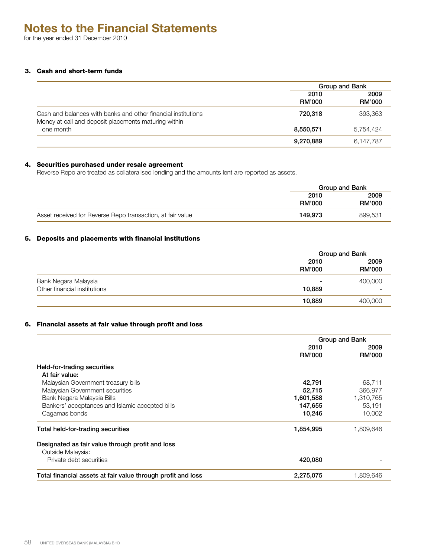for the year ended 31 December 2010

## 3. Cash and short-term funds

|                                                                                                                       | Group and Bank        |                       |
|-----------------------------------------------------------------------------------------------------------------------|-----------------------|-----------------------|
|                                                                                                                       | 2010<br><b>RM'000</b> | 2009<br><b>RM'000</b> |
| Cash and balances with banks and other financial institutions<br>Money at call and deposit placements maturing within | 720.318               | 393,363               |
| one month                                                                                                             | 8,550,571             | 5.754.424             |
|                                                                                                                       | 9,270,889             | 6,147,787             |

## 4. Securities purchased under resale agreement

Reverse Repo are treated as collateralised lending and the amounts lent are reported as assets.

|                                                            |                       | Group and Bank        |
|------------------------------------------------------------|-----------------------|-----------------------|
|                                                            | 2010<br><b>RM'000</b> | 2009<br><b>RM'000</b> |
| Asset received for Reverse Repo transaction, at fair value | 149.973               | 899,531               |

## 5. Deposits and placements with financial institutions

|                              |                       | Group and Bank        |
|------------------------------|-----------------------|-----------------------|
|                              | 2010<br><b>RM'000</b> | 2009<br><b>RM'000</b> |
| Bank Negara Malaysia         | -                     | 400,000               |
| Other financial institutions | 10,889                |                       |
|                              | 10,889                | 400,000               |

## 6. Financial assets at fair value through profit and loss

|                                                              |                | Group and Bank        |
|--------------------------------------------------------------|----------------|-----------------------|
|                                                              | 2010<br>RM'000 | 2009<br><b>RM'000</b> |
| Held-for-trading securities                                  |                |                       |
| At fair value:                                               |                |                       |
| Malaysian Government treasury bills                          | 42,791         | 68,711                |
| Malaysian Government securities                              | 52,715         | 366,977               |
| Bank Negara Malaysia Bills                                   | 1,601,588      | 1,310,765             |
| Bankers' acceptances and Islamic accepted bills              | 147,655        | 53.191                |
| Cagamas bonds                                                | 10,246         | 10,002                |
| Total held-for-trading securities                            | 1,854,995      | 1,809,646             |
| Designated as fair value through profit and loss             |                |                       |
| Outside Malaysia:                                            |                |                       |
| Private debt securities                                      | 420,080        |                       |
| Total financial assets at fair value through profit and loss | 2,275,075      | 1.809.646             |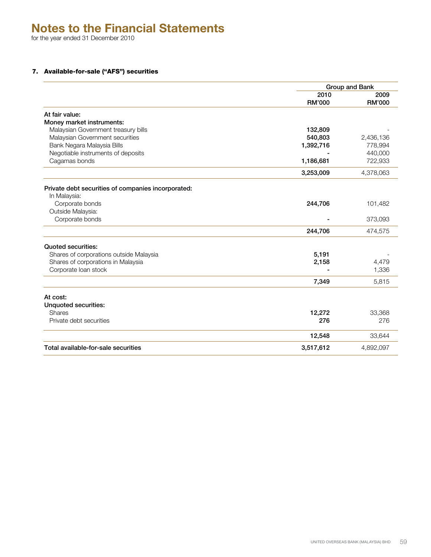for the year ended 31 December 2010

## 7. Available-for-sale ("AFS") securities

|                                                    | Group and Bank        |                       |
|----------------------------------------------------|-----------------------|-----------------------|
|                                                    | 2010<br><b>RM'000</b> | 2009<br><b>RM'000</b> |
| At fair value:                                     |                       |                       |
| Money market instruments:                          |                       |                       |
| Malaysian Government treasury bills                | 132,809               |                       |
| Malaysian Government securities                    | 540,803               | 2,436,136             |
| Bank Negara Malaysia Bills                         | 1,392,716             | 778,994               |
| Negotiable instruments of deposits                 |                       | 440,000               |
| Cagamas bonds                                      | 1,186,681             | 722,933               |
|                                                    | 3,253,009             | 4,378,063             |
| Private debt securities of companies incorporated: |                       |                       |
| In Malaysia:                                       |                       |                       |
| Corporate bonds                                    | 244,706               | 101,482               |
| Outside Malaysia:                                  |                       |                       |
| Corporate bonds                                    |                       | 373,093               |
|                                                    | 244,706               | 474,575               |
| <b>Quoted securities:</b>                          |                       |                       |
| Shares of corporations outside Malaysia            | 5,191                 |                       |
| Shares of corporations in Malaysia                 | 2,158                 | 4,479                 |
| Corporate loan stock                               |                       | 1,336                 |
|                                                    | 7,349                 | 5,815                 |
| At cost:                                           |                       |                       |
| <b>Unquoted securities:</b>                        |                       |                       |
| <b>Shares</b>                                      | 12,272                | 33,368                |
| Private debt securities                            | 276                   | 276                   |
|                                                    | 12,548                | 33,644                |
| Total available-for-sale securities                | 3,517,612             | 4,892,097             |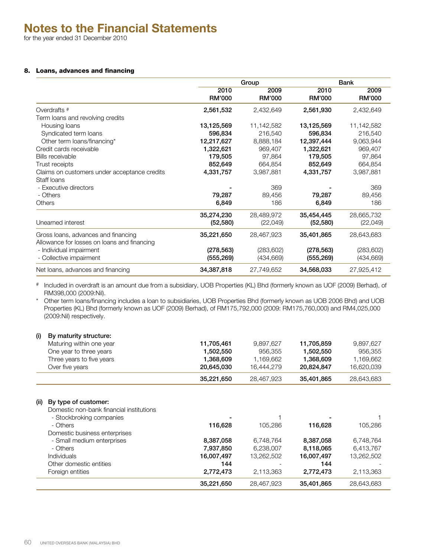for the year ended 31 December 2010

## 8. Loans, advances and financing

|                                              | Group         |               |               | Bank          |  |  |
|----------------------------------------------|---------------|---------------|---------------|---------------|--|--|
|                                              | 2010          | 2009          | 2010          | 2009          |  |  |
|                                              | <b>RM'000</b> | <b>RM'000</b> | <b>RM'000</b> | <b>RM'000</b> |  |  |
| Overdrafts <sup>#</sup>                      | 2,561,532     | 2,432,649     | 2,561,930     | 2,432,649     |  |  |
| Term loans and revolving credits             |               |               |               |               |  |  |
| Housing loans                                | 13,125,569    | 11,142,582    | 13,125,569    | 11,142,582    |  |  |
| Syndicated term loans                        | 596,834       | 216,540       | 596,834       | 216,540       |  |  |
| Other term loans/financing*                  | 12,217,627    | 8,888,184     | 12,397,444    | 9,063,944     |  |  |
| Credit cards receivable                      | 1,322,621     | 969,407       | 1,322,621     | 969,407       |  |  |
| Bills receivable                             | 179,505       | 97,864        | 179,505       | 97,864        |  |  |
| Trust receipts                               | 852,649       | 664,854       | 852,649       | 664,854       |  |  |
| Claims on customers under acceptance credits | 4,331,757     | 3,987,881     | 4,331,757     | 3,987,881     |  |  |
| Staff loans                                  |               |               |               |               |  |  |
| - Executive directors                        |               | 369           |               | 369           |  |  |
| - Others                                     | 79,287        | 89,456        | 79,287        | 89,456        |  |  |
| Others                                       | 6,849         | 186           | 6,849         | 186           |  |  |
|                                              | 35,274,230    | 28,489,972    | 35,454,445    | 28,665,732    |  |  |
| Unearned interest                            | (52, 580)     | (22, 049)     | (52, 580)     | (22, 049)     |  |  |
| Gross loans, advances and financing          | 35,221,650    | 28,467,923    | 35,401,865    | 28,643,683    |  |  |
| Allowance for losses on loans and financing  |               |               |               |               |  |  |
| - Individual impairment                      | (278, 563)    | (283, 602)    | (278, 563)    | (283, 602)    |  |  |
| - Collective impairment                      | (555, 269)    | (434, 669)    | (555, 269)    | (434, 669)    |  |  |
| Net loans, advances and financing            | 34,387,818    | 27,749,652    | 34,568,033    | 27,925,412    |  |  |

# Included in overdraft is an amount due from a subsidiary, UOB Properties (KL) Bhd (formerly known as UOF (2009) Berhad), of RM398,000 (2009:Nil).

\* Other term loans/financing includes a loan to subsidiaries, UOB Properties Bhd (formerly known as UOB 2006 Bhd) and UOB Properties (KL) Bhd (formerly known as UOF (2009) Berhad), of RM175,792,000 (2009: RM175,760,000) and RM4,025,000 (2009:Nil) respectively.

## (i) By maturity structure:

| Maturing within one year  | 11.705.461 | 9.897.627  | 11.705.859 | 9.897.627  |
|---------------------------|------------|------------|------------|------------|
| One year to three years   | 1.502.550  | 956.355    | 1.502.550  | 956.355    |
| Three years to five years | 1.368.609  | 1.169.662  | 1.368.609  | 1.169.662  |
| Over five years           | 20.645.030 | 16,444,279 | 20,824,847 | 16.620.039 |
|                           | 35,221,650 | 28,467,923 | 35,401,865 | 28,643,683 |

#### (ii) By type of customer:

Domestic non-bank financial institutions

| <b>DUTINABLE TRAFFICIER IN RELIGIONER IN A LIGHTER AND R</b> |            |            |            |            |
|--------------------------------------------------------------|------------|------------|------------|------------|
| - Stockbroking companies                                     |            |            | -          |            |
| - Others                                                     | 116,628    | 105.286    | 116.628    | 105.286    |
| Domestic business enterprises                                |            |            |            |            |
| - Small medium enterprises                                   | 8,387,058  | 6,748,764  | 8,387,058  | 6,748,764  |
| - Others                                                     | 7,937,850  | 6,238,007  | 8,118,065  | 6,413,767  |
| <b>Individuals</b>                                           | 16,007,497 | 13,262,502 | 16,007,497 | 13,262,502 |
| Other domestic entities                                      | 144        |            | 144        |            |
| Foreign entities                                             | 2,772,473  | 2,113,363  | 2.772.473  | 2,113,363  |
|                                                              | 35,221,650 | 28,467,923 | 35,401,865 | 28,643,683 |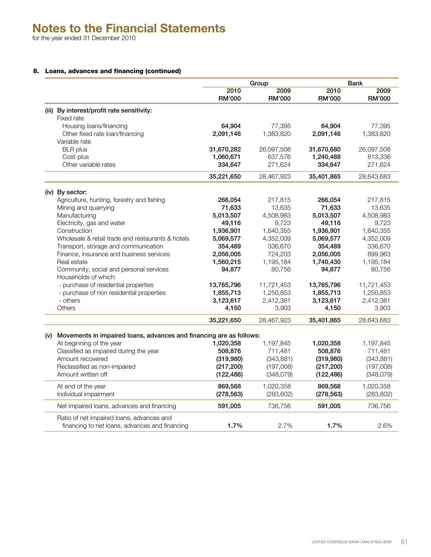## 8. Loans, advances and financing (continued)

|     |                                                                                                 | Group         |            | <b>Bank</b>   |               |
|-----|-------------------------------------------------------------------------------------------------|---------------|------------|---------------|---------------|
|     |                                                                                                 | 2010          | 2009       | 2010          | 2009          |
|     |                                                                                                 | <b>RM'000</b> | RM'000     | <b>RM'000</b> | <b>RM'000</b> |
|     | (iii) By interest/profit rate sensitivity:                                                      |               |            |               |               |
|     | Fixed rate                                                                                      |               |            |               |               |
|     | Housing loans/financing                                                                         | 64,904        | 77,395     | 64,904        | 77,395        |
|     | Other fixed rate loan/financing                                                                 | 2,091,146     | 1,383,820  | 2,091,146     | 1,383,820     |
|     | Variable rate                                                                                   |               |            |               |               |
|     | <b>BLR</b> plus                                                                                 | 31,670,282    | 26,097,508 | 31,670,680    | 26,097,508    |
|     | Cost-plus                                                                                       | 1,060,671     | 637,576    | 1,240,488     | 813,336       |
|     | Other variable rates                                                                            | 334,647       | 271,624    | 334,647       | 271,624       |
|     |                                                                                                 | 35,221,650    | 28,467,923 | 35,401,865    | 28,643,683    |
|     | (iv) By sector:                                                                                 |               |            |               |               |
|     | Agriculture, hunting, forestry and fishing                                                      | 266,054       | 217,815    | 266,054       | 217,815       |
|     | Mining and quarrying                                                                            | 71,633        | 13,635     | 71,633        | 13,635        |
|     | Manufacturing                                                                                   | 5,013,507     | 4,508,983  | 5,013,507     | 4,508,983     |
|     | Electricity, gas and water                                                                      | 49,116        | 9,723      | 49,116        | 9,723         |
|     | Construction                                                                                    | 1,936,901     | 1,640,355  | 1,936,901     | 1,640,355     |
|     | Wholesale & retail trade and restaurants & hotels                                               | 5,069,577     | 4,352,009  | 5,069,577     | 4,352,009     |
|     | Transport, storage and communication                                                            | 354,489       | 336,670    | 354,489       | 336,670       |
|     | Finance, insurance and business services                                                        | 2,056,005     | 724,203    | 2,056,005     | 899,963       |
|     | Real estate                                                                                     | 1,560,215     | 1,195,184  | 1,740,430     | 1,195,184     |
|     | Community, social and personal services                                                         | 94,877        | 80,756     | 94,877        | 80,756        |
|     | Households of which:                                                                            |               |            |               |               |
|     | - purchase of residential properties                                                            | 13,765,796    | 11,721,453 | 13,765,796    | 11,721,453    |
|     | - purchase of non residential properties                                                        | 1,855,713     | 1,250,853  | 1,855,713     | 1,250,853     |
|     | - others                                                                                        | 3,123,617     | 2,412,381  | 3,123,617     | 2,412,381     |
|     | Others                                                                                          | 4,150         | 3,903      | 4,150         | 3,903         |
|     |                                                                                                 | 35,221,650    | 28,467,923 | 35,401,865    | 28,643,683    |
|     |                                                                                                 |               |            |               |               |
| (v) | Movements in impaired loans, advances and financing are as follows:<br>At beginning of the year | 1,020,358     | 1,197,845  | 1,020,358     | 1,197,845     |
|     | Classified as impaired during the year                                                          | 508,876       | 711,481    | 508,876       | 711,481       |
|     | Amount recovered                                                                                | (319,980)     | (343, 881) | (319,980)     | (343, 881)    |
|     | Reclassified as non-impaired                                                                    | (217, 200)    | (197,008)  | (217, 200)    | (197,008)     |
|     | Amount written off                                                                              | (122, 486)    | (348,079)  | (122, 486)    | (348,079)     |
|     |                                                                                                 |               |            |               |               |
|     | At end of the year                                                                              | 869,568       | 1,020,358  | 869,568       | 1,020,358     |
|     | Individual impairment                                                                           | (278, 563)    | (283, 602) | (278, 563)    | (283, 602)    |
|     | Net impaired loans, advances and financing                                                      | 591,005       | 736,756    | 591,005       | 736,756       |
|     | Ratio of net impaired loans, advances and                                                       |               |            |               |               |
|     | financing to net loans, advances and financing                                                  | 1.7%          | 2.7%       | 1.7%          | 2.6%          |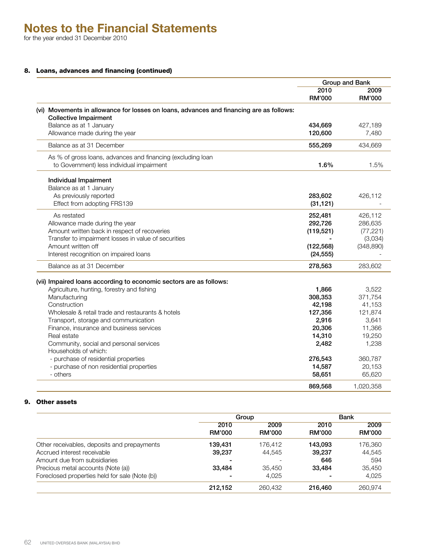for the year ended 31 December 2010

## 8. Loans, advances and financing (continued)

|                                                                                                                         | Group and Bank |                       |
|-------------------------------------------------------------------------------------------------------------------------|----------------|-----------------------|
|                                                                                                                         | 2010<br>RM'000 | 2009<br><b>RM'000</b> |
| (vi) Movements in allowance for losses on loans, advances and financing are as follows:<br><b>Collective Impairment</b> |                |                       |
| Balance as at 1 January                                                                                                 | 434,669        | 427,189               |
| Allowance made during the year                                                                                          | 120,600        | 7,480                 |
| Balance as at 31 December                                                                                               | 555,269        | 434,669               |
| As % of gross loans, advances and financing (excluding loan                                                             |                |                       |
| to Government) less individual impairment                                                                               | 1.6%           | 1.5%                  |
| Individual Impairment                                                                                                   |                |                       |
| Balance as at 1 January                                                                                                 |                |                       |
| As previously reported                                                                                                  | 283,602        | 426,112               |
| Effect from adopting FRS139                                                                                             | (31, 121)      |                       |
| As restated                                                                                                             | 252,481        | 426,112               |
| Allowance made during the year                                                                                          | 292,726        | 286,635               |
| Amount written back in respect of recoveries                                                                            | (119, 521)     | (77, 221)             |
| Transfer to impairment losses in value of securities                                                                    |                | (3,034)               |
| Amount written off                                                                                                      | (122, 568)     | (348, 890)            |
| Interest recognition on impaired loans                                                                                  | (24, 555)      |                       |
| Balance as at 31 December                                                                                               | 278,563        | 283,602               |
| (vii) Impaired loans according to economic sectors are as follows:                                                      |                |                       |
| Agriculture, hunting, forestry and fishing                                                                              | 1,866          | 3,522                 |
| Manufacturing                                                                                                           | 308,353        | 371.754               |
| Construction                                                                                                            | 42,198         | 41,153                |
| Wholesale & retail trade and restaurants & hotels                                                                       | 127,356        | 121,874               |
| Transport, storage and communication                                                                                    | 2,916          | 3,641                 |
| Finance, insurance and business services                                                                                | 20,306         | 11,366                |
| Real estate                                                                                                             | 14,310         | 19,250                |
| Community, social and personal services                                                                                 | 2,482          | 1,238                 |
| Households of which:                                                                                                    |                |                       |
| - purchase of residential properties                                                                                    | 276,543        | 360,787               |
| - purchase of non residential properties                                                                                | 14,587         | 20,153                |
| - others                                                                                                                | 58,651         | 65,620                |
|                                                                                                                         | 869,568        | 1,020,358             |

## 9. Other assets

|                                                |                          | Group                    | <b>Bank</b>   |               |  |
|------------------------------------------------|--------------------------|--------------------------|---------------|---------------|--|
|                                                | 2010                     | 2009                     | 2010          | 2009          |  |
|                                                | <b>RM'000</b>            | <b>RM'000</b>            | <b>RM'000</b> | <b>RM'000</b> |  |
| Other receivables, deposits and prepayments    | 139.431                  | 176.412                  | 143.093       | 176,360       |  |
| Accrued interest receivable                    | 39,237                   | 44,545                   | 39,237        | 44.545        |  |
| Amount due from subsidiaries                   | $\overline{\phantom{0}}$ | $\overline{\phantom{a}}$ | 646           | 594           |  |
| Precious metal accounts (Note (a))             | 33,484                   | 35,450                   | 33,484        | 35,450        |  |
| Foreclosed properties held for sale (Note (b)) |                          | 4,025                    | -             | 4,025         |  |
|                                                | 212.152                  | 260,432                  | 216,460       | 260.974       |  |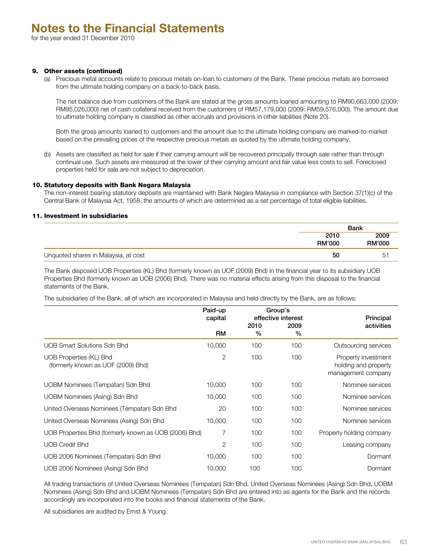## 9. Other assets (continued)

(a) Precious metal accounts relate to precious metals on-loan to customers of the Bank. These precious metals are borrowed from the ultimate holding company on a back-to-back basis.

The net balance due from customers of the Bank are stated at the gross amounts loaned amounting to RM90,663,000 (2009: RM95,026,000) net of cash collateral received from the customers of RM57,179,000 (2009: RM59,576,000). The amount due to ultimate holding company is classified as other accruals and provisions in other liabilities (Note 20).

Both the gross amounts loaned to customers and the amount due to the ultimate holding company are marked-to-market based on the prevailing prices of the respective precious metals as quoted by the ultimate holding company.

(b) Assets are classified as held for sale if their carrying amount will be recovered principally through sale rather than through continual use. Such assets are measured at the lower of their carrying amount and fair value less costs to sell. Foreclosed properties held for sale are not subject to depreciation.

#### 10. Statutory deposits with Bank Negara Malaysia

The non-interest bearing statutory deposits are maintained with Bank Negara Malaysia in compliance with Section 37(1)(c) of the Central Bank of Malaysia Act, 1958, the amounts of which are determined as a set percentage of total eligible liabilities.

## 11. Investment in subsidiaries

|                                      | Bank          |               |  |
|--------------------------------------|---------------|---------------|--|
|                                      | 2010          | 2009          |  |
|                                      | <b>RM'000</b> | <b>RM'000</b> |  |
| Unquoted shares in Malaysia, at cost | 50            | D.            |  |

The Bank disposed UOB Properties (KL) Bhd (formerly known as UOF (2009) Bhd) in the financial year to its subsidiary UOB Properties Bhd (formerly known as UOB (2006) Bhd). There was no material effects arising from this disposal to the financial statements of the Bank.

The subsidiaries of the Bank, all of which are incorporated in Malaysia and held directly by the Bank, are as follows:

|                                                               | Paid-up<br>capital |              | Group's<br>effective interest | Principal                                                         |
|---------------------------------------------------------------|--------------------|--------------|-------------------------------|-------------------------------------------------------------------|
|                                                               | RM                 | 2010<br>$\%$ | 2009<br>$\%$                  | activities                                                        |
| UOB Smart Solutions Sdn Bhd                                   | 10,000             | 100          | 100                           | Outsourcing services                                              |
| UOB Properties (KL) Bhd<br>(formerly known as UOF (2009) Bhd) | $\overline{2}$     | 100          | 100                           | Property investment<br>holding and property<br>management company |
| UOBM Nominees (Tempatan) Sdn Bhd                              | 10,000             | 100          | 100                           | Nominee services                                                  |
| UOBM Nominees (Asing) Sdn Bhd                                 | 10,000             | 100          | 100                           | Nominee services                                                  |
| United Overseas Nominees (Tempatan) Sdn Bhd                   | 20                 | 100          | 100                           | Nominee services                                                  |
| United Overseas Nominees (Asing) Sdn Bhd                      | 10,000             | 100          | 100                           | Nominee services                                                  |
| UOB Properties Bhd (formerly known as UOB (2006) Bhd)         | 7                  | 100          | 100                           | Property holding company                                          |
| <b>UOB Credit Bhd</b>                                         | $\overline{2}$     | 100          | 100                           | Leasing company                                                   |
| UOB 2006 Nominees (Tempatan) Sdn Bhd                          | 10,000             | 100          | 100                           | Dormant                                                           |
| UOB 2006 Nominees (Asing) Sdn Bhd                             | 10,000             | 100          | 100                           | Dormant                                                           |

All trading transactions of United Overseas Nominees (Tempatan) Sdn Bhd, United Overseas Nominees (Asing) Sdn Bhd, UOBM Nominees (Asing) Sdn Bhd and UOBM Nominees (Tempatan) Sdn Bhd are entered into as agents for the Bank and the records accordingly are incorporated into the books and financial statements of the Bank.

All subsidiaries are audited by Ernst & Young.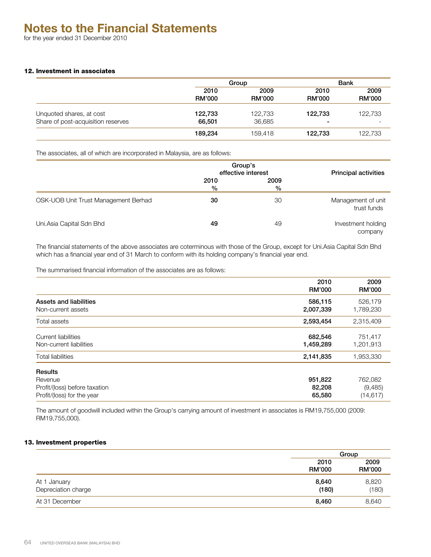## 12. Investment in associates

|                                    |               | Group         |               | Bank                     |  |  |
|------------------------------------|---------------|---------------|---------------|--------------------------|--|--|
|                                    | 2010          | 2009          | 2010          | 2009                     |  |  |
|                                    | <b>RM'000</b> | <b>RM'000</b> | <b>RM'000</b> | <b>RM'000</b>            |  |  |
| Unquoted shares, at cost           | 122,733       | 122.733       | 122.733       | 122,733                  |  |  |
| Share of post-acquisition reserves | 66,501        | 36,685        | -             | $\overline{\phantom{a}}$ |  |  |
|                                    | 189,234       | 159.418       | 122,733       | 122,733                  |  |  |

The associates, all of which are incorporated in Malaysia, are as follows:

|                                      | Group's<br>effective interest | <b>Principal activities</b> |                                   |
|--------------------------------------|-------------------------------|-----------------------------|-----------------------------------|
|                                      | 2010<br>%                     | 2009<br>%                   |                                   |
| OSK-UOB Unit Trust Management Berhad | 30                            | 30                          | Management of unit<br>trust funds |
| Uni.Asia Capital Sdn Bhd             | 49                            | 49                          | Investment holding<br>company     |

The financial statements of the above associates are coterminous with those of the Group, except for Uni.Asia Capital Sdn Bhd which has a financial year end of 31 March to conform with its holding company's financial year end.

The summarised financial information of the associates are as follows:

|                                                                                          | 2010<br><b>RM'000</b>       | 2009<br><b>RM'000</b>           |
|------------------------------------------------------------------------------------------|-----------------------------|---------------------------------|
| Assets and liabilities<br>Non-current assets                                             | 586,115<br>2,007,339        | 526,179<br>1,789,230            |
| Total assets                                                                             | 2,593,454                   | 2,315,409                       |
| <b>Current liabilities</b><br>Non-current liabilities                                    | 682,546<br>1,459,289        | 751,417<br>1,201,913            |
| <b>Total liabilities</b>                                                                 | 2,141,835                   | 1,953,330                       |
| <b>Results</b><br>Revenue<br>Profit/(loss) before taxation<br>Profit/(loss) for the year | 951,822<br>82,208<br>65,580 | 762,082<br>(9,485)<br>(14, 617) |

The amount of goodwill included within the Group's carrying amount of investment in associates is RM19,755,000 (2009: RM19,755,000).

## 13. Investment properties

|                                     |                       | Group                 |  |  |
|-------------------------------------|-----------------------|-----------------------|--|--|
|                                     | 2010<br><b>RM'000</b> | 2009<br><b>RM'000</b> |  |  |
| At 1 January<br>Depreciation charge | 8,640<br>(180)        | 8,820<br>(180)        |  |  |
| At 31 December                      | 8,460                 | 8,640                 |  |  |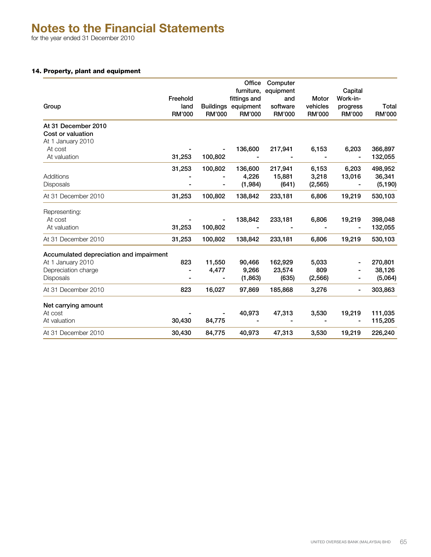for the year ended 31 December 2010

## 14. Property, plant and equipment

|                                         |                |                  | Office                     | Computer         |               |                     |          |
|-----------------------------------------|----------------|------------------|----------------------------|------------------|---------------|---------------------|----------|
|                                         | Freehold       |                  | furniture,<br>fittings and | equipment<br>and | Motor         | Capital<br>Work-in- |          |
| Group                                   | land           | <b>Buildings</b> | equipment                  | software         | vehicles      | progress            | Total    |
|                                         | RM'000         | <b>RM'000</b>    | RM'000                     | <b>RM'000</b>    | <b>RM'000</b> | <b>RM'000</b>       | RM'000   |
| At 31 December 2010                     |                |                  |                            |                  |               |                     |          |
| Cost or valuation                       |                |                  |                            |                  |               |                     |          |
| At 1 January 2010                       |                |                  |                            |                  |               |                     |          |
| At cost                                 |                |                  | 136,600                    | 217,941          | 6,153         | 6,203               | 366,897  |
| At valuation                            | 31,253         | 100,802          |                            |                  |               |                     | 132,055  |
|                                         | 31,253         | 100,802          | 136,600                    | 217,941          | 6,153         | 6.203               | 498,952  |
| Additions                               |                |                  | 4,226                      | 15,881           | 3,218         | 13,016              | 36,341   |
| <b>Disposals</b>                        |                |                  | (1,984)                    | (641)            | (2, 565)      |                     | (5, 190) |
| At 31 December 2010                     | 31,253         | 100,802          | 138,842                    | 233,181          | 6,806         | 19,219              | 530,103  |
| Representing:                           |                |                  |                            |                  |               |                     |          |
| At cost                                 |                |                  | 138,842                    | 233,181          | 6,806         | 19,219              | 398,048  |
| At valuation                            | 31,253         | 100,802          |                            |                  |               |                     | 132,055  |
| At 31 December 2010                     | 31,253         | 100,802          | 138,842                    | 233,181          | 6,806         | 19,219              | 530,103  |
| Accumulated depreciation and impairment |                |                  |                            |                  |               |                     |          |
| At 1 January 2010                       | 823            | 11,550           | 90,466                     | 162,929          | 5,033         |                     | 270,801  |
| Depreciation charge                     | $\blacksquare$ | 4,477            | 9,266                      | 23,574           | 809           |                     | 38,126   |
| <b>Disposals</b>                        |                |                  | (1,863)                    | (635)            | (2, 566)      |                     | (5,064)  |
| At 31 December 2010                     | 823            | 16,027           | 97,869                     | 185,868          | 3,276         | ٠                   | 303,863  |
| Net carrying amount                     |                |                  |                            |                  |               |                     |          |
| At cost                                 |                |                  | 40,973                     | 47,313           | 3,530         | 19,219              | 111,035  |
| At valuation                            | 30,430         | 84,775           |                            |                  |               |                     | 115,205  |
| At 31 December 2010                     | 30,430         | 84,775           | 40,973                     | 47,313           | 3,530         | 19,219              | 226,240  |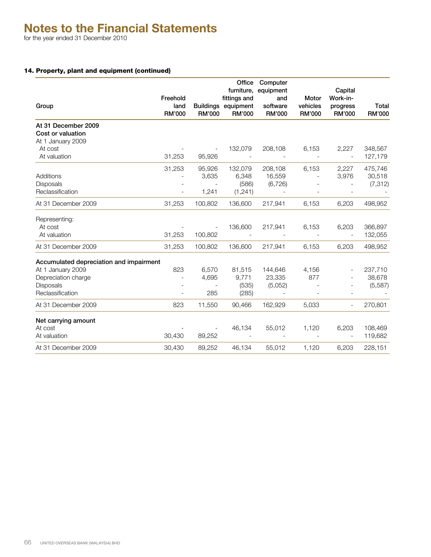## 14. Property, plant and equipment (continued)

|                                         | Freehold                 |                          | Office<br>fittings and               | Computer<br>furniture, equipment<br>and | Motor                     | Capital<br>Work-in-       |                 |
|-----------------------------------------|--------------------------|--------------------------|--------------------------------------|-----------------------------------------|---------------------------|---------------------------|-----------------|
| Group                                   | land<br><b>RM'000</b>    | <b>RM'000</b>            | Buildings equipment<br><b>RM'000</b> | software<br><b>RM'000</b>               | vehicles<br><b>RM'000</b> | progress<br><b>RM'000</b> | Total<br>RM'000 |
| At 31 December 2009                     |                          |                          |                                      |                                         |                           |                           |                 |
| Cost or valuation                       |                          |                          |                                      |                                         |                           |                           |                 |
| At 1 January 2009                       |                          |                          |                                      |                                         |                           |                           |                 |
| At cost                                 |                          |                          | 132,079                              | 208,108                                 | 6,153                     | 2,227                     | 348,567         |
| At valuation                            | 31,253                   | 95,926                   |                                      |                                         |                           | $\mathbb{L}$              | 127,179         |
|                                         | 31,253                   | 95,926                   | 132,079                              | 208,108                                 | 6,153                     | 2,227                     | 475,746         |
| Additions                               |                          | 3,635                    | 6,348                                | 16,559                                  |                           | 3,976                     | 30,518          |
| <b>Disposals</b>                        |                          |                          | (586)                                | (6, 726)                                |                           |                           | (7, 312)        |
| Reclassification                        |                          | 1,241                    | (1, 241)                             |                                         |                           |                           |                 |
| At 31 December 2009                     | 31,253                   | 100,802                  | 136,600                              | 217,941                                 | 6,153                     | 6,203                     | 498,952         |
| Representing:                           |                          |                          |                                      |                                         |                           |                           |                 |
| At cost                                 |                          | $\overline{\phantom{a}}$ | 136,600                              | 217,941                                 | 6,153                     | 6,203                     | 366,897         |
| At valuation                            | 31,253                   | 100,802                  | $\sim$                               |                                         | $\overline{\phantom{a}}$  | $\sim$                    | 132,055         |
| At 31 December 2009                     | 31,253                   | 100,802                  | 136,600                              | 217,941                                 | 6,153                     | 6,203                     | 498,952         |
| Accumulated depreciation and impairment |                          |                          |                                      |                                         |                           |                           |                 |
| At 1 January 2009                       | 823                      | 6,570                    | 81,515                               | 144,646                                 | 4,156                     |                           | 237,710         |
| Depreciation charge                     | $\blacksquare$           | 4,695                    | 9,771                                | 23,335                                  | 877                       |                           | 38,678          |
| <b>Disposals</b>                        | $\overline{\phantom{a}}$ | $\overline{\phantom{a}}$ | (535)                                | (5,052)                                 |                           |                           | (5,587)         |
| Reclassification                        | $\blacksquare$           | 285                      | (285)                                | $\sim$                                  | $\overline{a}$            |                           |                 |
| At 31 December 2009                     | 823                      | 11,550                   | 90,466                               | 162,929                                 | 5,033                     | $\overline{\phantom{a}}$  | 270,801         |
| Net carrying amount                     |                          |                          |                                      |                                         |                           |                           |                 |
| At cost                                 |                          |                          | 46,134                               | 55,012                                  | 1,120                     | 6,203                     | 108,469         |
| At valuation                            | 30,430                   | 89,252                   |                                      |                                         |                           |                           | 119,682         |
| At 31 December 2009                     | 30,430                   | 89,252                   | 46,134                               | 55,012                                  | 1,120                     | 6,203                     | 228,151         |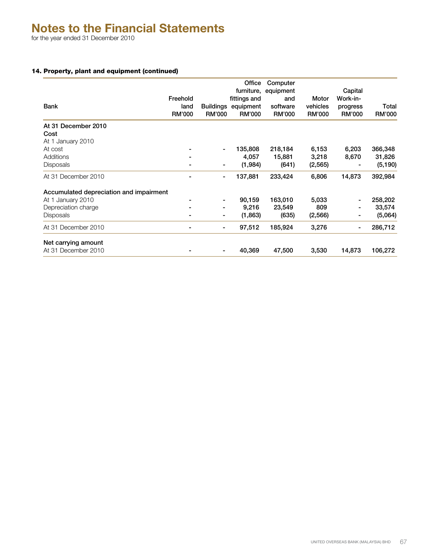for the year ended 31 December 2010

## 14. Property, plant and equipment (continued)

| Bank                                    | Freehold<br>land<br><b>RM'000</b> | <b>Buildings</b><br><b>RM'000</b> | Office<br>furniture,<br>fittings and<br>equipment<br><b>RM'000</b> | Computer<br>equipment<br>and<br>software<br><b>RM'000</b> | Motor<br>vehicles<br><b>RM'000</b> | Capital<br>Work-in-<br>progress<br><b>RM'000</b> | Total<br><b>RM'000</b> |
|-----------------------------------------|-----------------------------------|-----------------------------------|--------------------------------------------------------------------|-----------------------------------------------------------|------------------------------------|--------------------------------------------------|------------------------|
| At 31 December 2010                     |                                   |                                   |                                                                    |                                                           |                                    |                                                  |                        |
| Cost                                    |                                   |                                   |                                                                    |                                                           |                                    |                                                  |                        |
| At 1 January 2010                       |                                   |                                   |                                                                    |                                                           |                                    |                                                  |                        |
| At cost                                 |                                   | ۰                                 | 135,808                                                            | 218,184                                                   | 6,153                              | 6,203                                            | 366,348                |
| Additions                               |                                   |                                   | 4,057                                                              | 15,881                                                    | 3,218                              | 8,670                                            | 31,826                 |
| <b>Disposals</b>                        |                                   | ۰                                 | (1,984)                                                            | (641)                                                     | (2,565)                            |                                                  | (5, 190)               |
| At 31 December 2010                     |                                   | ۰                                 | 137,881                                                            | 233,424                                                   | 6,806                              | 14,873                                           | 392,984                |
| Accumulated depreciation and impairment |                                   |                                   |                                                                    |                                                           |                                    |                                                  |                        |
| At 1 January 2010                       |                                   | ۰                                 | 90,159                                                             | 163,010                                                   | 5,033                              |                                                  | 258,202                |
| Depreciation charge                     | ۰                                 | ۰                                 | 9,216                                                              | 23,549                                                    | 809                                | ۰                                                | 33,574                 |
| <b>Disposals</b>                        | ۰                                 | ۰                                 | (1,863)                                                            | (635)                                                     | (2,566)                            |                                                  | (5,064)                |
| At 31 December 2010                     | ۰                                 | ۰                                 | 97,512                                                             | 185,924                                                   | 3,276                              | ۰                                                | 286,712                |
| Net carrying amount                     |                                   |                                   |                                                                    |                                                           |                                    |                                                  |                        |
| At 31 December 2010                     |                                   | ٠                                 | 40,369                                                             | 47,500                                                    | 3,530                              | 14,873                                           | 106,272                |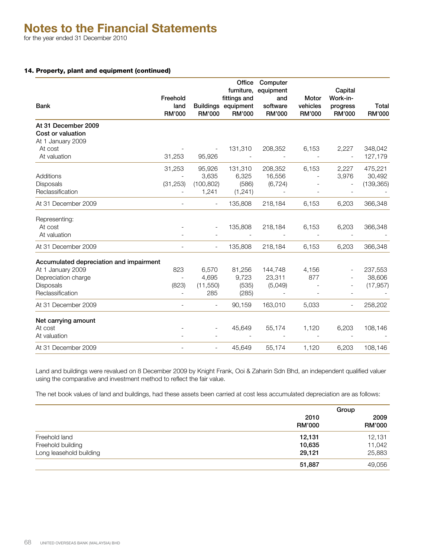## 14. Property, plant and equipment (continued)

|                                          | Freehold                 |                          | Office<br>fittings and               | Computer<br>furniture, equipment<br>and | Motor                     | Capital<br>Work-in-       |                        |
|------------------------------------------|--------------------------|--------------------------|--------------------------------------|-----------------------------------------|---------------------------|---------------------------|------------------------|
| <b>Bank</b>                              | land<br>RM'000           | <b>RM'000</b>            | Buildings equipment<br><b>RM'000</b> | software<br><b>RM'000</b>               | vehicles<br><b>RM'000</b> | progress<br><b>RM'000</b> | Total<br><b>RM'000</b> |
| At 31 December 2009<br>Cost or valuation |                          |                          |                                      |                                         |                           |                           |                        |
| At 1 January 2009                        |                          |                          |                                      |                                         |                           |                           |                        |
| At cost                                  |                          |                          | 131,310                              | 208,352                                 | 6,153                     | 2,227                     | 348,042                |
| At valuation                             | 31,253                   | 95,926                   |                                      |                                         |                           | $\overline{\phantom{a}}$  | 127,179                |
|                                          | 31,253                   | 95,926                   | 131,310                              | 208,352                                 | 6,153                     | 2,227                     | 475,221                |
| Additions                                |                          | 3,635                    | 6,325                                | 16,556                                  |                           | 3,976                     | 30,492                 |
| Disposals                                | (31, 253)                | (100, 802)               | (586)                                | (6, 724)                                |                           |                           | (139, 365)             |
| Reclassification                         |                          | 1,241                    | (1,241)                              | $\overline{\phantom{a}}$                |                           | $\overline{\phantom{a}}$  |                        |
| At 31 December 2009                      | $\overline{\phantom{a}}$ | $\overline{\phantom{a}}$ | 135,808                              | 218,184                                 | 6,153                     | 6,203                     | 366,348                |
| Representing:                            |                          |                          |                                      |                                         |                           |                           |                        |
| At cost                                  |                          |                          | 135,808                              | 218,184                                 | 6,153                     | 6,203                     | 366,348                |
| At valuation                             |                          |                          |                                      |                                         |                           |                           |                        |
| At 31 December 2009                      | $\overline{\phantom{a}}$ | $\overline{\phantom{a}}$ | 135,808                              | 218,184                                 | 6,153                     | 6,203                     | 366,348                |
| Accumulated depreciation and impairment  |                          |                          |                                      |                                         |                           |                           |                        |
| At 1 January 2009                        | 823                      | 6,570                    | 81,256                               | 144,748                                 | 4,156                     |                           | 237,553                |
| Depreciation charge                      | $\overline{\phantom{a}}$ | 4,695                    | 9,723                                | 23,311                                  | 877                       |                           | 38,606                 |
| <b>Disposals</b>                         | (823)                    | (11, 550)                | (535)                                | (5,049)                                 |                           | $\overline{\phantom{a}}$  | (17, 957)              |
| Reclassification                         | $\overline{\phantom{a}}$ | 285                      | (285)                                | $\overline{\phantom{a}}$                |                           |                           |                        |
| At 31 December 2009                      | $\overline{\phantom{a}}$ | $\overline{\phantom{a}}$ | 90,159                               | 163,010                                 | 5,033                     |                           | 258,202                |
| Net carrying amount                      |                          |                          |                                      |                                         |                           |                           |                        |
| At cost                                  |                          | $\blacksquare$           | 45,649                               | 55,174                                  | 1,120                     | 6,203                     | 108,146                |
| At valuation                             |                          |                          |                                      |                                         |                           |                           |                        |
| At 31 December 2009                      | $\overline{\phantom{a}}$ | $\overline{\phantom{a}}$ | 45,649                               | 55,174                                  | 1,120                     | 6,203                     | 108,146                |

Land and buildings were revalued on 8 December 2009 by Knight Frank, Ooi & Zaharin Sdn Bhd, an independent qualified valuer using the comparative and investment method to reflect the fair value.

The net book values of land and buildings, had these assets been carried at cost less accumulated depreciation are as follows:

|                         |                       | Group                 |
|-------------------------|-----------------------|-----------------------|
|                         | 2010<br><b>RM'000</b> | 2009<br><b>RM'000</b> |
| Freehold land           | 12,131                | 12,131                |
| Freehold building       | 10,635                | 11,042                |
| Long leasehold building | 29,121                | 25,883                |
|                         | 51,887                | 49,056                |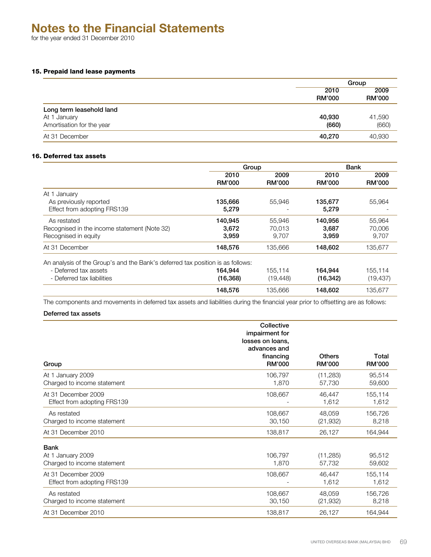for the year ended 31 December 2010

## 15. Prepaid land lease payments

|                           | Group                 |                       |
|---------------------------|-----------------------|-----------------------|
|                           | 2010<br><b>RM'000</b> | 2009<br><b>RM'000</b> |
| Long term leasehold land  |                       |                       |
| At 1 January              | 40,930                | 41,590                |
| Amortisation for the year | (660)                 | (660)                 |
| At 31 December            | 40,270                | 40,930                |

## 16. Deferred tax assets

|                                                                                | Group         |               | <b>Bank</b>   |               |
|--------------------------------------------------------------------------------|---------------|---------------|---------------|---------------|
|                                                                                | 2010          | 2009          | 2010          | 2009          |
|                                                                                | <b>RM'000</b> | <b>RM'000</b> | <b>RM'000</b> | <b>RM'000</b> |
| January<br>At 1                                                                |               |               |               |               |
| As previously reported                                                         | 135,666       | 55,946        | 135,677       | 55,964        |
| Effect from adopting FRS139                                                    | 5.279         |               | 5,279         |               |
| As restated                                                                    | 140,945       | 55.946        | 140,956       | 55.964        |
| Recognised in the income statement (Note 32)                                   | 3,672         | 70,013        | 3,687         | 70,006        |
| Recognised in equity                                                           | 3.959         | 9.707         | 3,959         | 9.707         |
| At 31 December                                                                 | 148,576       | 135,666       | 148,602       | 135,677       |
| An analysis of the Group's and the Bank's deferred tax position is as follows: |               |               |               |               |
| - Deferred tax assets                                                          | 164.944       | 155.114       | 164,944       | 155.114       |
| - Deferred tax liabilities                                                     | (16, 368)     | (19, 448)     | (16, 342)     | (19, 437)     |
|                                                                                | 148.576       | 135,666       | 148.602       | 135.677       |

The components and movements in deferred tax assets and liabilities during the financial year prior to offsetting are as follows:

## Deferred tax assets

| Group                                                           | Collective<br>impairment for<br>losses on loans,<br>advances and<br>financing<br><b>RM'000</b> | Others<br><b>RM'000</b> | Total<br><b>RM'000</b> |
|-----------------------------------------------------------------|------------------------------------------------------------------------------------------------|-------------------------|------------------------|
| At 1 January 2009                                               | 106,797                                                                                        | (11, 283)               | 95,514                 |
| Charged to income statement                                     | 1,870                                                                                          | 57,730                  | 59,600                 |
| At 31 December 2009                                             | 108,667                                                                                        | 46,447                  | 155,114                |
| Effect from adopting FRS139                                     |                                                                                                | 1,612                   | 1,612                  |
| As restated                                                     | 108,667                                                                                        | 48,059                  | 156,726                |
| Charged to income statement                                     | 30,150                                                                                         | (21, 932)               | 8,218                  |
| At 31 December 2010                                             | 138,817                                                                                        | 26,127                  | 164,944                |
| <b>Bank</b><br>At 1 January 2009<br>Charged to income statement | 106,797<br>1,870                                                                               | (11, 285)<br>57,732     | 95,512<br>59,602       |
| At 31 December 2009                                             | 108,667                                                                                        | 46,447                  | 155,114                |
| Effect from adopting FRS139                                     |                                                                                                | 1,612                   | 1,612                  |
| As restated                                                     | 108,667                                                                                        | 48,059                  | 156,726                |
| Charged to income statement                                     | 30,150                                                                                         | (21, 932)               | 8,218                  |
| At 31 December 2010                                             | 138,817                                                                                        | 26,127                  | 164,944                |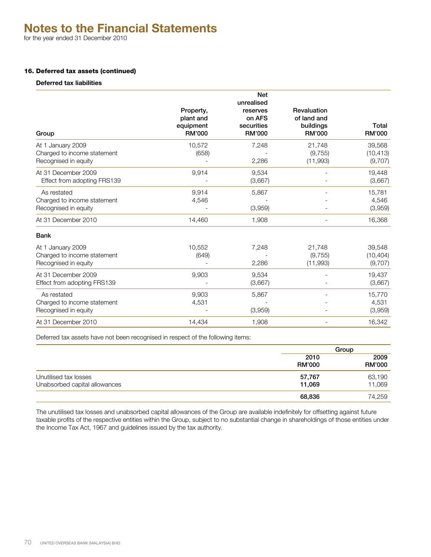for the year ended 31 December 2010

## 16. Deferred tax assets (continued)

## **Deferred tax liabilities**

| Group                                                                    | Property,<br>plant and<br>equipment<br>RM'000 | <b>Net</b><br>unrealised<br>reserves<br>on AFS<br>securities<br><b>RM'000</b> | Revaluation<br>of land and<br>buildings<br><b>RM'000</b> | Total<br>RM'000                |
|--------------------------------------------------------------------------|-----------------------------------------------|-------------------------------------------------------------------------------|----------------------------------------------------------|--------------------------------|
| At 1 January 2009<br>Charged to income statement<br>Recognised in equity | 10,572<br>(658)                               | 7,248<br>2,286                                                                | 21,748<br>(9, 755)<br>(11,993)                           | 39,568<br>(10, 413)<br>(9,707) |
| At 31 December 2009<br>Effect from adopting FRS139                       | 9,914                                         | 9,534<br>(3,667)                                                              |                                                          | 19,448<br>(3,667)              |
| As restated<br>Charged to income statement<br>Recognised in equity       | 9.914<br>4,546                                | 5,867<br>(3,959)                                                              |                                                          | 15,781<br>4,546<br>(3,959)     |
| At 31 December 2010                                                      | 14,460                                        | 1,908                                                                         |                                                          | 16,368                         |
| <b>Bank</b>                                                              |                                               |                                                                               |                                                          |                                |
| At 1 January 2009<br>Charged to income statement<br>Recognised in equity | 10,552<br>(649)                               | 7,248<br>2,286                                                                | 21,748<br>(9, 755)<br>(11,993)                           | 39,548<br>(10, 404)<br>(9,707) |
| At 31 December 2009<br>Effect from adopting FRS139                       | 9,903                                         | 9,534<br>(3,667)                                                              |                                                          | 19,437<br>(3,667)              |
| As restated<br>Charged to income statement<br>Recognised in equity       | 9,903<br>4,531                                | 5,867<br>(3,959)                                                              |                                                          | 15,770<br>4,531<br>(3,959)     |
| At 31 December 2010                                                      | 14,434                                        | 1.908                                                                         | $\overline{\phantom{a}}$                                 | 16,342                         |

Deferred tax assets have not been recognised in respect of the following items:

|                               |                       | Group                 |  |
|-------------------------------|-----------------------|-----------------------|--|
|                               | 2010<br><b>RM'000</b> | 2009<br><b>RM'000</b> |  |
| Unutilised tax losses         | 57,767                | 63,190                |  |
| Unabsorbed capital allowances | 11,069                | 11,069                |  |
|                               | 68,836                | 74,259                |  |

The unutilised tax losses and unabsorbed capital allowances of the Group are available indefinitely for offsetting against future taxable profits of the respective entities within the Group, subject to no substantial change in shareholdings of those entities under the Income Tax Act, 1967 and guidelines issued by the tax authority.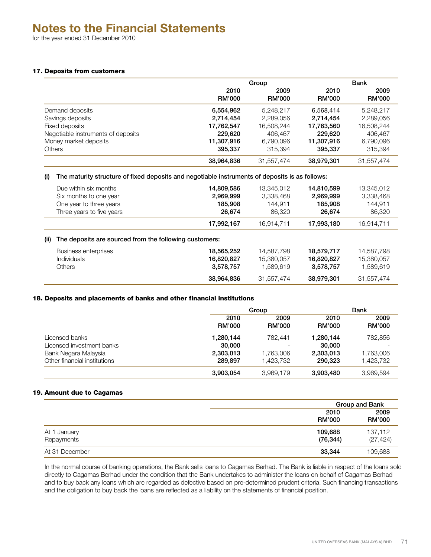for the year ended 31 December 2010

## 17. Deposits from customers

|                                    | Group                 |                       |                       | Bank                  |  |
|------------------------------------|-----------------------|-----------------------|-----------------------|-----------------------|--|
|                                    | 2010<br><b>RM'000</b> | 2009<br><b>RM'000</b> | 2010<br><b>RM'000</b> | 2009<br><b>RM'000</b> |  |
| Demand deposits                    | 6,554,962             | 5.248.217             | 6,568,414             | 5.248.217             |  |
| Savings deposits                   | 2,714,454             | 2,289,056             | 2,714,454             | 2,289,056             |  |
| Fixed deposits                     | 17,762,547            | 16,508,244            | 17,763,560            | 16,508,244            |  |
| Negotiable instruments of deposits | 229.620               | 406,467               | 229.620               | 406,467               |  |
| Money market deposits              | 11,307,916            | 6.790.096             | 11,307,916            | 6,790,096             |  |
| <b>Others</b>                      | 395.337               | 315.394               | 395.337               | 315.394               |  |
|                                    | 38,964,836            | 31,557,474            | 38,979,301            | 31,557,474            |  |

#### (i) The maturity structure of fixed deposits and negotiable instruments of deposits is as follows:

| Due within six months<br>Six months to one year<br>One year to three years<br>Three years to five years | 14,809,586<br>2,969,999<br>185,908<br>26,674 | 13,345,012<br>3,338,468<br>144.911<br>86,320 | 14,810,599<br>2,969,999<br>185,908<br>26,674 | 13,345,012<br>3,338,468<br>144,911<br>86,320 |
|---------------------------------------------------------------------------------------------------------|----------------------------------------------|----------------------------------------------|----------------------------------------------|----------------------------------------------|
|                                                                                                         | 17,992,167                                   | 16,914,711                                   | 17,993,180                                   | 16,914,711                                   |
| (ii)<br>The deposits are sourced from the following customers:                                          |                                              |                                              |                                              |                                              |
| Business enterprises<br><b>Individuals</b><br><b>Others</b>                                             | 18,565,252<br>16,820,827<br>3,578,757        | 14,587,798<br>15,380,057<br>1.589.619        | 18,579,717<br>16,820,827<br>3,578,757        | 14,587,798<br>15,380,057<br>1,589,619        |
|                                                                                                         | 38,964,836                                   | 31,557,474                                   | 38,979,301                                   | 31,557,474                                   |

## 18. Deposits and placements of banks and other financial institutions

|                              |                       | Group                 |                       | Bank                  |  |
|------------------------------|-----------------------|-----------------------|-----------------------|-----------------------|--|
|                              | 2010<br><b>RM'000</b> | 2009<br><b>RM'000</b> | 2010<br><b>RM'000</b> | 2009<br><b>RM'000</b> |  |
| Licensed banks               | 1,280,144             | 782.441               | 1,280,144             | 782,856               |  |
| Licensed investment banks    | 30,000                |                       | 30,000                |                       |  |
| Bank Negara Malaysia         | 2,303,013             | 1,763,006             | 2,303,013             | 1,763,006             |  |
| Other financial institutions | 289.897               | 1.423.732             | 290,323               | 1,423,732             |  |
|                              | 3,903,054             | 3,969,179             | 3,903,480             | 3,969,594             |  |

## 19. Amount due to Cagamas

|                            |                       | <b>Group and Bank</b> |
|----------------------------|-----------------------|-----------------------|
|                            | 2010<br><b>RM'000</b> | 2009<br><b>RM'000</b> |
| At 1 January<br>Repayments | 109,688<br>(76, 344)  | 137,112<br>(27, 424)  |
| At 31 December             | 33,344                | 109,688               |

In the normal course of banking operations, the Bank sells loans to Cagamas Berhad. The Bank is liable in respect of the loans sold directly to Cagamas Berhad under the condition that the Bank undertakes to administer the loans on behalf of Cagamas Berhad and to buy back any loans which are regarded as defective based on pre-determined prudent criteria. Such financing transactions and the obligation to buy back the loans are reflected as a liability on the statements of financial position.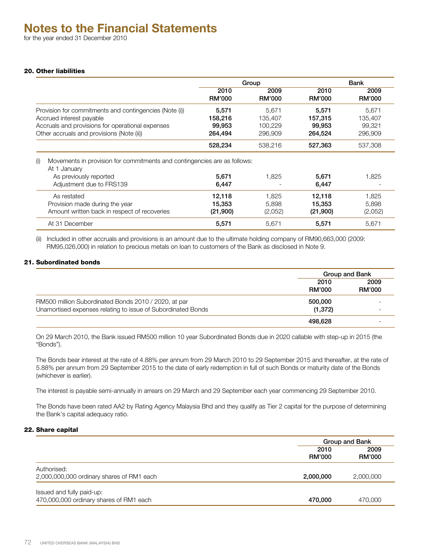## 20. Other liabilities

|                                                                                                                                                                                     | Group                                 |                                        |                                       | Bank                                  |  |
|-------------------------------------------------------------------------------------------------------------------------------------------------------------------------------------|---------------------------------------|----------------------------------------|---------------------------------------|---------------------------------------|--|
|                                                                                                                                                                                     | 2010<br><b>RM'000</b>                 | 2009<br><b>RM'000</b>                  | 2010<br><b>RM'000</b>                 | 2009<br><b>RM'000</b>                 |  |
| Provision for commitments and contingencies (Note (i))<br>Accrued interest payable<br>Accruals and provisions for operational expenses<br>Other accruals and provisions (Note (ii)) | 5,571<br>158,216<br>99,953<br>264,494 | 5.671<br>135,407<br>100,229<br>296,909 | 5,571<br>157,315<br>99,953<br>264,524 | 5,671<br>135,407<br>99,321<br>296.909 |  |
|                                                                                                                                                                                     | 528,234                               | 538,216                                | 527,363                               | 537,308                               |  |
| Movements in provision for commitments and contingencies are as follows:<br>(i)<br>At 1 January<br>As previously reported<br>Adjustment due to FRS139                               | 5.671<br>6,447                        | 1.825                                  | 5,671<br>6,447                        | 1,825                                 |  |
| As restated<br>Provision made during the year<br>Amount written back in respect of recoveries                                                                                       | 12,118<br>15,353<br>(21,900)          | 1,825<br>5.898<br>(2,052)              | 12,118<br>15,353<br>(21,900)          | 1,825<br>5,898<br>(2,052)             |  |
| At 31 December                                                                                                                                                                      | 5,571                                 | 5,671                                  | 5,571                                 | 5,671                                 |  |

(ii) Included in other accruals and provisions is an amount due to the ultimate holding company of RM90,663,000 (2009: RM95,026,000) in relation to precious metals on loan to customers of the Bank as disclosed in Note 9.

## 21. Subordinated bonds

|                                                              | Group and Bank        |                       |
|--------------------------------------------------------------|-----------------------|-----------------------|
|                                                              | 2010<br><b>RM'000</b> | 2009<br><b>RM'000</b> |
| RM500 million Subordinated Bonds 2010 / 2020, at par         | 500,000               |                       |
| Unamortised expenses relating to issue of Subordinated Bonds | (1,372)               |                       |
|                                                              | 498.628               |                       |

On 29 March 2010, the Bank issued RM500 million 10 year Subordinated Bonds due in 2020 callable with step-up in 2015 (the "Bonds").

The Bonds bear interest at the rate of 4.88% per annum from 29 March 2010 to 29 September 2015 and thereafter, at the rate of 5.88% per annum from 29 September 2015 to the date of early redemption in full of such Bonds or maturity date of the Bonds (whichever is earlier).

The interest is payable semi-annually in arrears on 29 March and 29 September each year commencing 29 September 2010.

The Bonds have been rated AA2 by Rating Agency Malaysia Bhd and they qualify as Tier 2 capital for the purpose of determining the Bank's capital adequacy ratio.

## 22. Share capital

|                                                                      |                       | Group and Bank |
|----------------------------------------------------------------------|-----------------------|----------------|
|                                                                      | 2010<br><b>RM'000</b> | 2009<br>RM'000 |
| Authorised:<br>2,000,000,000 ordinary shares of RM1 each             | 2,000,000             | 2,000,000      |
| Issued and fully paid-up:<br>470,000,000 ordinary shares of RM1 each | 470,000               | 470,000        |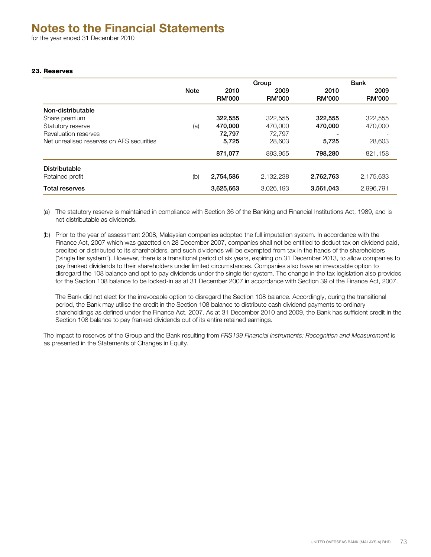# 23. Reserves

|                                           |             |               | Group         |               | <b>Bank</b>   |
|-------------------------------------------|-------------|---------------|---------------|---------------|---------------|
|                                           | <b>Note</b> | 2010          | 2009          | 2010          | 2009          |
|                                           |             | <b>RM'000</b> | <b>RM'000</b> | <b>RM'000</b> | <b>RM'000</b> |
| Non-distributable                         |             |               |               |               |               |
| Share premium                             |             | 322,555       | 322,555       | 322,555       | 322,555       |
| Statutory reserve                         | (a)         | 470,000       | 470,000       | 470,000       | 470,000       |
| Revaluation reserves                      |             | 72,797        | 72.797        | -             |               |
| Net unrealised reserves on AFS securities |             | 5,725         | 28,603        | 5,725         | 28,603        |
|                                           |             | 871,077       | 893,955       | 798,280       | 821,158       |
| <b>Distributable</b>                      |             |               |               |               |               |
| Retained profit                           | (b)         | 2,754,586     | 2,132,238     | 2,762,763     | 2,175,633     |
| <b>Total reserves</b>                     |             | 3,625,663     | 3,026,193     | 3,561,043     | 2,996,791     |

(a) The statutory reserve is maintained in compliance with Section 36 of the Banking and Financial Institutions Act, 1989, and is not distributable as dividends.

(b) Prior to the year of assessment 2008, Malaysian companies adopted the full imputation system. In accordance with the Finance Act, 2007 which was gazetted on 28 December 2007, companies shall not be entitled to deduct tax on dividend paid, credited or distributed to its shareholders, and such dividends will be exempted from tax in the hands of the shareholders ("single tier system"). However, there is a transitional period of six years, expiring on 31 December 2013, to allow companies to pay franked dividends to their shareholders under limited circumstances. Companies also have an irrevocable option to disregard the 108 balance and opt to pay dividends under the single tier system. The change in the tax legislation also provides for the Section 108 balance to be locked-in as at 31 December 2007 in accordance with Section 39 of the Finance Act, 2007.

The Bank did not elect for the irrevocable option to disregard the Section 108 balance. Accordingly, during the transitional period, the Bank may utilise the credit in the Section 108 balance to distribute cash dividend payments to ordinary shareholdings as defined under the Finance Act, 2007. As at 31 December 2010 and 2009, the Bank has sufficient credit in the Section 108 balance to pay franked dividends out of its entire retained earnings.

The impact to reserves of the Group and the Bank resulting from *FRS139 Financial Instruments: Recognition and Measurement* is as presented in the Statements of Changes in Equity.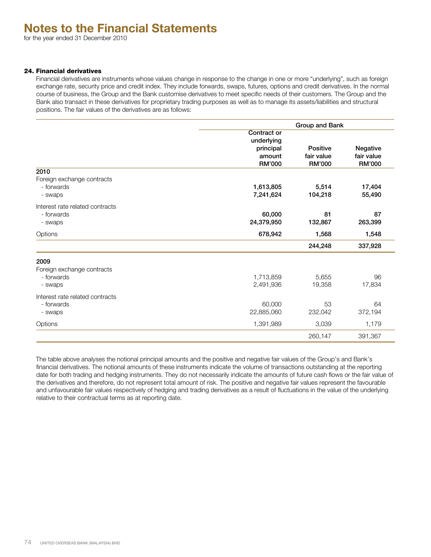# 24. Financial derivatives

Financial derivatives are instruments whose values change in response to the change in one or more "underlying", such as foreign exchange rate, security price and credit index. They include forwards, swaps, futures, options and credit derivatives. In the normal course of business, the Group and the Bank customise derivatives to meet specific needs of their customers. The Group and the Bank also transact in these derivatives for proprietary trading purposes as well as to manage its assets/liabilities and structural positions. The fair values of the derivatives are as follows:

|                                                             | Group and Bank                                             |                                         |                                  |  |  |
|-------------------------------------------------------------|------------------------------------------------------------|-----------------------------------------|----------------------------------|--|--|
| 2010                                                        | Contract or<br>underlying<br>principal<br>amount<br>RM'000 | Positive<br>fair value<br><b>RM'000</b> | Negative<br>fair value<br>RM'000 |  |  |
| Foreign exchange contracts<br>- forwards<br>- swaps         | 1,613,805<br>7,241,624                                     | 5,514<br>104,218                        | 17,404<br>55,490                 |  |  |
| Interest rate related contracts<br>- forwards<br>- swaps    | 60,000<br>24,379,950                                       | 81<br>132,867                           | 87<br>263,399                    |  |  |
| Options                                                     | 678,942                                                    | 1,568                                   | 1,548                            |  |  |
|                                                             |                                                            | 244,248                                 | 337,928                          |  |  |
| 2009<br>Foreign exchange contracts<br>- forwards<br>- swaps | 1,713,859<br>2,491,936                                     | 5,655<br>19,358                         | 96<br>17,834                     |  |  |
| Interest rate related contracts<br>- forwards<br>- swaps    | 60,000<br>22,885,060                                       | 53<br>232,042                           | 64<br>372,194                    |  |  |
| Options                                                     | 1,391,989                                                  | 3,039                                   | 1,179                            |  |  |
|                                                             |                                                            | 260,147                                 | 391,367                          |  |  |

The table above analyses the notional principal amounts and the positive and negative fair values of the Group's and Bank's financial derivatives. The notional amounts of these instruments indicate the volume of transactions outstanding at the reporting date for both trading and hedging instruments. They do not necessarily indicate the amounts of future cash flows or the fair value of the derivatives and therefore, do not represent total amount of risk. The positive and negative fair values represent the favourable and unfavourable fair values respectively of hedging and trading derivatives as a result of fluctuations in the value of the underlying relative to their contractual terms as at reporting date.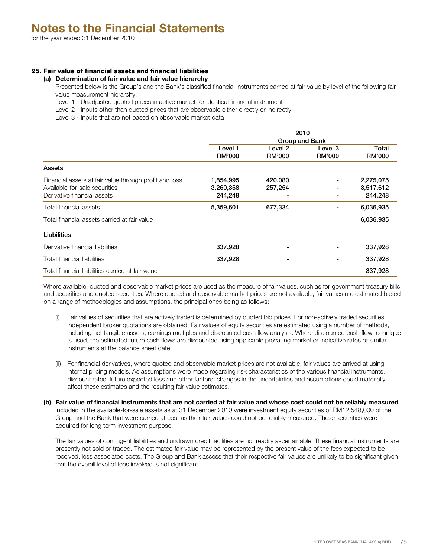# 25. Fair value of financial assets and financial liabilities

#### **(a) Determination of fair value and fair value hierarchy**

Presented below is the Group's and the Bank's classified financial instruments carried at fair value by level of the following fair value measurement hierarchy:

- Level 1 Unadjusted quoted prices in active market for identical financial instrument
- Level 2 Inputs other than quoted prices that are observable either directly or indirectly

Level 3 - Inputs that are not based on observable market data

|                                                        | 2010           |               |               |               |
|--------------------------------------------------------|----------------|---------------|---------------|---------------|
|                                                        | Group and Bank |               |               |               |
|                                                        | Level 1        | Level 2       | Level 3       | Total         |
|                                                        | <b>RM'000</b>  | <b>RM'000</b> | <b>RM'000</b> | <b>RM'000</b> |
| Assets                                                 |                |               |               |               |
| Financial assets at fair value through profit and loss | 1,854,995      | 420,080       |               | 2,275,075     |
| Available-for-sale securities                          | 3,260,358      | 257,254       |               | 3,517,612     |
| Derivative financial assets                            | 244,248        |               |               | 244,248       |
| Total financial assets                                 | 5,359,601      | 677,334       |               | 6,036,935     |
| Total financial assets carried at fair value           |                |               |               | 6,036,935     |
| Liabilities                                            |                |               |               |               |
| Derivative financial liabilities                       | 337,928        |               |               | 337,928       |
| <b>Total financial liabilities</b>                     | 337,928        |               |               | 337,928       |
| Total financial liabilities carried at fair value      |                |               |               | 337,928       |

Where available, quoted and observable market prices are used as the measure of fair values, such as for government treasury bills and securities and quoted securities. Where quoted and observable market prices are not available, fair values are estimated based on a range of methodologies and assumptions, the principal ones being as follows:

- (i) Fair values of securities that are actively traded is determined by quoted bid prices. For non-actively traded securities, independent broker quotations are obtained. Fair values of equity securities are estimated using a number of methods, including net tangible assets, earnings multiples and discounted cash flow analysis. Where discounted cash flow technique is used, the estimated future cash flows are discounted using applicable prevailing market or indicative rates of similar instruments at the balance sheet date.
- (ii) For financial derivatives, where quoted and observable market prices are not available, fair values are arrived at using internal pricing models. As assumptions were made regarding risk characteristics of the various financial instruments, discount rates, future expected loss and other factors, changes in the uncertainties and assumptions could materially affect these estimates and the resulting fair value estimates.
- **(b) Fair value of financial instruments that are not carried at fair value and whose cost could not be reliably measured** Included in the available-for-sale assets as at 31 December 2010 were investment equity securities of RM12,548,000 of the Group and the Bank that were carried at cost as their fair values could not be reliably measured. These securities were acquired for long term investment purpose.

The fair values of contingent liabilities and undrawn credit facilities are not readily ascertainable. These financial instruments are presently not sold or traded. The estimated fair value may be represented by the present value of the fees expected to be received, less associated costs. The Group and Bank assess that their respective fair values are unlikely to be significant given that the overall level of fees involved is not significant.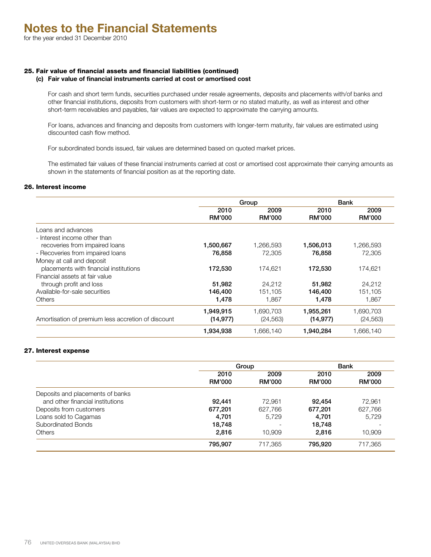# 25. Fair value of financial assets and financial liabilities (continued)

# **(c) Fair value of financial instruments carried at cost or amortised cost**

For cash and short term funds, securities purchased under resale agreements, deposits and placements with/of banks and other financial institutions, deposits from customers with short-term or no stated maturity, as well as interest and other short-term receivables and payables, fair values are expected to approximate the carrying amounts.

For loans, advances and financing and deposits from customers with longer-term maturity, fair values are estimated using discounted cash flow method.

For subordinated bonds issued, fair values are determined based on quoted market prices.

The estimated fair values of these financial instruments carried at cost or amortised cost approximate their carrying amounts as shown in the statements of financial position as at the reporting date.

#### 26. Interest income

|                                                    | Group                 |                       | <b>Bank</b>           |                       |
|----------------------------------------------------|-----------------------|-----------------------|-----------------------|-----------------------|
|                                                    | 2010<br><b>RM'000</b> | 2009<br><b>RM'000</b> | 2010<br><b>RM'000</b> | 2009<br><b>RM'000</b> |
| Loans and advances                                 |                       |                       |                       |                       |
| - Interest income other than                       |                       |                       |                       |                       |
| recoveries from impaired loans                     | 1,500,667             | 1,266,593             | 1,506,013             | 1,266,593             |
| - Recoveries from impaired loans                   | 76,858                | 72.305                | 76.858                | 72.305                |
| Money at call and deposit                          |                       |                       |                       |                       |
| placements with financial institutions             | 172,530               | 174.621               | 172,530               | 174.621               |
| Financial assets at fair value                     |                       |                       |                       |                       |
| through profit and loss                            | 51,982                | 24,212                | 51,982                | 24,212                |
| Available-for-sale securities                      | 146,400               | 151,105               | 146,400               | 151,105               |
| <b>Others</b>                                      | 1,478                 | 1,867                 | 1,478                 | 1,867                 |
|                                                    | 1,949,915             | 1,690,703             | 1,955,261             | 1,690,703             |
| Amortisation of premium less accretion of discount | (14, 977)             | (24, 563)             | (14, 977)             | (24, 563)             |
|                                                    | 1,934,938             | 1,666,140             | 1,940,284             | 1,666,140             |

# 27. Interest expense

|                                  |               | Group   |               | <b>Bank</b>   |
|----------------------------------|---------------|---------|---------------|---------------|
|                                  | 2010          | 2009    | 2010          | 2009          |
|                                  | <b>RM'000</b> | RM'000  | <b>RM'000</b> | <b>RM'000</b> |
| Deposits and placements of banks |               |         |               |               |
| and other financial institutions | 92.441        | 72.961  | 92.454        | 72,961        |
| Deposits from customers          | 677,201       | 627.766 | 677.201       | 627,766       |
| Loans sold to Cagamas            | 4,701         | 5.729   | 4.701         | 5.729         |
| Subordinated Bonds               | 18,748        | -       | 18,748        |               |
| <b>Others</b>                    | 2.816         | 10.909  | 2,816         | 10.909        |
|                                  | 795.907       | 717.365 | 795.920       | 717,365       |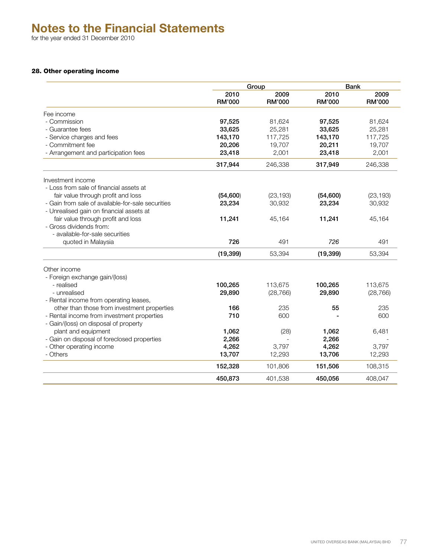for the year ended 31 December 2010

# 28. Other operating income

|                                                   | Group         |               | <b>Bank</b>   |               |
|---------------------------------------------------|---------------|---------------|---------------|---------------|
|                                                   | 2010          | 2009          | 2010          | 2009          |
|                                                   | <b>RM'000</b> | <b>RM'000</b> | <b>RM'000</b> | <b>RM'000</b> |
| Fee income                                        |               |               |               |               |
| - Commission                                      | 97,525        | 81,624        | 97,525        | 81,624        |
| - Guarantee fees                                  | 33,625        | 25,281        | 33,625        | 25,281        |
| - Service charges and fees                        | 143,170       | 117,725       | 143,170       | 117,725       |
| - Commitment fee                                  | 20,206        | 19,707        | 20,211        | 19,707        |
| - Arrangement and participation fees              | 23,418        | 2,001         | 23,418        | 2,001         |
|                                                   | 317,944       | 246,338       | 317,949       | 246,338       |
| Investment income                                 |               |               |               |               |
| - Loss from sale of financial assets at           |               |               |               |               |
| fair value through profit and loss                | (54,600)      | (23, 193)     | (54,600)      | (23, 193)     |
| - Gain from sale of available-for-sale securities | 23,234        | 30,932        | 23,234        | 30,932        |
| - Unrealised gain on financial assets at          |               |               |               |               |
| fair value through profit and loss                | 11,241        | 45,164        | 11,241        | 45,164        |
| - Gross dividends from:                           |               |               |               |               |
| - available-for-sale securities                   |               |               |               |               |
| quoted in Malaysia                                | 726           | 491           | 726           | 491           |
|                                                   | (19, 399)     | 53,394        | (19, 399)     | 53,394        |
| Other income                                      |               |               |               |               |
| - Foreign exchange gain/(loss)                    |               |               |               |               |
| - realised                                        | 100,265       | 113,675       | 100,265       | 113,675       |
| - unrealised                                      | 29,890        | (28, 766)     | 29,890        | (28, 766)     |
| - Rental income from operating leases,            |               |               |               |               |
| other than those from investment properties       | 166           | 235           | 55            | 235           |
| - Rental income from investment properties        | 710           | 600           |               | 600           |
| - Gain/(loss) on disposal of property             |               |               |               |               |
| plant and equipment                               | 1,062         | (28)          | 1,062         | 6,481         |
| - Gain on disposal of foreclosed properties       | 2,266         |               | 2,266         |               |
| - Other operating income                          | 4,262         | 3,797         | 4,262         | 3,797         |
| - Others                                          | 13,707        | 12,293        | 13,706        | 12,293        |
|                                                   | 152,328       | 101,806       | 151,506       | 108,315       |
|                                                   | 450,873       | 401,538       | 450,056       | 408,047       |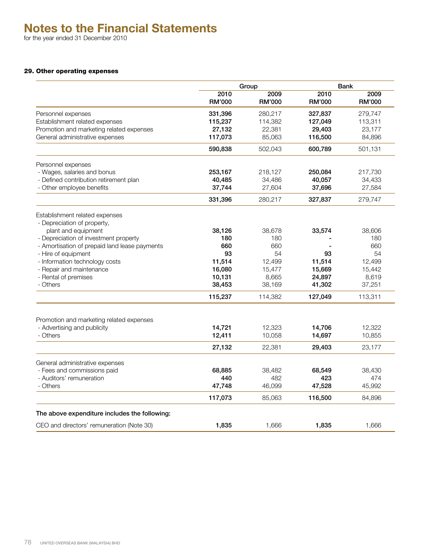for the year ended 31 December 2010

# 29. Other operating expenses

|                                                               | Group                 |                       | <b>Bank</b>           |                       |
|---------------------------------------------------------------|-----------------------|-----------------------|-----------------------|-----------------------|
|                                                               | 2010<br><b>RM'000</b> | 2009<br><b>RM'000</b> | 2010<br><b>RM'000</b> | 2009<br><b>RM'000</b> |
| Personnel expenses                                            | 331,396               | 280,217               | 327,837               | 279,747               |
| Establishment related expenses                                | 115,237               | 114,382               | 127,049               | 113,311               |
| Promotion and marketing related expenses                      | 27,132                | 22,381                | 29,403                | 23,177                |
| General administrative expenses                               | 117,073               | 85,063                | 116,500               | 84,896                |
|                                                               | 590,838               | 502,043               | 600,789               | 501,131               |
| Personnel expenses                                            |                       |                       |                       |                       |
| - Wages, salaries and bonus                                   | 253,167               | 218,127               | 250,084               | 217,730               |
| - Defined contribution retirement plan                        | 40,485                | 34,486                | 40,057                | 34,433                |
| - Other employee benefits                                     | 37,744                | 27,604                | 37,696                | 27,584                |
|                                                               | 331,396               | 280,217               | 327,837               | 279,747               |
| Establishment related expenses<br>- Depreciation of property, |                       |                       |                       |                       |
| plant and equipment                                           | 38,126                | 38,678                | 33,574                | 38,606                |
| - Depreciation of investment property                         | 180                   | 180                   |                       | 180                   |
| - Amortisation of prepaid land lease payments                 | 660                   | 660                   |                       | 660                   |
| - Hire of equipment                                           | 93                    | 54                    | 93                    | 54                    |
| - Information technology costs                                | 11,514                | 12,499                | 11,514                | 12,499                |
| - Repair and maintenance                                      | 16,080                | 15,477                | 15,669                | 15,442                |
| - Rental of premises                                          | 10,131                | 8,665                 | 24,897                | 8,619                 |
| - Others                                                      | 38,453                | 38,169                | 41,302                | 37,251                |
|                                                               | 115,237               | 114,382               | 127,049               | 113,311               |
| Promotion and marketing related expenses                      |                       |                       |                       |                       |
| - Advertising and publicity                                   | 14,721                | 12.323                | 14,706                | 12,322                |
| - Others                                                      | 12,411                | 10,058                | 14,697                | 10,855                |
|                                                               | 27,132                | 22,381                | 29,403                | 23,177                |
|                                                               |                       |                       |                       |                       |
| General administrative expenses                               |                       |                       |                       |                       |
| - Fees and commissions paid                                   | 68,885                | 38,482                | 68,549                | 38,430                |
| - Auditors' remuneration                                      | 440                   | 482                   | 423                   | 474                   |
| - Others                                                      | 47,748                | 46,099                | 47,528                | 45,992                |
|                                                               | 117,073               | 85,063                | 116,500               | 84,896                |
| The above expenditure includes the following:                 |                       |                       |                       |                       |
| CEO and directors' remuneration (Note 30)                     | 1,835                 | 1,666                 | 1,835                 | 1,666                 |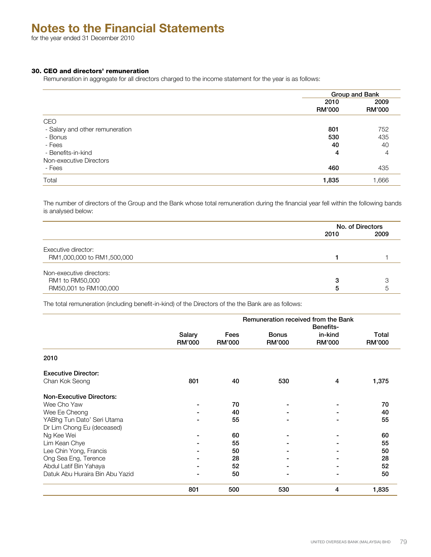for the year ended 31 December 2010

# 30. CEO and directors' remuneration

Remuneration in aggregate for all directors charged to the income statement for the year is as follows:

|                                 |                       | Group and Bank        |  |
|---------------------------------|-----------------------|-----------------------|--|
|                                 | 2010<br><b>RM'000</b> | 2009<br><b>RM'000</b> |  |
| CEO                             |                       |                       |  |
| - Salary and other remuneration | 801                   | 752                   |  |
| - Bonus                         | 530                   | 435                   |  |
| - Fees                          | 40                    | 40                    |  |
| - Benefits-in-kind              | 4                     | 4                     |  |
| Non-executive Directors         |                       |                       |  |
| - Fees                          | 460                   | 435                   |  |
| Total                           | 1,835                 | 1,666                 |  |

The number of directors of the Group and the Bank whose total remuneration during the financial year fell within the following bands is analysed below:

|                            |      | No. of Directors |  |
|----------------------------|------|------------------|--|
|                            | 2010 | 2009             |  |
| Executive director:        |      |                  |  |
| RM1,000,000 to RM1,500,000 |      |                  |  |
| Non-executive directors:   |      |                  |  |
| RM1 to RM50,000            |      |                  |  |
| RM50,001 to RM100,000      | д    | 5                |  |

The total remuneration (including benefit-in-kind) of the Directors of the the Bank are as follows:

|                                 | Remuneration received from the Bank |                       |                               |                                              |                        |  |
|---------------------------------|-------------------------------------|-----------------------|-------------------------------|----------------------------------------------|------------------------|--|
|                                 | Salary<br><b>RM'000</b>             | Fees<br><b>RM'000</b> | <b>Bonus</b><br><b>RM'000</b> | <b>Benefits-</b><br>in-kind<br><b>RM'000</b> | Total<br><b>RM'000</b> |  |
| 2010                            |                                     |                       |                               |                                              |                        |  |
| <b>Executive Director:</b>      |                                     |                       |                               |                                              |                        |  |
| Chan Kok Seong                  | 801                                 | 40                    | 530                           | 4                                            | 1,375                  |  |
| <b>Non-Executive Directors:</b> |                                     |                       |                               |                                              |                        |  |
| Wee Cho Yaw                     |                                     | 70                    |                               |                                              | 70                     |  |
| Wee Ee Cheong                   |                                     | 40                    |                               |                                              | 40                     |  |
| YABhg Tun Dato' Seri Utama      |                                     | 55                    |                               |                                              | 55                     |  |
| Dr Lim Chong Eu (deceased)      |                                     |                       |                               |                                              |                        |  |
| Ng Kee Wei                      |                                     | 60                    |                               |                                              | 60                     |  |
| Lim Kean Chye                   |                                     | 55                    |                               |                                              | 55                     |  |
| Lee Chin Yong, Francis          |                                     | 50                    |                               |                                              | 50                     |  |
| Ong Sea Eng, Terence            |                                     | 28                    |                               |                                              | 28                     |  |
| Abdul Latif Bin Yahaya          |                                     | 52                    |                               |                                              | 52                     |  |
| Datuk Abu Huraira Bin Abu Yazid | $\blacksquare$                      | 50                    |                               |                                              | 50                     |  |
|                                 | 801                                 | 500                   | 530                           | 4                                            | 1,835                  |  |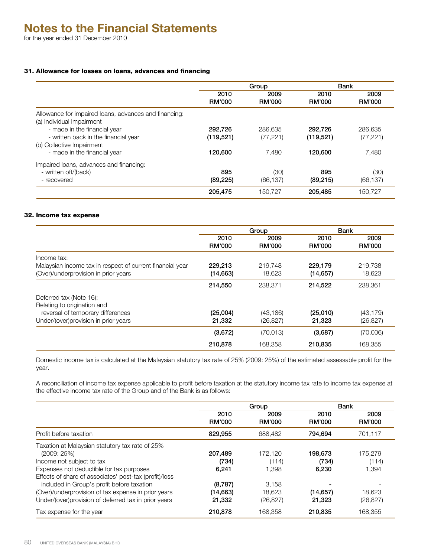# 31. Allowance for losses on loans, advances and financing

|                                                                                    | Group                 |                       |                       | <b>Bank</b>           |  |
|------------------------------------------------------------------------------------|-----------------------|-----------------------|-----------------------|-----------------------|--|
|                                                                                    | 2010<br><b>RM'000</b> | 2009<br><b>RM'000</b> | 2010<br><b>RM'000</b> | 2009<br><b>RM'000</b> |  |
| Allowance for impaired loans, advances and financing:<br>(a) Individual Impairment |                       |                       |                       |                       |  |
| - made in the financial year                                                       | 292,726               | 286.635               | 292,726               | 286,635               |  |
| - written back in the financial year                                               | (119, 521)            | (77, 221)             | (119, 521)            | (77, 221)             |  |
| (b) Collective Impairment                                                          |                       |                       |                       |                       |  |
| - made in the financial year                                                       | 120.600               | 7.480                 | 120,600               | 7,480                 |  |
| Impaired loans, advances and financing:                                            |                       |                       |                       |                       |  |
| - written off/(back)                                                               | 895                   | (30)                  | 895                   | (30)                  |  |
| - recovered                                                                        | (89, 225)             | (66, 137)             | (89, 215)             | (66, 137)             |  |
|                                                                                    | 205,475               | 150.727               | 205,485               | 150.727               |  |

#### 32. Income tax expense

|                                                           | Group         |               | <b>Bank</b>   |               |
|-----------------------------------------------------------|---------------|---------------|---------------|---------------|
|                                                           | 2010          | 2009          | 2010          | 2009          |
|                                                           | <b>RM'000</b> | <b>RM'000</b> | <b>RM'000</b> | <b>RM'000</b> |
| Income tax:                                               |               |               |               |               |
| Malaysian income tax in respect of current financial year | 229,213       | 219,748       | 229.179       | 219,738       |
| (Over)/underprovision in prior years                      | (14,663)      | 18,623        | (14, 657)     | 18,623        |
|                                                           | 214,550       | 238,371       | 214,522       | 238,361       |
| Deferred tax (Note 16):                                   |               |               |               |               |
| Relating to origination and                               |               |               |               |               |
| reversal of temporary differences                         | (25,004)      | (43, 186)     | (25,010)      | (43, 179)     |
| Under/(over)provision in prior years                      | 21,332        | (26, 827)     | 21,323        | (26, 827)     |
|                                                           | (3,672)       | (70,013)      | (3,687)       | (70,006)      |
|                                                           | 210,878       | 168,358       | 210,835       | 168,355       |

Domestic income tax is calculated at the Malaysian statutory tax rate of 25% (2009: 25%) of the estimated assessable profit for the year.

A reconciliation of income tax expense applicable to profit before taxation at the statutory income tax rate to income tax expense at the effective income tax rate of the Group and of the Bank is as follows:

|                                                        |                       | Group                 | Bank                  |                       |
|--------------------------------------------------------|-----------------------|-----------------------|-----------------------|-----------------------|
|                                                        | 2010<br><b>RM'000</b> | 2009<br><b>RM'000</b> | 2010<br><b>RM'000</b> | 2009<br><b>RM'000</b> |
| Profit before taxation                                 | 829,955               | 688,482               | 794.694               | 701,117               |
| Taxation at Malaysian statutory tax rate of 25%        |                       |                       |                       |                       |
| (2009:25%)                                             | 207,489               | 172.120               | 198,673               | 175,279               |
| Income not subject to tax                              | (734)                 | (114)                 | (734)                 | (114)                 |
| Expenses not deductible for tax purposes               | 6.241                 | 1.398                 | 6,230                 | 1,394                 |
| Effects of share of associates' post-tax (profit)/loss |                       |                       |                       |                       |
| included in Group's profit before taxation             | (8,787)               | 3.158                 |                       |                       |
| (Over)/underprovision of tax expense in prior years    | (14,663)              | 18.623                | (14, 657)             | 18.623                |
| Under/(over)provision of deferred tax in prior years   | 21,332                | (26, 827)             | 21,323                | (26, 827)             |
| Tax expense for the year                               | 210,878               | 168.358               | 210.835               | 168.355               |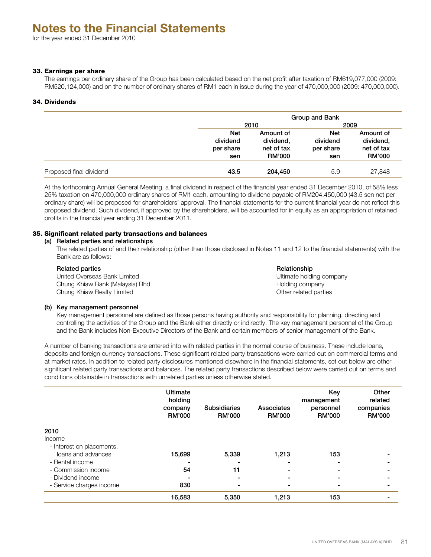# 33. Earnings per share

The earnings per ordinary share of the Group has been calculated based on the net profit after taxation of RM619,077,000 (2009: RM520,124,000) and on the number of ordinary shares of RM1 each in issue during the year of 470,000,000 (2009: 470,000,000).

# 34. Dividends

|                         |                                            | Group and Bank                                        |                                            |                                                       |  |
|-------------------------|--------------------------------------------|-------------------------------------------------------|--------------------------------------------|-------------------------------------------------------|--|
|                         |                                            | 2010                                                  |                                            | 2009                                                  |  |
|                         | <b>Net</b><br>dividend<br>per share<br>sen | Amount of<br>dividend,<br>net of tax<br><b>RM'000</b> | <b>Net</b><br>dividend<br>per share<br>sen | Amount of<br>dividend,<br>net of tax<br><b>RM'000</b> |  |
| Proposed final dividend | 43.5                                       | 204,450                                               | 5.9                                        | 27,848                                                |  |

At the forthcoming Annual General Meeting, a final dividend in respect of the financial year ended 31 December 2010, of 58% less 25% taxation on 470,000,000 ordinary shares of RM1 each, amounting to dividend payable of RM204,450,000 (43.5 sen net per ordinary share) will be proposed for shareholders' approval. The financial statements for the current financial year do not reflect this proposed dividend. Such dividend, if approved by the shareholders, will be accounted for in equity as an appropriation of retained profits in the financial year ending 31 December 2011.

# 35. Significant related party transactions and balances

# (a) Related parties and relationships

The related parties of and their relationship (other than those disclosed in Notes 11 and 12 to the financial statements) with the Bank are as follows:

#### Related parties **Relationship** Relationship

United Overseas Bank Limited Ultimate holding company Chung Khiaw Bank (Malaysia) Bhd **Holding company** Holding company Chung Khiaw Realty Limited **Chung Khiaw Realty Limited Chung Khiaw Realty Limited Other related parties** 

# (b) Key management personnel

Key management personnel are defined as those persons having authority and responsibility for planning, directing and controlling the activities of the Group and the Bank either directly or indirectly. The key management personnel of the Group and the Bank includes Non-Executive Directors of the Bank and certain members of senior management of the Bank.

A number of banking transactions are entered into with related parties in the normal course of business. These include loans, deposits and foreign currency transactions. These significant related party transactions were carried out on commercial terms and at market rates. In addition to related party disclosures mentioned elsewhere in the financial statements, set out below are other significant related party transactions and balances. The related party transactions described below were carried out on terms and conditions obtainable in transactions with unrelated parties unless otherwise stated.

|                           | Ultimate<br>holding<br>company<br><b>RM'000</b> | <b>Subsidiaries</b><br><b>RM'000</b> | Associates<br><b>RM'000</b> | Key<br>management<br>personnel<br><b>RM'000</b> | Other<br>related<br>companies<br><b>RM'000</b> |
|---------------------------|-------------------------------------------------|--------------------------------------|-----------------------------|-------------------------------------------------|------------------------------------------------|
| 2010                      |                                                 |                                      |                             |                                                 |                                                |
| Income                    |                                                 |                                      |                             |                                                 |                                                |
| - Interest on placements, |                                                 |                                      |                             |                                                 |                                                |
| loans and advances        | 15,699                                          | 5,339                                | 1,213                       | 153                                             |                                                |
| - Rental income           |                                                 |                                      |                             |                                                 |                                                |
| - Commission income       | 54                                              | 11                                   |                             |                                                 |                                                |
| - Dividend income         |                                                 |                                      |                             |                                                 |                                                |
| - Service charges income  | 830                                             |                                      |                             |                                                 |                                                |
|                           | 16,583                                          | 5,350                                | 1,213                       | 153                                             |                                                |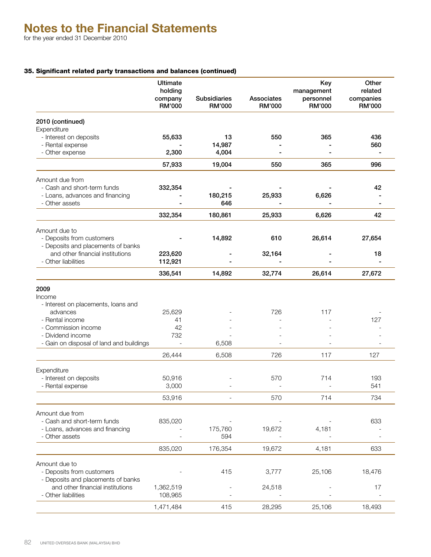# 35. Significant related party transactions and balances (continued)

|                                                                                      | <b>Ultimate</b><br>holding<br>company<br>RM'000 | <b>Subsidiaries</b><br><b>RM'000</b> | Associates<br><b>RM'000</b> | Key<br>management<br>personnel<br><b>RM'000</b> | Other<br>related<br>companies<br>RM'000 |  |
|--------------------------------------------------------------------------------------|-------------------------------------------------|--------------------------------------|-----------------------------|-------------------------------------------------|-----------------------------------------|--|
| 2010 (continued)                                                                     |                                                 |                                      |                             |                                                 |                                         |  |
| Expenditure                                                                          |                                                 |                                      |                             |                                                 |                                         |  |
| - Interest on deposits                                                               | 55,633                                          | 13                                   | 550                         | 365                                             | 436                                     |  |
| - Rental expense<br>- Other expense                                                  | 2,300                                           | 14,987<br>4,004                      |                             |                                                 | 560                                     |  |
|                                                                                      | 57,933                                          | 19,004                               | 550                         | 365                                             | 996                                     |  |
|                                                                                      |                                                 |                                      |                             |                                                 |                                         |  |
| Amount due from<br>- Cash and short-term funds                                       | 332,354                                         |                                      |                             |                                                 | 42                                      |  |
| - Loans, advances and financing                                                      |                                                 | 180,215                              | 25,933                      | 6,626                                           |                                         |  |
| - Other assets                                                                       |                                                 | 646                                  |                             |                                                 |                                         |  |
|                                                                                      | 332,354                                         | 180,861                              | 25,933                      | 6,626                                           | 42                                      |  |
| Amount due to                                                                        |                                                 |                                      |                             |                                                 |                                         |  |
| - Deposits from customers<br>- Deposits and placements of banks                      |                                                 | 14,892                               | 610                         | 26,614                                          | 27,654                                  |  |
| and other financial institutions                                                     | 223,620                                         |                                      | 32,164                      |                                                 | 18                                      |  |
| - Other liabilities                                                                  | 112,921                                         |                                      |                             |                                                 |                                         |  |
|                                                                                      | 336,541                                         | 14,892                               | 32,774                      | 26,614                                          | 27,672                                  |  |
| 2009<br>Income<br>- Interest on placements, loans and<br>advances<br>- Rental income | 25,629<br>41                                    |                                      | 726                         | 117                                             | 127                                     |  |
| - Commission income                                                                  | 42                                              |                                      |                             |                                                 |                                         |  |
| - Dividend income                                                                    | 732                                             |                                      |                             |                                                 |                                         |  |
| - Gain on disposal of land and buildings                                             | $\sim$                                          | 6,508                                |                             |                                                 |                                         |  |
|                                                                                      | 26,444                                          | 6,508                                | 726                         | 117                                             | 127                                     |  |
| Expenditure                                                                          |                                                 |                                      |                             |                                                 |                                         |  |
| - Interest on deposits<br>- Rental expense                                           | 50,916<br>3,000                                 |                                      | 570                         | 714                                             | 193<br>541                              |  |
|                                                                                      | 53,916                                          |                                      | 570                         | 714                                             | 734                                     |  |
|                                                                                      |                                                 |                                      |                             |                                                 |                                         |  |
| Amount due from<br>- Cash and short-term funds<br>- Loans, advances and financing    | 835,020                                         | 175,760                              | 19,672                      | 4,181                                           | 633                                     |  |
| - Other assets                                                                       |                                                 | 594                                  |                             |                                                 |                                         |  |
|                                                                                      | 835,020                                         | 176,354                              | 19,672                      | 4,181                                           | 633                                     |  |
| Amount due to                                                                        |                                                 |                                      |                             |                                                 |                                         |  |
| - Deposits from customers<br>- Deposits and placements of banks                      |                                                 | 415                                  | 3,777                       | 25,106                                          | 18,476                                  |  |
| and other financial institutions<br>- Other liabilities                              | 1,362,519<br>108,965                            |                                      | 24,518                      |                                                 | 17                                      |  |
|                                                                                      | 1,471,484                                       | 415                                  | 28,295                      | 25,106                                          | 18,493                                  |  |
|                                                                                      |                                                 |                                      |                             |                                                 |                                         |  |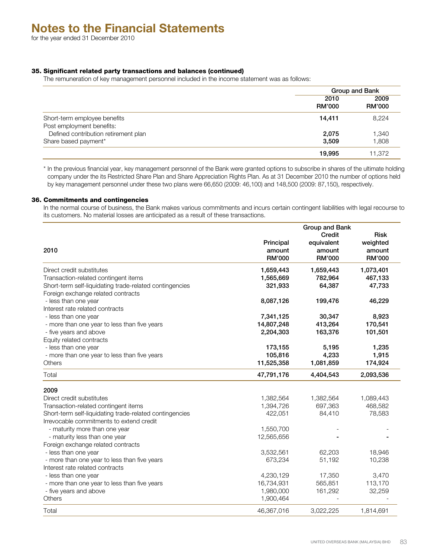# 35. Significant related party transactions and balances (continued)

The remuneration of key management personnel included in the income statement was as follows:

|                                                           | Group and Bank        |                       |  |
|-----------------------------------------------------------|-----------------------|-----------------------|--|
|                                                           | 2010<br><b>RM'000</b> | 2009<br><b>RM'000</b> |  |
| Short-term employee benefits<br>Post employment benefits: | 14,411                | 8,224                 |  |
| Defined contribution retirement plan                      | 2,075                 | 1,340                 |  |
| Share based payment*                                      | 3,509                 | 1,808                 |  |
|                                                           | 19,995                | 11,372                |  |

\* In the previous financial year, key management personnel of the Bank were granted options to subscribe in shares of the ultimate holding company under the its Restricted Share Plan and Share Appreciation Rights Plan. As at 31 December 2010 the number of options held by key management personnel under these two plans were 66,650 (2009: 46,100) and 148,500 (2009: 87,150), respectively.

#### 36. Commitments and contingencies

In the normal course of business, the Bank makes various commitments and incurs certain contingent liabilities with legal recourse to its customers. No material losses are anticipated as a result of these transactions.

|                                                         | Group and Bank |               |               |  |  |  |
|---------------------------------------------------------|----------------|---------------|---------------|--|--|--|
|                                                         |                | Credit        | <b>Risk</b>   |  |  |  |
|                                                         | Principal      | equivalent    | weighted      |  |  |  |
| 2010                                                    | amount         | amount        | amount        |  |  |  |
|                                                         | <b>RM'000</b>  | <b>RM'000</b> | <b>RM'000</b> |  |  |  |
| Direct credit substitutes                               | 1,659,443      | 1,659,443     | 1,073,401     |  |  |  |
| Transaction-related contingent items                    | 1,565,669      | 782,964       | 467,133       |  |  |  |
| Short-term self-liquidating trade-related contingencies | 321,933        | 64,387        | 47,733        |  |  |  |
| Foreign exchange related contracts                      |                |               |               |  |  |  |
| - less than one year                                    | 8,087,126      | 199,476       | 46,229        |  |  |  |
| Interest rate related contracts                         |                |               |               |  |  |  |
| - less than one year                                    | 7,341,125      | 30,347        | 8,923         |  |  |  |
| - more than one year to less than five years            | 14,807,248     | 413,264       | 170,541       |  |  |  |
| - five years and above                                  | 2,204,303      | 163,376       | 101,501       |  |  |  |
| Equity related contracts                                |                |               |               |  |  |  |
| - less than one year                                    | 173,155        | 5,195         | 1,235         |  |  |  |
| - more than one year to less than five years            | 105,816        | 4,233         | 1,915         |  |  |  |
| Others                                                  | 11,525,358     | 1,081,859     | 174,924       |  |  |  |
| Total                                                   | 47,791,176     | 4,404,543     | 2,093,536     |  |  |  |
| 2009                                                    |                |               |               |  |  |  |
| Direct credit substitutes                               | 1,382,564      | 1,382,564     | 1,089,443     |  |  |  |
| Transaction-related contingent items                    | 1,394,726      | 697,363       | 468,582       |  |  |  |
| Short-term self-liquidating trade-related contingencies | 422,051        | 84,410        | 78,583        |  |  |  |
| Irrevocable commitments to extend credit                |                |               |               |  |  |  |
| - maturity more than one year                           | 1,550,700      |               |               |  |  |  |
| - maturity less than one year                           | 12,565,656     |               |               |  |  |  |
| Foreign exchange related contracts                      |                |               |               |  |  |  |
| - less than one year                                    | 3,532,561      | 62,203        | 18,946        |  |  |  |
| - more than one year to less than five years            | 673,234        | 51,192        | 10,238        |  |  |  |
| Interest rate related contracts                         |                |               |               |  |  |  |
| - less than one year                                    | 4,230,129      | 17,350        | 3,470         |  |  |  |
| - more than one year to less than five years            | 16,734,931     | 565,851       | 113,170       |  |  |  |
| - five years and above                                  | 1,980,000      | 161,292       | 32,259        |  |  |  |
| Others                                                  | 1,900,464      |               |               |  |  |  |
| Total                                                   | 46,367,016     | 3,022,225     | 1,814,691     |  |  |  |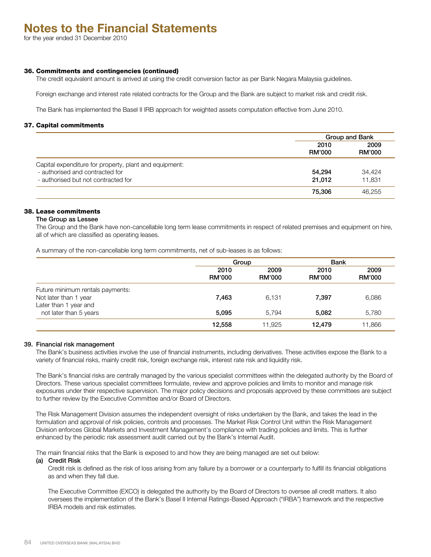for the year ended 31 December 2010

#### 36. Commitments and contingencies (continued)

The credit equivalent amount is arrived at using the credit conversion factor as per Bank Negara Malaysia guidelines.

Foreign exchange and interest rate related contracts for the Group and the Bank are subject to market risk and credit risk.

The Bank has implemented the Basel II IRB approach for weighted assets computation effective from June 2010.

#### 37. Capital commitments

|                                                                                                                                  |                       | Group and Bank        |  |  |
|----------------------------------------------------------------------------------------------------------------------------------|-----------------------|-----------------------|--|--|
|                                                                                                                                  | 2010<br><b>RM'000</b> | 2009<br><b>RM'000</b> |  |  |
| Capital expenditure for property, plant and equipment:<br>- authorised and contracted for<br>- authorised but not contracted for | 54,294<br>21.012      | 34,424<br>11.831      |  |  |
|                                                                                                                                  | 75,306                | 46.255                |  |  |

# 38. Lease commitments

#### The Group as Lessee

The Group and the Bank have non-cancellable long term lease commitments in respect of related premises and equipment on hire, all of which are classified as operating leases.

A summary of the non-cancellable long term commitments, net of sub-leases is as follows:

|                                                                                    | Group                                          |        | <b>Bank</b>           |                       |  |
|------------------------------------------------------------------------------------|------------------------------------------------|--------|-----------------------|-----------------------|--|
|                                                                                    | 2009<br>2010<br><b>RM'000</b><br><b>RM'000</b> |        | 2010<br><b>RM'000</b> | 2009<br><b>RM'000</b> |  |
| Future minimum rentals payments:<br>Not later than 1 year<br>Later than 1 year and | 7,463                                          | 6,131  | 7,397                 | 6,086                 |  |
| not later than 5 years                                                             | 5,095                                          | 5.794  | 5,082                 | 5,780                 |  |
|                                                                                    | 12,558                                         | 11.925 | 12.479                | 11.866                |  |

#### 39. Financial risk management

The Bank's business activities involve the use of financial instruments, including derivatives. These activities expose the Bank to a variety of financial risks, mainly credit risk, foreign exchange risk, interest rate risk and liquidity risk.

The Bank's financial risks are centrally managed by the various specialist committees within the delegated authority by the Board of Directors. These various specialist committees formulate, review and approve policies and limits to monitor and manage risk exposures under their respective supervision. The major policy decisions and proposals approved by these committees are subject to further review by the Executive Committee and/or Board of Directors.

The Risk Management Division assumes the independent oversight of risks undertaken by the Bank, and takes the lead in the formulation and approval of risk policies, controls and processes. The Market Risk Control Unit within the Risk Management Division enforces Global Markets and Investment Management's compliance with trading policies and limits. This is further enhanced by the periodic risk assessment audit carried out by the Bank's Internal Audit.

The main financial risks that the Bank is exposed to and how they are being managed are set out below:

#### (a) Credit Risk

Credit risk is defined as the risk of loss arising from any failure by a borrower or a counterparty to fulfill its financial obligations as and when they fall due.

The Executive Committee (EXCO) is delegated the authority by the Board of Directors to oversee all credit matters. It also oversees the implementation of the Bank's Basel II Internal Ratings-Based Approach ("IRBA") framework and the respective IRBA models and risk estimates.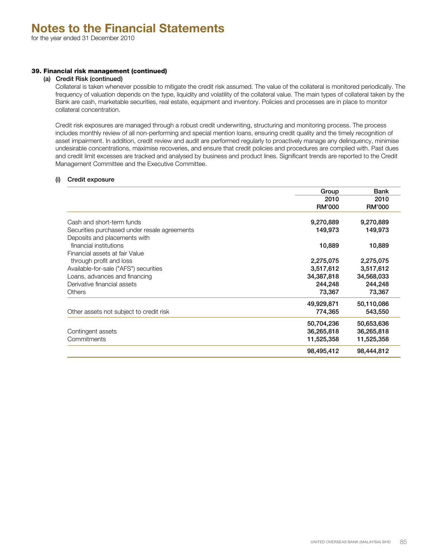# 39. Financial risk management (continued)

# (a) Credit Risk (continued)

Collateral is taken whenever possible to mitigate the credit risk assumed. The value of the collateral is monitored periodically. The frequency of valuation depends on the type, liquidity and volatility of the collateral value. The main types of collateral taken by the Bank are cash, marketable securities, real estate, equipment and inventory. Policies and processes are in place to monitor collateral concentration.

Credit risk exposures are managed through a robust credit underwriting, structuring and monitoring process. The process includes monthly review of all non-performing and special mention loans, ensuring credit quality and the timely recognition of asset impairment. In addition, credit review and audit are performed regularly to proactively manage any delinquency, minimise undesirable concentrations, maximise recoveries, and ensure that credit policies and procedures are complied with. Past dues and credit limit excesses are tracked and analysed by business and product lines. Significant trends are reported to the Credit Management Committee and the Executive Committee.

# (i) Credit exposure

|                                              | Group         | Bank          |
|----------------------------------------------|---------------|---------------|
|                                              | 2010          | 2010          |
|                                              | <b>RM'000</b> | <b>RM'000</b> |
| Cash and short-term funds                    | 9,270,889     | 9,270,889     |
| Securities purchased under resale agreements | 149,973       | 149,973       |
| Deposits and placements with                 |               |               |
| financial institutions                       | 10,889        | 10,889        |
| Financial assets at fair Value               |               |               |
| through profit and loss                      | 2,275,075     | 2,275,075     |
| Available-for-sale ("AFS") securities        | 3,517,612     | 3,517,612     |
| Loans, advances and financing                | 34,387,818    | 34,568,033    |
| Derivative financial assets                  | 244,248       | 244,248       |
| <b>Others</b>                                | 73,367        | 73,367        |
|                                              | 49,929,871    | 50,110,086    |
| Other assets not subject to credit risk      | 774,365       | 543,550       |
|                                              | 50,704,236    | 50,653,636    |
| Contingent assets                            | 36,265,818    | 36,265,818    |
| Commitments                                  | 11,525,358    | 11,525,358    |
|                                              | 98,495,412    | 98,444,812    |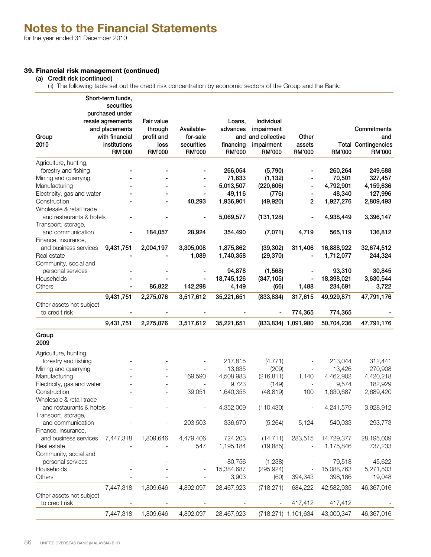# 39. Financial risk management (continued)

(a) Credit risk (continued)

(ii) The following table set out the credit risk concentration by economic sectors of the Group and the Bank:

| purchased under<br>Fair value<br>Individual<br>resale agreements<br>Loans,<br>Commitments<br>and placements<br>through<br>Available-<br>advances<br>impairment<br>and and collective<br>Group<br>with financial<br>profit and<br>for-sale<br>Other<br>and<br>2010<br>institutions<br>securities<br>financing<br>impairment<br>assets<br><b>Total Contingencies</b><br>loss<br><b>RM'000</b><br>RM'000<br>RM'000<br>RM'000<br>RM'000<br>RM'000<br>RM'000<br>RM'000<br>Agriculture, hunting,<br>forestry and fishing<br>266,054<br>(5,790)<br>260,264<br>249,688<br>71,633<br>(1, 132)<br>70,501<br>Mining and quarrying<br>327,457<br>5,013,507<br>(220, 606)<br>4,792,901<br>Manufacturing<br>4,159,636<br>49,116<br>48,340<br>Electricity, gas and water<br>(776)<br>127,996<br>40,293<br>1,936,901<br>(49, 920)<br>2<br>1,927,276<br>2,809,493<br>Construction<br>Wholesale & retail trade<br>5,069,577<br>4,938,449<br>and restaurants & hotels<br>(131, 128)<br>3,396,147<br>Transport, storage,<br>and communication<br>184,057<br>28,924<br>354,490<br>(7,071)<br>4,719<br>565,119<br>136,812<br>Finance, insurance,<br>9,431,751<br>2,004,197<br>3,305,008<br>1,875,862<br>(39, 302)<br>311,406<br>16,888,922<br>32,674,512<br>and business services<br>1,089<br>1,740,358<br>(29, 370)<br>1,712,077<br>Real estate<br>244,324<br>Community, social and<br>94,878<br>93,310<br>30,845<br>personal services<br>(1, 568)<br>18,745,126<br>18,398,021<br>Households<br>(347, 105)<br>3,630,544<br>86,822<br>142,298<br>4,149<br>234,691<br>3,722<br>Others<br>(66)<br>1,488<br>2,275,076<br>3,517,612<br>(833, 834)<br>49,929,871<br>47,791,176<br>9,431,751<br>35,221,651<br>317,615<br>Other assets not subject<br>to credit risk<br>774,365<br>774,365<br>3,517,612<br>(833,834) 1,091,980<br>9,431,751<br>2,275,076<br>35,221,651<br>50,704,236<br>47,791,176<br>Group<br>2009<br>Agriculture, hunting,<br>forestry and fishing<br>217,815<br>(4, 771)<br>213,044<br>312,441<br>13,635<br>270,908<br>Mining and quarrying<br>(209)<br>13,426<br>169,590<br>4,508,983<br>4,462,902<br>Manufacturing<br>(216, 811)<br>1,140<br>4,420,218<br>Electricity, gas and water<br>9,723<br>(149)<br>9,574<br>182,929<br>$\overline{\phantom{a}}$<br>Construction<br>1,640,355<br>(48, 819)<br>1,630,687<br>2,689,420<br>39,051<br>100<br>Wholesale & retail trade<br>3,928,912<br>4,352,009<br>(110, 430)<br>and restaurants & hotels<br>4,241,579<br>Transport, storage,<br>and communication<br>203,503<br>336,670<br>293,773<br>(5,264)<br>5,124<br>540,033<br>Finance, insurance,<br>and business services<br>7,447,318<br>1,809,646<br>4,479,406<br>724,203<br>(14, 711)<br>283,515<br>14,729,377<br>28,195,009<br>547<br>1,195,184<br>(19, 885)<br>1,175,846<br>Real estate<br>737,233<br>Community, social and<br>45,622<br>personal services<br>80,756<br>(1,238)<br>79,518<br>Households<br>15,384,687<br>15,088,763<br>(295, 924)<br>5,271,503<br>Others<br>3,903<br>398,186<br>19,048<br>(60)<br>394,343<br>46,367,016<br>7,447,318<br>1,809,646<br>4,892,097<br>28,467,923<br>(718, 271)<br>42,582,935<br>684,222<br>Other assets not subject |                | Short-term funds, |  |  |         |         |  |
|---------------------------------------------------------------------------------------------------------------------------------------------------------------------------------------------------------------------------------------------------------------------------------------------------------------------------------------------------------------------------------------------------------------------------------------------------------------------------------------------------------------------------------------------------------------------------------------------------------------------------------------------------------------------------------------------------------------------------------------------------------------------------------------------------------------------------------------------------------------------------------------------------------------------------------------------------------------------------------------------------------------------------------------------------------------------------------------------------------------------------------------------------------------------------------------------------------------------------------------------------------------------------------------------------------------------------------------------------------------------------------------------------------------------------------------------------------------------------------------------------------------------------------------------------------------------------------------------------------------------------------------------------------------------------------------------------------------------------------------------------------------------------------------------------------------------------------------------------------------------------------------------------------------------------------------------------------------------------------------------------------------------------------------------------------------------------------------------------------------------------------------------------------------------------------------------------------------------------------------------------------------------------------------------------------------------------------------------------------------------------------------------------------------------------------------------------------------------------------------------------------------------------------------------------------------------------------------------------------------------------------------------------------------------------------------------------------------------------------------------------------------------------------------------------------------------------------------------------------------------------------------------------------------------------------------------------------------------------------------------------------------------------------------------------------------------------------------------------------------------------------------------------------|----------------|-------------------|--|--|---------|---------|--|
|                                                                                                                                                                                                                                                                                                                                                                                                                                                                                                                                                                                                                                                                                                                                                                                                                                                                                                                                                                                                                                                                                                                                                                                                                                                                                                                                                                                                                                                                                                                                                                                                                                                                                                                                                                                                                                                                                                                                                                                                                                                                                                                                                                                                                                                                                                                                                                                                                                                                                                                                                                                                                                                                                                                                                                                                                                                                                                                                                                                                                                                                                                                                                         |                | securities        |  |  |         |         |  |
|                                                                                                                                                                                                                                                                                                                                                                                                                                                                                                                                                                                                                                                                                                                                                                                                                                                                                                                                                                                                                                                                                                                                                                                                                                                                                                                                                                                                                                                                                                                                                                                                                                                                                                                                                                                                                                                                                                                                                                                                                                                                                                                                                                                                                                                                                                                                                                                                                                                                                                                                                                                                                                                                                                                                                                                                                                                                                                                                                                                                                                                                                                                                                         |                |                   |  |  |         |         |  |
|                                                                                                                                                                                                                                                                                                                                                                                                                                                                                                                                                                                                                                                                                                                                                                                                                                                                                                                                                                                                                                                                                                                                                                                                                                                                                                                                                                                                                                                                                                                                                                                                                                                                                                                                                                                                                                                                                                                                                                                                                                                                                                                                                                                                                                                                                                                                                                                                                                                                                                                                                                                                                                                                                                                                                                                                                                                                                                                                                                                                                                                                                                                                                         |                |                   |  |  |         |         |  |
|                                                                                                                                                                                                                                                                                                                                                                                                                                                                                                                                                                                                                                                                                                                                                                                                                                                                                                                                                                                                                                                                                                                                                                                                                                                                                                                                                                                                                                                                                                                                                                                                                                                                                                                                                                                                                                                                                                                                                                                                                                                                                                                                                                                                                                                                                                                                                                                                                                                                                                                                                                                                                                                                                                                                                                                                                                                                                                                                                                                                                                                                                                                                                         |                |                   |  |  |         |         |  |
|                                                                                                                                                                                                                                                                                                                                                                                                                                                                                                                                                                                                                                                                                                                                                                                                                                                                                                                                                                                                                                                                                                                                                                                                                                                                                                                                                                                                                                                                                                                                                                                                                                                                                                                                                                                                                                                                                                                                                                                                                                                                                                                                                                                                                                                                                                                                                                                                                                                                                                                                                                                                                                                                                                                                                                                                                                                                                                                                                                                                                                                                                                                                                         |                |                   |  |  |         |         |  |
|                                                                                                                                                                                                                                                                                                                                                                                                                                                                                                                                                                                                                                                                                                                                                                                                                                                                                                                                                                                                                                                                                                                                                                                                                                                                                                                                                                                                                                                                                                                                                                                                                                                                                                                                                                                                                                                                                                                                                                                                                                                                                                                                                                                                                                                                                                                                                                                                                                                                                                                                                                                                                                                                                                                                                                                                                                                                                                                                                                                                                                                                                                                                                         |                |                   |  |  |         |         |  |
|                                                                                                                                                                                                                                                                                                                                                                                                                                                                                                                                                                                                                                                                                                                                                                                                                                                                                                                                                                                                                                                                                                                                                                                                                                                                                                                                                                                                                                                                                                                                                                                                                                                                                                                                                                                                                                                                                                                                                                                                                                                                                                                                                                                                                                                                                                                                                                                                                                                                                                                                                                                                                                                                                                                                                                                                                                                                                                                                                                                                                                                                                                                                                         |                |                   |  |  |         |         |  |
|                                                                                                                                                                                                                                                                                                                                                                                                                                                                                                                                                                                                                                                                                                                                                                                                                                                                                                                                                                                                                                                                                                                                                                                                                                                                                                                                                                                                                                                                                                                                                                                                                                                                                                                                                                                                                                                                                                                                                                                                                                                                                                                                                                                                                                                                                                                                                                                                                                                                                                                                                                                                                                                                                                                                                                                                                                                                                                                                                                                                                                                                                                                                                         |                |                   |  |  |         |         |  |
|                                                                                                                                                                                                                                                                                                                                                                                                                                                                                                                                                                                                                                                                                                                                                                                                                                                                                                                                                                                                                                                                                                                                                                                                                                                                                                                                                                                                                                                                                                                                                                                                                                                                                                                                                                                                                                                                                                                                                                                                                                                                                                                                                                                                                                                                                                                                                                                                                                                                                                                                                                                                                                                                                                                                                                                                                                                                                                                                                                                                                                                                                                                                                         |                |                   |  |  |         |         |  |
|                                                                                                                                                                                                                                                                                                                                                                                                                                                                                                                                                                                                                                                                                                                                                                                                                                                                                                                                                                                                                                                                                                                                                                                                                                                                                                                                                                                                                                                                                                                                                                                                                                                                                                                                                                                                                                                                                                                                                                                                                                                                                                                                                                                                                                                                                                                                                                                                                                                                                                                                                                                                                                                                                                                                                                                                                                                                                                                                                                                                                                                                                                                                                         |                |                   |  |  |         |         |  |
|                                                                                                                                                                                                                                                                                                                                                                                                                                                                                                                                                                                                                                                                                                                                                                                                                                                                                                                                                                                                                                                                                                                                                                                                                                                                                                                                                                                                                                                                                                                                                                                                                                                                                                                                                                                                                                                                                                                                                                                                                                                                                                                                                                                                                                                                                                                                                                                                                                                                                                                                                                                                                                                                                                                                                                                                                                                                                                                                                                                                                                                                                                                                                         |                |                   |  |  |         |         |  |
|                                                                                                                                                                                                                                                                                                                                                                                                                                                                                                                                                                                                                                                                                                                                                                                                                                                                                                                                                                                                                                                                                                                                                                                                                                                                                                                                                                                                                                                                                                                                                                                                                                                                                                                                                                                                                                                                                                                                                                                                                                                                                                                                                                                                                                                                                                                                                                                                                                                                                                                                                                                                                                                                                                                                                                                                                                                                                                                                                                                                                                                                                                                                                         |                |                   |  |  |         |         |  |
|                                                                                                                                                                                                                                                                                                                                                                                                                                                                                                                                                                                                                                                                                                                                                                                                                                                                                                                                                                                                                                                                                                                                                                                                                                                                                                                                                                                                                                                                                                                                                                                                                                                                                                                                                                                                                                                                                                                                                                                                                                                                                                                                                                                                                                                                                                                                                                                                                                                                                                                                                                                                                                                                                                                                                                                                                                                                                                                                                                                                                                                                                                                                                         |                |                   |  |  |         |         |  |
|                                                                                                                                                                                                                                                                                                                                                                                                                                                                                                                                                                                                                                                                                                                                                                                                                                                                                                                                                                                                                                                                                                                                                                                                                                                                                                                                                                                                                                                                                                                                                                                                                                                                                                                                                                                                                                                                                                                                                                                                                                                                                                                                                                                                                                                                                                                                                                                                                                                                                                                                                                                                                                                                                                                                                                                                                                                                                                                                                                                                                                                                                                                                                         |                |                   |  |  |         |         |  |
|                                                                                                                                                                                                                                                                                                                                                                                                                                                                                                                                                                                                                                                                                                                                                                                                                                                                                                                                                                                                                                                                                                                                                                                                                                                                                                                                                                                                                                                                                                                                                                                                                                                                                                                                                                                                                                                                                                                                                                                                                                                                                                                                                                                                                                                                                                                                                                                                                                                                                                                                                                                                                                                                                                                                                                                                                                                                                                                                                                                                                                                                                                                                                         |                |                   |  |  |         |         |  |
|                                                                                                                                                                                                                                                                                                                                                                                                                                                                                                                                                                                                                                                                                                                                                                                                                                                                                                                                                                                                                                                                                                                                                                                                                                                                                                                                                                                                                                                                                                                                                                                                                                                                                                                                                                                                                                                                                                                                                                                                                                                                                                                                                                                                                                                                                                                                                                                                                                                                                                                                                                                                                                                                                                                                                                                                                                                                                                                                                                                                                                                                                                                                                         |                |                   |  |  |         |         |  |
|                                                                                                                                                                                                                                                                                                                                                                                                                                                                                                                                                                                                                                                                                                                                                                                                                                                                                                                                                                                                                                                                                                                                                                                                                                                                                                                                                                                                                                                                                                                                                                                                                                                                                                                                                                                                                                                                                                                                                                                                                                                                                                                                                                                                                                                                                                                                                                                                                                                                                                                                                                                                                                                                                                                                                                                                                                                                                                                                                                                                                                                                                                                                                         |                |                   |  |  |         |         |  |
|                                                                                                                                                                                                                                                                                                                                                                                                                                                                                                                                                                                                                                                                                                                                                                                                                                                                                                                                                                                                                                                                                                                                                                                                                                                                                                                                                                                                                                                                                                                                                                                                                                                                                                                                                                                                                                                                                                                                                                                                                                                                                                                                                                                                                                                                                                                                                                                                                                                                                                                                                                                                                                                                                                                                                                                                                                                                                                                                                                                                                                                                                                                                                         |                |                   |  |  |         |         |  |
|                                                                                                                                                                                                                                                                                                                                                                                                                                                                                                                                                                                                                                                                                                                                                                                                                                                                                                                                                                                                                                                                                                                                                                                                                                                                                                                                                                                                                                                                                                                                                                                                                                                                                                                                                                                                                                                                                                                                                                                                                                                                                                                                                                                                                                                                                                                                                                                                                                                                                                                                                                                                                                                                                                                                                                                                                                                                                                                                                                                                                                                                                                                                                         |                |                   |  |  |         |         |  |
|                                                                                                                                                                                                                                                                                                                                                                                                                                                                                                                                                                                                                                                                                                                                                                                                                                                                                                                                                                                                                                                                                                                                                                                                                                                                                                                                                                                                                                                                                                                                                                                                                                                                                                                                                                                                                                                                                                                                                                                                                                                                                                                                                                                                                                                                                                                                                                                                                                                                                                                                                                                                                                                                                                                                                                                                                                                                                                                                                                                                                                                                                                                                                         |                |                   |  |  |         |         |  |
|                                                                                                                                                                                                                                                                                                                                                                                                                                                                                                                                                                                                                                                                                                                                                                                                                                                                                                                                                                                                                                                                                                                                                                                                                                                                                                                                                                                                                                                                                                                                                                                                                                                                                                                                                                                                                                                                                                                                                                                                                                                                                                                                                                                                                                                                                                                                                                                                                                                                                                                                                                                                                                                                                                                                                                                                                                                                                                                                                                                                                                                                                                                                                         |                |                   |  |  |         |         |  |
|                                                                                                                                                                                                                                                                                                                                                                                                                                                                                                                                                                                                                                                                                                                                                                                                                                                                                                                                                                                                                                                                                                                                                                                                                                                                                                                                                                                                                                                                                                                                                                                                                                                                                                                                                                                                                                                                                                                                                                                                                                                                                                                                                                                                                                                                                                                                                                                                                                                                                                                                                                                                                                                                                                                                                                                                                                                                                                                                                                                                                                                                                                                                                         |                |                   |  |  |         |         |  |
|                                                                                                                                                                                                                                                                                                                                                                                                                                                                                                                                                                                                                                                                                                                                                                                                                                                                                                                                                                                                                                                                                                                                                                                                                                                                                                                                                                                                                                                                                                                                                                                                                                                                                                                                                                                                                                                                                                                                                                                                                                                                                                                                                                                                                                                                                                                                                                                                                                                                                                                                                                                                                                                                                                                                                                                                                                                                                                                                                                                                                                                                                                                                                         |                |                   |  |  |         |         |  |
|                                                                                                                                                                                                                                                                                                                                                                                                                                                                                                                                                                                                                                                                                                                                                                                                                                                                                                                                                                                                                                                                                                                                                                                                                                                                                                                                                                                                                                                                                                                                                                                                                                                                                                                                                                                                                                                                                                                                                                                                                                                                                                                                                                                                                                                                                                                                                                                                                                                                                                                                                                                                                                                                                                                                                                                                                                                                                                                                                                                                                                                                                                                                                         |                |                   |  |  |         |         |  |
|                                                                                                                                                                                                                                                                                                                                                                                                                                                                                                                                                                                                                                                                                                                                                                                                                                                                                                                                                                                                                                                                                                                                                                                                                                                                                                                                                                                                                                                                                                                                                                                                                                                                                                                                                                                                                                                                                                                                                                                                                                                                                                                                                                                                                                                                                                                                                                                                                                                                                                                                                                                                                                                                                                                                                                                                                                                                                                                                                                                                                                                                                                                                                         |                |                   |  |  |         |         |  |
|                                                                                                                                                                                                                                                                                                                                                                                                                                                                                                                                                                                                                                                                                                                                                                                                                                                                                                                                                                                                                                                                                                                                                                                                                                                                                                                                                                                                                                                                                                                                                                                                                                                                                                                                                                                                                                                                                                                                                                                                                                                                                                                                                                                                                                                                                                                                                                                                                                                                                                                                                                                                                                                                                                                                                                                                                                                                                                                                                                                                                                                                                                                                                         |                |                   |  |  |         |         |  |
|                                                                                                                                                                                                                                                                                                                                                                                                                                                                                                                                                                                                                                                                                                                                                                                                                                                                                                                                                                                                                                                                                                                                                                                                                                                                                                                                                                                                                                                                                                                                                                                                                                                                                                                                                                                                                                                                                                                                                                                                                                                                                                                                                                                                                                                                                                                                                                                                                                                                                                                                                                                                                                                                                                                                                                                                                                                                                                                                                                                                                                                                                                                                                         |                |                   |  |  |         |         |  |
|                                                                                                                                                                                                                                                                                                                                                                                                                                                                                                                                                                                                                                                                                                                                                                                                                                                                                                                                                                                                                                                                                                                                                                                                                                                                                                                                                                                                                                                                                                                                                                                                                                                                                                                                                                                                                                                                                                                                                                                                                                                                                                                                                                                                                                                                                                                                                                                                                                                                                                                                                                                                                                                                                                                                                                                                                                                                                                                                                                                                                                                                                                                                                         |                |                   |  |  |         |         |  |
|                                                                                                                                                                                                                                                                                                                                                                                                                                                                                                                                                                                                                                                                                                                                                                                                                                                                                                                                                                                                                                                                                                                                                                                                                                                                                                                                                                                                                                                                                                                                                                                                                                                                                                                                                                                                                                                                                                                                                                                                                                                                                                                                                                                                                                                                                                                                                                                                                                                                                                                                                                                                                                                                                                                                                                                                                                                                                                                                                                                                                                                                                                                                                         |                |                   |  |  |         |         |  |
|                                                                                                                                                                                                                                                                                                                                                                                                                                                                                                                                                                                                                                                                                                                                                                                                                                                                                                                                                                                                                                                                                                                                                                                                                                                                                                                                                                                                                                                                                                                                                                                                                                                                                                                                                                                                                                                                                                                                                                                                                                                                                                                                                                                                                                                                                                                                                                                                                                                                                                                                                                                                                                                                                                                                                                                                                                                                                                                                                                                                                                                                                                                                                         |                |                   |  |  |         |         |  |
|                                                                                                                                                                                                                                                                                                                                                                                                                                                                                                                                                                                                                                                                                                                                                                                                                                                                                                                                                                                                                                                                                                                                                                                                                                                                                                                                                                                                                                                                                                                                                                                                                                                                                                                                                                                                                                                                                                                                                                                                                                                                                                                                                                                                                                                                                                                                                                                                                                                                                                                                                                                                                                                                                                                                                                                                                                                                                                                                                                                                                                                                                                                                                         |                |                   |  |  |         |         |  |
|                                                                                                                                                                                                                                                                                                                                                                                                                                                                                                                                                                                                                                                                                                                                                                                                                                                                                                                                                                                                                                                                                                                                                                                                                                                                                                                                                                                                                                                                                                                                                                                                                                                                                                                                                                                                                                                                                                                                                                                                                                                                                                                                                                                                                                                                                                                                                                                                                                                                                                                                                                                                                                                                                                                                                                                                                                                                                                                                                                                                                                                                                                                                                         |                |                   |  |  |         |         |  |
|                                                                                                                                                                                                                                                                                                                                                                                                                                                                                                                                                                                                                                                                                                                                                                                                                                                                                                                                                                                                                                                                                                                                                                                                                                                                                                                                                                                                                                                                                                                                                                                                                                                                                                                                                                                                                                                                                                                                                                                                                                                                                                                                                                                                                                                                                                                                                                                                                                                                                                                                                                                                                                                                                                                                                                                                                                                                                                                                                                                                                                                                                                                                                         |                |                   |  |  |         |         |  |
|                                                                                                                                                                                                                                                                                                                                                                                                                                                                                                                                                                                                                                                                                                                                                                                                                                                                                                                                                                                                                                                                                                                                                                                                                                                                                                                                                                                                                                                                                                                                                                                                                                                                                                                                                                                                                                                                                                                                                                                                                                                                                                                                                                                                                                                                                                                                                                                                                                                                                                                                                                                                                                                                                                                                                                                                                                                                                                                                                                                                                                                                                                                                                         |                |                   |  |  |         |         |  |
|                                                                                                                                                                                                                                                                                                                                                                                                                                                                                                                                                                                                                                                                                                                                                                                                                                                                                                                                                                                                                                                                                                                                                                                                                                                                                                                                                                                                                                                                                                                                                                                                                                                                                                                                                                                                                                                                                                                                                                                                                                                                                                                                                                                                                                                                                                                                                                                                                                                                                                                                                                                                                                                                                                                                                                                                                                                                                                                                                                                                                                                                                                                                                         |                |                   |  |  |         |         |  |
|                                                                                                                                                                                                                                                                                                                                                                                                                                                                                                                                                                                                                                                                                                                                                                                                                                                                                                                                                                                                                                                                                                                                                                                                                                                                                                                                                                                                                                                                                                                                                                                                                                                                                                                                                                                                                                                                                                                                                                                                                                                                                                                                                                                                                                                                                                                                                                                                                                                                                                                                                                                                                                                                                                                                                                                                                                                                                                                                                                                                                                                                                                                                                         |                |                   |  |  |         |         |  |
|                                                                                                                                                                                                                                                                                                                                                                                                                                                                                                                                                                                                                                                                                                                                                                                                                                                                                                                                                                                                                                                                                                                                                                                                                                                                                                                                                                                                                                                                                                                                                                                                                                                                                                                                                                                                                                                                                                                                                                                                                                                                                                                                                                                                                                                                                                                                                                                                                                                                                                                                                                                                                                                                                                                                                                                                                                                                                                                                                                                                                                                                                                                                                         |                |                   |  |  |         |         |  |
|                                                                                                                                                                                                                                                                                                                                                                                                                                                                                                                                                                                                                                                                                                                                                                                                                                                                                                                                                                                                                                                                                                                                                                                                                                                                                                                                                                                                                                                                                                                                                                                                                                                                                                                                                                                                                                                                                                                                                                                                                                                                                                                                                                                                                                                                                                                                                                                                                                                                                                                                                                                                                                                                                                                                                                                                                                                                                                                                                                                                                                                                                                                                                         |                |                   |  |  |         |         |  |
|                                                                                                                                                                                                                                                                                                                                                                                                                                                                                                                                                                                                                                                                                                                                                                                                                                                                                                                                                                                                                                                                                                                                                                                                                                                                                                                                                                                                                                                                                                                                                                                                                                                                                                                                                                                                                                                                                                                                                                                                                                                                                                                                                                                                                                                                                                                                                                                                                                                                                                                                                                                                                                                                                                                                                                                                                                                                                                                                                                                                                                                                                                                                                         |                |                   |  |  |         |         |  |
|                                                                                                                                                                                                                                                                                                                                                                                                                                                                                                                                                                                                                                                                                                                                                                                                                                                                                                                                                                                                                                                                                                                                                                                                                                                                                                                                                                                                                                                                                                                                                                                                                                                                                                                                                                                                                                                                                                                                                                                                                                                                                                                                                                                                                                                                                                                                                                                                                                                                                                                                                                                                                                                                                                                                                                                                                                                                                                                                                                                                                                                                                                                                                         |                |                   |  |  |         |         |  |
|                                                                                                                                                                                                                                                                                                                                                                                                                                                                                                                                                                                                                                                                                                                                                                                                                                                                                                                                                                                                                                                                                                                                                                                                                                                                                                                                                                                                                                                                                                                                                                                                                                                                                                                                                                                                                                                                                                                                                                                                                                                                                                                                                                                                                                                                                                                                                                                                                                                                                                                                                                                                                                                                                                                                                                                                                                                                                                                                                                                                                                                                                                                                                         |                |                   |  |  |         |         |  |
|                                                                                                                                                                                                                                                                                                                                                                                                                                                                                                                                                                                                                                                                                                                                                                                                                                                                                                                                                                                                                                                                                                                                                                                                                                                                                                                                                                                                                                                                                                                                                                                                                                                                                                                                                                                                                                                                                                                                                                                                                                                                                                                                                                                                                                                                                                                                                                                                                                                                                                                                                                                                                                                                                                                                                                                                                                                                                                                                                                                                                                                                                                                                                         |                |                   |  |  |         |         |  |
|                                                                                                                                                                                                                                                                                                                                                                                                                                                                                                                                                                                                                                                                                                                                                                                                                                                                                                                                                                                                                                                                                                                                                                                                                                                                                                                                                                                                                                                                                                                                                                                                                                                                                                                                                                                                                                                                                                                                                                                                                                                                                                                                                                                                                                                                                                                                                                                                                                                                                                                                                                                                                                                                                                                                                                                                                                                                                                                                                                                                                                                                                                                                                         |                |                   |  |  |         |         |  |
|                                                                                                                                                                                                                                                                                                                                                                                                                                                                                                                                                                                                                                                                                                                                                                                                                                                                                                                                                                                                                                                                                                                                                                                                                                                                                                                                                                                                                                                                                                                                                                                                                                                                                                                                                                                                                                                                                                                                                                                                                                                                                                                                                                                                                                                                                                                                                                                                                                                                                                                                                                                                                                                                                                                                                                                                                                                                                                                                                                                                                                                                                                                                                         |                |                   |  |  |         |         |  |
|                                                                                                                                                                                                                                                                                                                                                                                                                                                                                                                                                                                                                                                                                                                                                                                                                                                                                                                                                                                                                                                                                                                                                                                                                                                                                                                                                                                                                                                                                                                                                                                                                                                                                                                                                                                                                                                                                                                                                                                                                                                                                                                                                                                                                                                                                                                                                                                                                                                                                                                                                                                                                                                                                                                                                                                                                                                                                                                                                                                                                                                                                                                                                         |                |                   |  |  |         |         |  |
|                                                                                                                                                                                                                                                                                                                                                                                                                                                                                                                                                                                                                                                                                                                                                                                                                                                                                                                                                                                                                                                                                                                                                                                                                                                                                                                                                                                                                                                                                                                                                                                                                                                                                                                                                                                                                                                                                                                                                                                                                                                                                                                                                                                                                                                                                                                                                                                                                                                                                                                                                                                                                                                                                                                                                                                                                                                                                                                                                                                                                                                                                                                                                         |                |                   |  |  |         |         |  |
|                                                                                                                                                                                                                                                                                                                                                                                                                                                                                                                                                                                                                                                                                                                                                                                                                                                                                                                                                                                                                                                                                                                                                                                                                                                                                                                                                                                                                                                                                                                                                                                                                                                                                                                                                                                                                                                                                                                                                                                                                                                                                                                                                                                                                                                                                                                                                                                                                                                                                                                                                                                                                                                                                                                                                                                                                                                                                                                                                                                                                                                                                                                                                         |                |                   |  |  |         |         |  |
|                                                                                                                                                                                                                                                                                                                                                                                                                                                                                                                                                                                                                                                                                                                                                                                                                                                                                                                                                                                                                                                                                                                                                                                                                                                                                                                                                                                                                                                                                                                                                                                                                                                                                                                                                                                                                                                                                                                                                                                                                                                                                                                                                                                                                                                                                                                                                                                                                                                                                                                                                                                                                                                                                                                                                                                                                                                                                                                                                                                                                                                                                                                                                         |                |                   |  |  |         |         |  |
|                                                                                                                                                                                                                                                                                                                                                                                                                                                                                                                                                                                                                                                                                                                                                                                                                                                                                                                                                                                                                                                                                                                                                                                                                                                                                                                                                                                                                                                                                                                                                                                                                                                                                                                                                                                                                                                                                                                                                                                                                                                                                                                                                                                                                                                                                                                                                                                                                                                                                                                                                                                                                                                                                                                                                                                                                                                                                                                                                                                                                                                                                                                                                         |                |                   |  |  |         |         |  |
|                                                                                                                                                                                                                                                                                                                                                                                                                                                                                                                                                                                                                                                                                                                                                                                                                                                                                                                                                                                                                                                                                                                                                                                                                                                                                                                                                                                                                                                                                                                                                                                                                                                                                                                                                                                                                                                                                                                                                                                                                                                                                                                                                                                                                                                                                                                                                                                                                                                                                                                                                                                                                                                                                                                                                                                                                                                                                                                                                                                                                                                                                                                                                         |                |                   |  |  |         |         |  |
|                                                                                                                                                                                                                                                                                                                                                                                                                                                                                                                                                                                                                                                                                                                                                                                                                                                                                                                                                                                                                                                                                                                                                                                                                                                                                                                                                                                                                                                                                                                                                                                                                                                                                                                                                                                                                                                                                                                                                                                                                                                                                                                                                                                                                                                                                                                                                                                                                                                                                                                                                                                                                                                                                                                                                                                                                                                                                                                                                                                                                                                                                                                                                         | to credit risk |                   |  |  | 417,412 | 417,412 |  |
| 43,000,347<br>7,447,318<br>1,809,646<br>4,892,097<br>28,467,923<br>(718,271) 1,101,634<br>46,367,016                                                                                                                                                                                                                                                                                                                                                                                                                                                                                                                                                                                                                                                                                                                                                                                                                                                                                                                                                                                                                                                                                                                                                                                                                                                                                                                                                                                                                                                                                                                                                                                                                                                                                                                                                                                                                                                                                                                                                                                                                                                                                                                                                                                                                                                                                                                                                                                                                                                                                                                                                                                                                                                                                                                                                                                                                                                                                                                                                                                                                                                    |                |                   |  |  |         |         |  |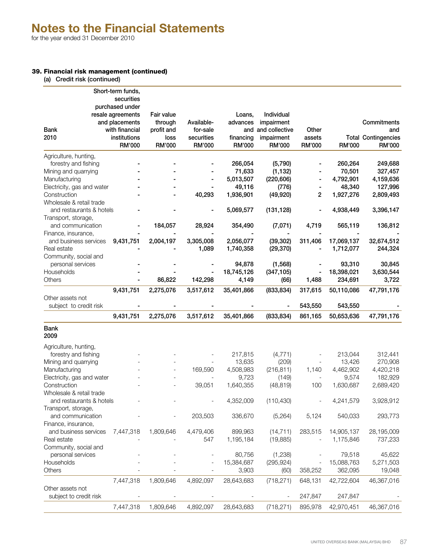# 39. Financial risk management (continued)

|  |  |  | (a) Credit risk (continued) |  |
|--|--|--|-----------------------------|--|
|--|--|--|-----------------------------|--|

|                            | Short-term funds, |            |            |            |                |         |            |                            |
|----------------------------|-------------------|------------|------------|------------|----------------|---------|------------|----------------------------|
|                            | securities        |            |            |            |                |         |            |                            |
|                            | purchased under   |            |            |            |                |         |            |                            |
|                            | resale agreements | Fair value |            | Loans,     | Individual     |         |            |                            |
|                            | and placements    | through    | Available- | advances   | impairment     |         |            | Commitments                |
| <b>Bank</b>                | with financial    | profit and | for-sale   | and        | and collective | Other   |            | and                        |
| 2010                       | institutions      | loss       | securities | financing  | impairment     | assets  |            | <b>Total Contingencies</b> |
|                            | RM'000            | RM'000     | RM'000     | RM'000     | RM'000         | RM'000  | RM'000     | RM'000                     |
| Agriculture, hunting,      |                   |            |            |            |                |         |            |                            |
| forestry and fishing       |                   |            |            | 266,054    | (5,790)        |         | 260,264    | 249,688                    |
| Mining and quarrying       |                   |            |            | 71,633     | (1, 132)       |         | 70,501     | 327,457                    |
| Manufacturing              |                   |            |            | 5,013,507  | (220, 606)     |         | 4,792,901  | 4,159,636                  |
| Electricity, gas and water |                   |            |            | 49,116     | (776)          |         | 48,340     | 127,996                    |
| Construction               |                   |            | 40,293     | 1,936,901  | (49, 920)      | 2       | 1,927,276  | 2,809,493                  |
| Wholesale & retail trade   |                   |            |            |            |                |         |            |                            |
| and restaurants & hotels   |                   |            |            | 5,069,577  | (131, 128)     |         | 4,938,449  | 3,396,147                  |
| Transport, storage,        |                   |            |            |            |                |         |            |                            |
| and communication          |                   | 184,057    | 28,924     | 354,490    | (7,071)        | 4,719   | 565,119    | 136,812                    |
| Finance, insurance,        |                   |            |            |            |                |         |            |                            |
| and business services      | 9,431,751         | 2,004,197  | 3,305,008  | 2,056,077  | (39, 302)      | 311,406 | 17,069,137 | 32,674,512                 |
| Real estate                |                   |            | 1,089      | 1,740,358  | (29, 370)      |         | 1,712,077  | 244,324                    |
| Community, social and      |                   |            |            |            |                |         |            |                            |
| personal services          |                   |            |            | 94,878     | (1, 568)       |         | 93,310     | 30,845                     |
| Households                 |                   |            |            | 18,745,126 | (347, 105)     |         | 18,398,021 | 3,630,544                  |
| <b>Others</b>              |                   | 86,822     | 142,298    | 4,149      | (66)           | 1,488   | 234,691    | 3,722                      |
|                            | 9,431,751         | 2,275,076  | 3,517,612  | 35,401,866 | (833, 834)     | 317,615 | 50,110,086 | 47,791,176                 |
| Other assets not           |                   |            |            |            |                |         |            |                            |
| subject to credit risk     |                   |            |            |            |                | 543,550 | 543,550    |                            |
|                            |                   |            |            |            |                |         |            |                            |
|                            | 9,431,751         | 2,275,076  | 3,517,612  | 35,401,866 | (833, 834)     | 861,165 | 50,653,636 | 47,791,176                 |
| <b>Bank</b>                |                   |            |            |            |                |         |            |                            |
| 2009                       |                   |            |            |            |                |         |            |                            |
| Agriculture, hunting,      |                   |            |            |            |                |         |            |                            |
| forestry and fishing       |                   |            |            | 217,815    | (4, 771)       |         | 213,044    | 312,441                    |
| Mining and quarrying       |                   |            |            | 13,635     | (209)          |         | 13,426     | 270,908                    |
| Manufacturing              |                   |            | 169,590    | 4,508,983  | (216, 811)     | 1,140   | 4,462,902  | 4,420,218                  |
| Electricity, gas and water |                   |            |            | 9,723      | (149)          |         | 9,574      | 182,929                    |
| Construction               |                   |            | 39,051     | 1,640,355  | (48, 819)      | 100     | 1,630,687  | 2,689,420                  |
| Wholesale & retail trade   |                   |            |            |            |                |         |            |                            |
| and restaurants & hotels   |                   |            |            | 4,352,009  | (110, 430)     |         | 4,241,579  | 3,928,912                  |
| Transport, storage,        |                   |            |            |            |                |         |            |                            |
| and communication          |                   |            | 203,503    | 336,670    | (5,264)        | 5,124   | 540,033    | 293,773                    |
| Finance, insurance,        |                   |            |            |            |                |         |            |                            |
| and business services      | 7,447,318         | 1,809,646  | 4,479,406  | 899,963    | (14, 711)      | 283,515 | 14,905,137 | 28,195,009                 |
| Real estate                |                   |            | 547        | 1,195,184  | (19, 885)      |         | 1,175,846  | 737,233                    |
| Community, social and      |                   |            |            |            |                |         |            |                            |
| personal services          |                   |            |            | 80,756     | (1,238)        |         | 79,518     | 45,622                     |
| Households                 |                   |            |            | 15,384,687 | (295, 924)     |         | 15,088,763 | 5,271,503                  |
| Others                     |                   |            |            | 3,903      | (60)           | 358,252 | 362,095    | 19,048                     |
|                            |                   |            |            |            |                |         |            |                            |
|                            | 7,447,318         | 1,809,646  | 4,892,097  | 28,643,683 | (718, 271)     | 648,131 | 42,722,604 | 46,367,016                 |
| Other assets not           |                   |            |            |            |                |         |            |                            |
| subject to credit risk     |                   |            |            |            |                | 247,847 | 247,847    |                            |
|                            | 7,447,318         | 1,809,646  | 4,892,097  | 28,643,683 | (718, 271)     |         |            | 46,367,016                 |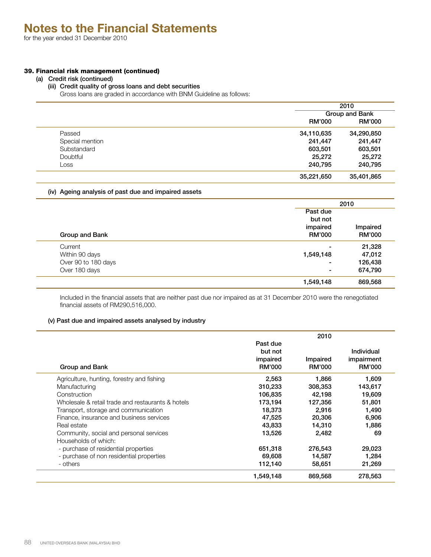# 39. Financial risk management (continued)

#### (a) Credit risk (continued)

# (iii) Credit quality of gross loans and debt securities

Gross loans are graded in accordance with BNM Guideline as follows:

|                 |               | 2010           |  |  |
|-----------------|---------------|----------------|--|--|
|                 |               | Group and Bank |  |  |
|                 | <b>RM'000</b> | <b>RM'000</b>  |  |  |
| Passed          | 34,110,635    | 34,290,850     |  |  |
| Special mention | 241,447       | 241,447        |  |  |
| Substandard     | 603,501       | 603,501        |  |  |
| Doubtful        | 25,272        | 25,272         |  |  |
| Loss            | 240,795       | 240,795        |  |  |
|                 | 35,221,650    | 35,401,865     |  |  |

# (iv) Ageing analysis of past due and impaired assets

|                     |               | 2010          |  |  |  |
|---------------------|---------------|---------------|--|--|--|
|                     | Past due      |               |  |  |  |
|                     | but not       | Impaired      |  |  |  |
|                     | impaired      |               |  |  |  |
| Group and Bank      | <b>RM'000</b> | <b>RM'000</b> |  |  |  |
| Current             | ۰             | 21,328        |  |  |  |
| Within 90 days      | 1,549,148     | 47,012        |  |  |  |
| Over 90 to 180 days | -             | 126,438       |  |  |  |
| Over 180 days       | ۰             | 674,790       |  |  |  |
|                     | 1,549,148     | 869,568       |  |  |  |

Included in the financial assets that are neither past due nor impaired as at 31 December 2010 were the renegotiated financial assets of RM290,516,000.

# (v) Past due and impaired assets analysed by industry

|                                                   |               | 2010          |               |
|---------------------------------------------------|---------------|---------------|---------------|
|                                                   | Past due      |               |               |
|                                                   | but not       |               | Individual    |
|                                                   | impaired      | Impaired      | impairment    |
| Group and Bank                                    | <b>RM'000</b> | <b>RM'000</b> | <b>RM'000</b> |
| Agriculture, hunting, forestry and fishing        | 2,563         | 1,866         | 1,609         |
| Manufacturing                                     | 310,233       | 308,353       | 143,617       |
| Construction                                      | 106,835       | 42,198        | 19,609        |
| Wholesale & retail trade and restaurants & hotels | 173,194       | 127,356       | 51,801        |
| Transport, storage and communication              | 18,373        | 2,916         | 1,490         |
| Finance, insurance and business services          | 47,525        | 20,306        | 6,906         |
| Real estate                                       | 43,833        | 14,310        | 1,886         |
| Community, social and personal services           | 13,526        | 2,482         | 69            |
| Households of which:                              |               |               |               |
| - purchase of residential properties              | 651,318       | 276,543       | 29,023        |
| - purchase of non residential properties          | 69,608        | 14,587        | 1,284         |
| - others                                          | 112,140       | 58,651        | 21,269        |
|                                                   | 1,549,148     | 869,568       | 278,563       |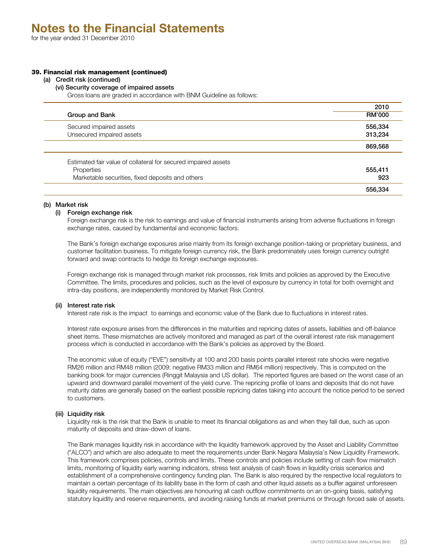# 39. Financial risk management (continued)

#### (a) Credit risk (continued)

(vi) Security coverage of impaired assets

Gross loans are graded in accordance with BNM Guideline as follows:

| Group and Bank                                                 | 2010<br><b>RM'000</b> |
|----------------------------------------------------------------|-----------------------|
| Secured impaired assets                                        | 556,334               |
| Unsecured impaired assets                                      | 313,234               |
|                                                                | 869,568               |
| Estimated fair value of collateral for secured impaired assets |                       |
| Properties                                                     | 555,411               |
| Marketable securities, fixed deposits and others               | 923                   |
|                                                                | 556,334               |

# (b) Market risk

# (i) Foreign exchange risk

Foreign exchange risk is the risk to earnings and value of financial instruments arising from adverse fluctuations in foreign exchange rates, caused by fundamental and economic factors.

The Bank's foreign exchange exposures arise mainly from its foreign exchange position-taking or proprietary business, and customer facilitation business. To mitigate foreign currency risk, the Bank predominately uses foreign currency outright forward and swap contracts to hedge its foreign exchange exposures.

Foreign exchange risk is managed through market risk processes, risk limits and policies as approved by the Executive Committee. The limits, procedures and policies, such as the level of exposure by currency in total for both overnight and intra-day positions, are independently monitored by Market Risk Control.

# (ii) Interest rate risk

Interest rate risk is the impact to earnings and economic value of the Bank due to fluctuations in interest rates.

Interest rate exposure arises from the differences in the maturities and repricing dates of assets, liabilities and off-balance sheet items. These mismatches are actively monitored and managed as part of the overall interest rate risk management process which is conducted in accordance with the Bank's policies as approved by the Board.

The economic value of equity ("EVE") sensitivity at 100 and 200 basis points parallel interest rate shocks were negative RM26 million and RM48 million (2009: negative RM33 million and RM64 million) respectively. This is computed on the banking book for major currencies (Ringgit Malaysia and US dollar). The reported figures are based on the worst case of an upward and downward parallel movement of the yield curve. The repricing profile of loans and deposits that do not have maturity dates are generally based on the earliest possible repricing dates taking into account the notice period to be served to customers.

# (iii) Liquidity risk

Liquidity risk is the risk that the Bank is unable to meet its financial obligations as and when they fall due, such as upon maturity of deposits and draw-down of loans.

The Bank manages liquidity risk in accordance with the liquidity framework approved by the Asset and Liability Committee ("ALCO") and which are also adequate to meet the requirements under Bank Negara Malaysia's New Liquidity Framework. This framework comprises policies, controls and limits. These controls and policies include setting of cash flow mismatch limits, monitoring of liquidity early warning indicators, stress test analysis of cash flows in liquidity crisis scenarios and establishment of a comprehensive contingency funding plan. The Bank is also required by the respective local regulators to maintain a certain percentage of its liability base in the form of cash and other liquid assets as a buffer against unforeseen liquidity requirements. The main objectives are honouring all cash outflow commitments on an on-going basis, satisfying statutory liquidity and reserve requirements, and avoiding raising funds at market premiums or through forced sale of assets.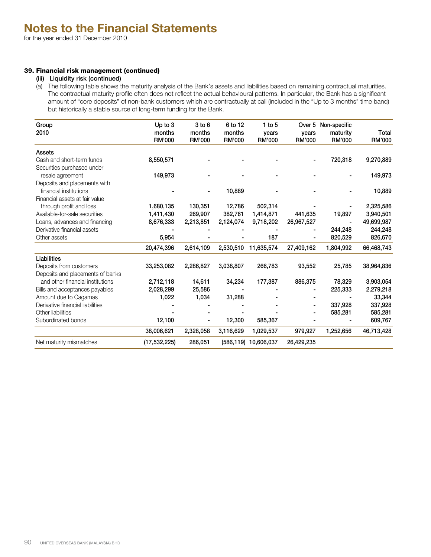# 39. Financial risk management (continued)

#### (iii) Liquidity risk (continued)

(a) The following table shows the maturity analysis of the Bank's assets and liabilities based on remaining contractual maturities. The contractual maturity profile often does not reflect the actual behavioural patterns. In particular, the Bank has a significant amount of "core deposits" of non-bank customers which are contractually at call (included in the "Up to 3 months" time band) but historically a stable source of long-term funding for the Bank.

| Group<br>2010                    | Up to 3<br>months | $3$ to $6$<br>months | 6 to 12<br>months | $1$ to 5<br>years    | years         | Over 5 Non-specific<br>maturity | Total         |
|----------------------------------|-------------------|----------------------|-------------------|----------------------|---------------|---------------------------------|---------------|
|                                  | <b>RM'000</b>     | <b>RM'000</b>        | <b>RM'000</b>     | <b>RM'000</b>        | <b>RM'000</b> | <b>RM'000</b>                   | <b>RM'000</b> |
| Assets                           |                   |                      |                   |                      |               |                                 |               |
| Cash and short-term funds        | 8,550,571         |                      |                   |                      |               | 720,318                         | 9,270,889     |
| Securities purchased under       |                   |                      |                   |                      |               |                                 |               |
| resale agreement                 | 149,973           |                      |                   |                      |               |                                 | 149,973       |
| Deposits and placements with     |                   |                      |                   |                      |               |                                 |               |
| financial institutions           |                   |                      | 10,889            |                      |               |                                 | 10,889        |
| Financial assets at fair value   |                   |                      |                   |                      |               |                                 |               |
| through profit and loss          | 1,680,135         | 130,351              | 12,786            | 502,314              |               |                                 | 2,325,586     |
| Available-for-sale securities    | 1,411,430         | 269,907              | 382,761           | 1,414,871            | 441,635       | 19,897                          | 3,940,501     |
| Loans, advances and financing    | 8,676,333         | 2,213,851            | 2,124,074         | 9,718,202            | 26,967,527    |                                 | 49,699,987    |
| Derivative financial assets      |                   |                      |                   |                      |               | 244,248                         | 244,248       |
| Other assets                     | 5,954             |                      |                   | 187                  |               | 820,529                         | 826,670       |
|                                  | 20,474,396        | 2,614,109            | 2,530,510         | 11,635,574           | 27,409,162    | 1,804,992                       | 66,468,743    |
| Liabilities                      |                   |                      |                   |                      |               |                                 |               |
| Deposits from customers          | 33,253,082        | 2,286,827            | 3,038,807         | 266,783              | 93,552        | 25,785                          | 38,964,836    |
| Deposits and placements of banks |                   |                      |                   |                      |               |                                 |               |
| and other financial institutions | 2,712,118         | 14,611               | 34,234            | 177,387              | 886,375       | 78,329                          | 3,903,054     |
| Bills and acceptances payables   | 2,028,299         | 25,586               |                   |                      |               | 225,333                         | 2,279,218     |
| Amount due to Cagamas            | 1,022             | 1,034                | 31,288            |                      |               |                                 | 33,344        |
| Derivative financial liabilities |                   |                      |                   |                      |               | 337,928                         | 337,928       |
| Other liabilities                |                   |                      |                   |                      |               | 585,281                         | 585,281       |
| Subordinated bonds               | 12,100            |                      | 12,300            | 585,367              |               |                                 | 609,767       |
|                                  | 38,006,621        | 2,328,058            | 3,116,629         | 1,029,537            | 979,927       | 1,252,656                       | 46,713,428    |
| Net maturity mismatches          | (17, 532, 225)    | 286,051              |                   | (586,119) 10,606,037 | 26,429,235    |                                 |               |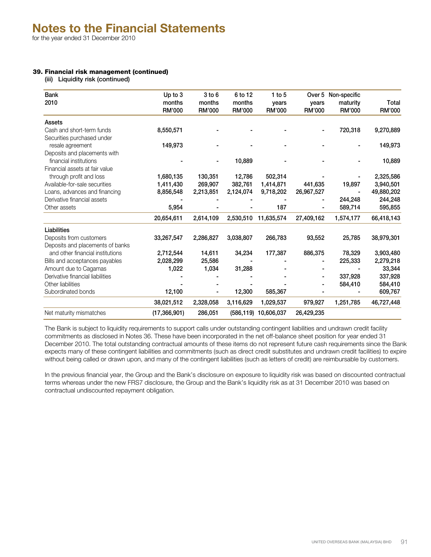# 39. Financial risk management (continued)

(iii) Liquidity risk (continued)

| <b>Bank</b><br>2010              | Up to 3<br>months | $3$ to $6$<br>months | 6 to 12<br>months | 1 to $5$<br>years | Over 5<br>vears | Non-specific<br>maturity | Total      |
|----------------------------------|-------------------|----------------------|-------------------|-------------------|-----------------|--------------------------|------------|
|                                  | <b>RM'000</b>     | RM'000               | RM'000            | RM'000            | <b>RM'000</b>   | RM'000                   | RM'000     |
| Assets                           |                   |                      |                   |                   |                 |                          |            |
| Cash and short-term funds        | 8,550,571         |                      |                   |                   |                 | 720,318                  | 9,270,889  |
| Securities purchased under       |                   |                      |                   |                   |                 |                          |            |
| resale agreement                 | 149,973           |                      |                   |                   |                 |                          | 149,973    |
| Deposits and placements with     |                   |                      |                   |                   |                 |                          |            |
| financial institutions           |                   |                      | 10,889            |                   |                 |                          | 10,889     |
| Financial assets at fair value   |                   |                      |                   |                   |                 |                          |            |
| through profit and loss          | 1,680,135         | 130,351              | 12,786            | 502,314           |                 |                          | 2,325,586  |
| Available-for-sale securities    | 1,411,430         | 269,907              | 382,761           | 1,414,871         | 441,635         | 19,897                   | 3,940,501  |
| Loans, advances and financing    | 8,856,548         | 2,213,851            | 2,124,074         | 9,718,202         | 26,967,527      |                          | 49,880,202 |
| Derivative financial assets      |                   |                      |                   |                   |                 | 244,248                  | 244,248    |
| Other assets                     | 5,954             |                      |                   | 187               |                 | 589,714                  | 595,855    |
|                                  | 20,654,611        | 2,614,109            | 2,530,510         | 11,635,574        | 27,409,162      | 1,574,177                | 66,418,143 |
| Liabilities                      |                   |                      |                   |                   |                 |                          |            |
| Deposits from customers          | 33,267,547        | 2,286,827            | 3,038,807         | 266,783           | 93,552          | 25,785                   | 38,979,301 |
| Deposits and placements of banks |                   |                      |                   |                   |                 |                          |            |
| and other financial institutions | 2,712,544         | 14,611               | 34,234            | 177,387           | 886,375         | 78,329                   | 3,903,480  |
| Bills and acceptances payables   | 2,028,299         | 25,586               |                   |                   |                 | 225,333                  | 2,279,218  |
| Amount due to Cagamas            | 1,022             | 1,034                | 31,288            |                   |                 |                          | 33,344     |
| Derivative financial liabilities |                   |                      |                   |                   |                 | 337,928                  | 337,928    |
| Other liabilities                |                   |                      |                   |                   |                 | 584,410                  | 584,410    |
| Subordinated bonds               | 12,100            |                      | 12,300            | 585,367           |                 |                          | 609,767    |
|                                  | 38,021,512        | 2,328,058            | 3,116,629         | 1,029,537         | 979,927         | 1,251,785                | 46,727,448 |
| Net maturity mismatches          | (17, 366, 901)    | 286,051              | (586, 119)        | 10,606,037        | 26,429,235      |                          |            |

The Bank is subject to liquidity requirements to support calls under outstanding contingent liabilities and undrawn credit facility commitments as disclosed in Notes 36. These have been incorporated in the net off-balance sheet position for year ended 31 December 2010. The total outstanding contractual amounts of these items do not represent future cash requirements since the Bank expects many of these contingent liabilities and commitments (such as direct credit substitutes and undrawn credit facilities) to expire without being called or drawn upon, and many of the contingent liabilities (such as letters of credit) are reimbursable by customers.

In the previous financial year, the Group and the Bank's disclosure on exposure to liquidity risk was based on discounted contractual terms whereas under the new FRS7 disclosure, the Group and the Bank's liquidity risk as at 31 December 2010 was based on contractual undiscounted repayment obligation.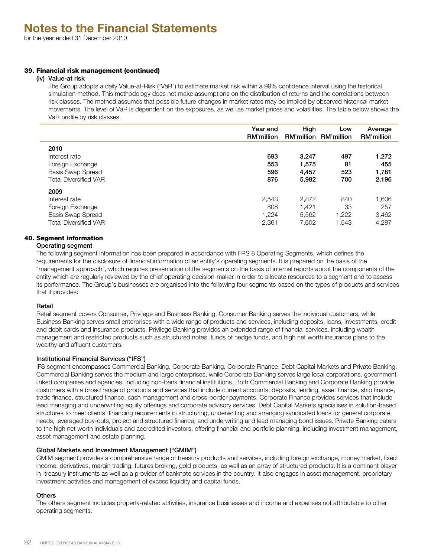#### 39. Financial risk management (continued)

#### (iv) Value-at risk

The Group adopts a daily Value-at-Risk ("VaR") to estimate market risk within a 99% confidence interval using the historical simulation method. This methodology does not make assumptions on the distribution of returns and the correlations between risk classes. The method assumes that possible future changes in market rates may be implied by observed historical market movements. The level of VaR is dependent on the exposures, as well as market prices and volatilities. The table below shows the VaR profile by risk classes.

|                              | Year end<br>RM'million | High<br><b>RM'million</b> | Low<br>RM'million | Average<br><b>RM'million</b> |
|------------------------------|------------------------|---------------------------|-------------------|------------------------------|
| 2010                         |                        |                           |                   |                              |
| Interest rate                | 693                    | 3,247                     | 497               | 1,272                        |
| Foreign Exchange             | 553                    | 1,575                     | 81                | 455                          |
| Basis Swap Spread            | 596                    | 4,457                     | 523               | 1,781                        |
| <b>Total Diversified VAR</b> | 876                    | 5,982                     | 700               | 2,196                        |
| 2009                         |                        |                           |                   |                              |
| Interest rate                | 2,543                  | 2,872                     | 840               | 1,606                        |
| Foreign Exchange             | 808                    | 1.421                     | 33                | 257                          |
| Basis Swap Spread            | 1.224                  | 5,562                     | 1.222             | 3,462                        |
| <b>Total Diversified VAR</b> | 2,361                  | 7,602                     | 1,543             | 4,287                        |

# 40. Segment information

# Operating segment

The following segment information has been prepared in accordance with FRS 8 Operating Segments, which defines the requirements for the disclosure of financial information of an entity's operating segments. It is prepared on the basis of the "management approach", which requires presentation of the segments on the basis of internal reports about the components of the entity which are regularly reviewed by the chief operating decision-maker in order to allocate resources to a segment and to assess its performance. The Group's businesses are organised into the following four segments based on the types of products and services that it provides:

# Retail

Retail segment covers Consumer, Privilege and Business Banking. Consumer Banking serves the individual customers, while Business Banking serves small enterprises with a wide range of products and services, including deposits, loans, investments, credit and debit cards and insurance products. Privilege Banking provides an extended range of financial services, including wealth management and restricted products such as structured notes, funds of hedge funds, and high net worth insurance plans to the wealthy and affluent customers.

# Institutional Financial Services ("IFS")

IFS segment encompasses Commercial Banking, Corporate Banking, Corporate Finance, Debt Capital Markets and Private Banking. Commercial Banking serves the medium and large enterprises, while Corporate Banking serves large local corporations, government linked companies and agencies, including non-bank financial institutions. Both Commercial Banking and Corporate Banking provide customers with a broad range of products and services that include current accounts, deposits, lending, asset finance, ship finance, trade finance, structured finance, cash management and cross-border payments. Corporate Finance provides services that include lead managing and underwriting equity offerings and corporate advisory services. Debt Capital Markets specialises in solution-based structures to meet clients' financing requirements in structuring, underwriting and arranging syndicated loans for general corporate needs, leveraged buy-outs, project and structured finance, and underwriting and lead managing bond issues. Private Banking caters to the high net worth individuals and accredited investors, offering financial and portfolio planning, including investment management, asset management and estate planning.

# Global Markets and Investment Management ("GMIM")

GMIM segment provides a comprehensive range of treasury products and services, including foreign exchange, money market, fixed income, derivatives, margin trading, futures broking, gold products, as well as an array of structured products. It is a dominant player in treasury instruments as well as a provider of banknote services in the country. It also engages in asset management, proprietary investment activities and management of excess liquidity and capital funds.

# **Others**

The others segment includes property-related activities, insurance businesses and income and expenses not attributable to other operating segments.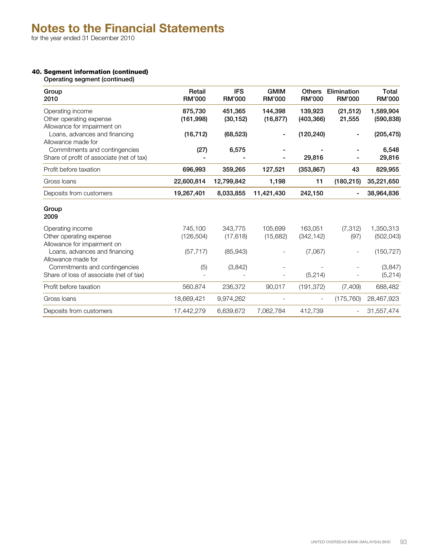# 40. Segment information (continued)

Operating segment (continued)

| Group<br>2010                             | Retail<br><b>RM'000</b> | <b>IFS</b><br><b>RM'000</b> | <b>GMIM</b><br><b>RM'000</b> | <b>Others</b><br><b>RM'000</b> | Elimination<br><b>RM'000</b> | Total<br><b>RM'000</b> |
|-------------------------------------------|-------------------------|-----------------------------|------------------------------|--------------------------------|------------------------------|------------------------|
| Operating income                          | 875,730                 | 451,365                     | 144,398                      | 139,923                        | (21, 512)                    | 1,589,904              |
| Other operating expense                   | (161, 998)              | (30, 152)                   | (16, 877)                    | (403, 366)                     | 21,555                       | (590, 838)             |
| Allowance for impairment on               |                         |                             |                              |                                |                              |                        |
| Loans, advances and financing             | (16, 712)               | (68, 523)                   |                              | (120, 240)                     |                              | (205, 475)             |
| Allowance made for                        |                         |                             |                              |                                |                              |                        |
| Commitments and contingencies             | (27)                    | 6,575                       |                              |                                |                              | 6,548                  |
| Share of profit of associate (net of tax) |                         |                             |                              | 29,816                         |                              | 29,816                 |
| Profit before taxation                    | 696,993                 | 359,265                     | 127,521                      | (353, 867)                     | 43                           | 829,955                |
| Gross Ioans                               | 22,600,814              | 12,799,842                  | 1,198                        | 11                             | (180, 215)                   | 35,221,650             |
| Deposits from customers                   | 19,267,401              | 8,033,855                   | 11,421,430                   | 242,150                        |                              | 38,964,836             |
| Group<br>2009                             |                         |                             |                              |                                |                              |                        |
| Operating income                          | 745,100                 | 343,775                     | 105,699                      | 163,051                        | (7, 312)                     | 1,350,313              |
| Other operating expense                   | (126, 504)              | (17, 618)                   | (15,682)                     | (342, 142)                     | (97)                         | (502, 043)             |
| Allowance for impairment on               |                         |                             |                              |                                |                              |                        |
| Loans, advances and financing             | (57, 717)               | (85, 943)                   |                              | (7,067)                        |                              | (150, 727)             |
| Allowance made for                        |                         |                             |                              |                                |                              |                        |
| Commitments and contingencies             | (5)                     | (3,842)                     |                              |                                |                              | (3, 847)               |
| Share of loss of associate (net of tax)   |                         |                             |                              | (5, 214)                       |                              | (5, 214)               |
| Profit before taxation                    | 560,874                 | 236,372                     | 90,017                       | (191, 372)                     | (7, 409)                     | 688,482                |
| Gross Ioans                               | 18,669,421              | 9,974,262                   |                              | $\overline{\phantom{a}}$       | (175, 760)                   | 28,467,923             |
| Deposits from customers                   | 17,442,279              | 6,639,672                   | 7,062,784                    | 412,739                        |                              | 31,557,474             |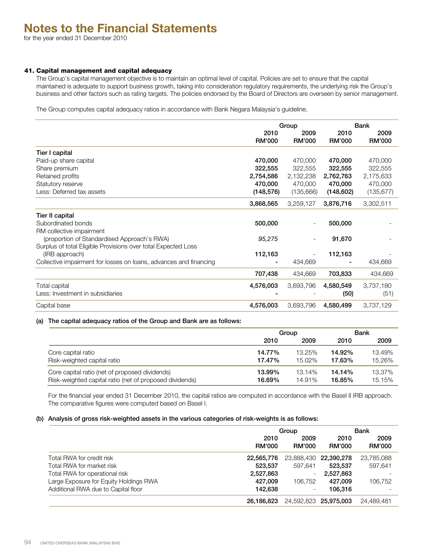# 41. Capital management and capital adequacy

The Group's capital management objective is to maintain an optimal level of capital. Policies are set to ensure that the capital maintained is adequate to support business growth, taking into consideration regulatory requirements, the underlying risk the Group's business and other factors such as rating targets. The policies endorsed by the Board of Directors are overseen by senior management.

The Group computes capital adequacy ratios in accordance with Bank Negara Malaysia's guideline.

|                                                                   | Group         |               |               | Bank          |
|-------------------------------------------------------------------|---------------|---------------|---------------|---------------|
|                                                                   | 2010          | 2009          | 2010          | 2009          |
|                                                                   | <b>RM'000</b> | <b>RM'000</b> | <b>RM'000</b> | <b>RM'000</b> |
| Tier I capital                                                    |               |               |               |               |
| Paid-up share capital                                             | 470,000       | 470,000       | 470,000       | 470,000       |
| Share premium                                                     | 322,555       | 322,555       | 322,555       | 322,555       |
| Retained profits                                                  | 2,754,586     | 2,132,238     | 2,762,763     | 2,175,633     |
| Statutory reserve                                                 | 470,000       | 470,000       | 470,000       | 470,000       |
| Less: Deferred tax assets                                         | (148, 576)    | (135,666)     | (148, 602)    | (135, 677)    |
|                                                                   | 3,868,565     | 3,259,127     | 3,876,716     | 3,302,511     |
| Tier II capital                                                   |               |               |               |               |
| Subordinated bonds                                                | 500,000       |               | 500,000       |               |
| RM collective impairment                                          |               |               |               |               |
| (proportion of Standardised Approach's RWA)                       | 95,275        |               | 91,670        |               |
| Surplus of total Eligible Provisions over total Expected Loss     |               |               |               |               |
| (IRB approach)                                                    | 112,163       |               | 112,163       |               |
| Collective impairment for losses on loans, advances and financing | ۰             | 434,669       |               | 434,669       |
|                                                                   | 707,438       | 434,669       | 703,833       | 434,669       |
| <b>Total capital</b>                                              | 4,576,003     | 3,693,796     | 4,580,549     | 3,737,180     |
| Less: Investment in subsidiaries                                  |               |               | (50)          | (51)          |
| Capital base                                                      | 4,576,003     | 3,693,796     | 4,580,499     | 3,737,129     |
|                                                                   |               |               |               |               |

#### (a) The capital adequacy ratios of the Group and Bank are as follows:

|                                                         | Group  |        | <b>Bank</b> |        |
|---------------------------------------------------------|--------|--------|-------------|--------|
|                                                         | 2010   | 2009   | 2010        | 2009   |
| Core capital ratio                                      | 14.77% | 13.25% | 14.92%      | 13.49% |
| Risk-weighted capital ratio                             | 17.47% | 15.02% | 17.63%      | 15.26% |
| Core capital ratio (net of proposed dividends)          | 13.99% | 13.14% | $14.14\%$   | 13.37% |
| Risk-weighted capital ratio (net of proposed dividends) | 16.69% | 14.91% | 16.85%      | 15.15% |

For the financial year ended 31 December 2010, the capital ratios are computed in accordance with the Basel II IRB approach. The comparative figures were computed based on Basel I.

# (b) Analysis of gross risk-weighted assets in the various categories of risk-weights is as follows:

|                                        | Group                 | Bank           |                       |                       |
|----------------------------------------|-----------------------|----------------|-----------------------|-----------------------|
|                                        | 2010<br><b>RM'000</b> | 2009<br>RM'000 | 2010<br><b>RM'000</b> | 2009<br><b>RM'000</b> |
| Total RWA for credit risk              | 22,565,776            |                | 23,888,430 22,390,278 | 23,785,088            |
| Total RWA for market risk              | 523,537               | 597.641        | 523,537               | 597.641               |
| Total RWA for operational risk         | 2,527,863             | -              | 2,527,863             |                       |
| Large Exposure for Equity Holdings RWA | 427.009               | 106.752        | 427.009               | 106.752               |
| Additional RWA due to Capital floor    | 142.638               |                | 106.316               |                       |
|                                        | 26.186.823            |                | 24,592,823 25,975,003 | 24,489,481            |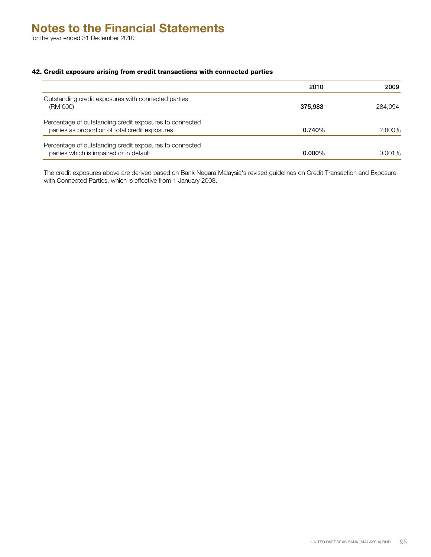42. Credit exposure arising from credit transactions with connected parties

|                                                                                                            | 2010      | 2009    |
|------------------------------------------------------------------------------------------------------------|-----------|---------|
| Outstanding credit exposures with connected parties<br>(RM'000)                                            | 375,983   | 284.094 |
| Percentage of outstanding credit exposures to connected<br>parties as proportion of total credit exposures | 0.740%    | 2.800%  |
| Percentage of outstanding credit exposures to connected<br>parties which is impaired or in default         | $0.000\%$ | 0.001%  |

The credit exposures above are derived based on Bank Negara Malaysia's revised guidelines on Credit Transaction and Exposure with Connected Parties, which is effective from 1 January 2008.